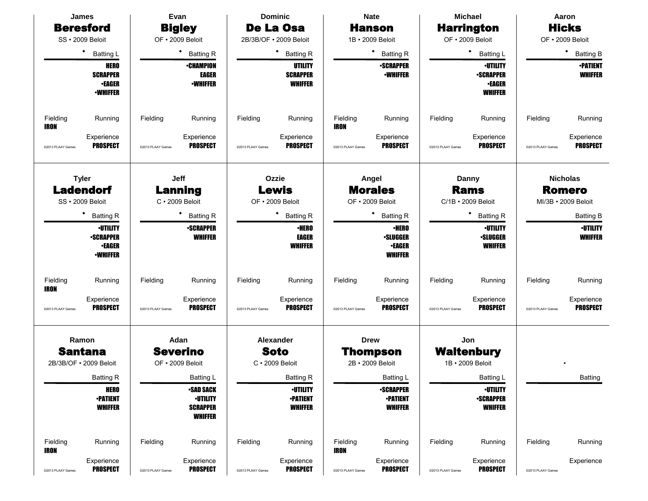|                         | James                                                                          |                   | Evan                                                                     |                   | <b>Dominic</b>                                       |                         | <b>Nate</b>                                                        |                   | <b>Michael</b>                                                         |                   | Aaron                             |
|-------------------------|--------------------------------------------------------------------------------|-------------------|--------------------------------------------------------------------------|-------------------|------------------------------------------------------|-------------------------|--------------------------------------------------------------------|-------------------|------------------------------------------------------------------------|-------------------|-----------------------------------|
|                         | <b>Beresford</b>                                                               |                   | <b>Bigley</b>                                                            |                   | De La Osa                                            |                         | <b>Hanson</b>                                                      |                   | <b>Harrington</b>                                                      |                   | <b>Hicks</b>                      |
|                         | SS · 2009 Beloit                                                               |                   | OF · 2009 Beloit                                                         |                   | 2B/3B/OF . 2009 Beloit                               |                         | 1B · 2009 Beloit                                                   |                   | OF . 2009 Beloit                                                       |                   | OF • 2009 Beloit                  |
|                         | ٠<br><b>Batting L</b>                                                          |                   | <b>Batting R</b>                                                         |                   | ٠<br><b>Batting R</b>                                |                         | <b>Batting R</b>                                                   |                   | $\bullet$<br><b>Batting L</b>                                          |                   | ٠<br><b>Batting B</b>             |
|                         | <b>HERO</b><br><b>SCRAPPER</b><br><b>•EAGER</b><br><b><i>•WHIFFER</i></b>      |                   | <b>•CHAMPION</b><br><b>EAGER</b><br><b>-WHIFFER</b>                      |                   | UTILITY<br><b>SCRAPPER</b><br><b>WHIFFER</b>         |                         | <b>•SCRAPPER</b><br><b>-WHIFFER</b>                                |                   | <b>·UTILITY</b><br><b>-SCRAPPER</b><br><b>•EAGER</b><br><b>WHIFFER</b> |                   | <b>•PATIENT</b><br><b>WHIFFER</b> |
| Fielding<br><b>IRON</b> | Running                                                                        | Fielding          | Running                                                                  | Fielding          | Running                                              | Fielding<br>IRON        | Running                                                            | Fielding          | Running                                                                | Fielding          | Running                           |
| @2013 PLAAY Games       | Experience<br><b>PROSPECT</b>                                                  | @2013 PLAAY Games | Experience<br><b>PROSPECT</b>                                            | @2013 PLAAY Games | Experience<br><b>PROSPECT</b>                        | @2013 PLAAY Games       | Experience<br><b>PROSPECT</b>                                      | @2013 PLAAY Games | Experience<br><b>PROSPECT</b>                                          | @2013 PLAAY Games | Experience<br><b>PROSPECT</b>     |
|                         | <b>Tyler</b><br><b>Ladendorf</b>                                               |                   | <b>Jeff</b><br><b>Lanning</b>                                            |                   | Ozzie<br>Lewis                                       |                         | Angel<br><b>Morales</b>                                            |                   | Danny<br><b>Rams</b>                                                   |                   | <b>Nicholas</b><br><b>Romero</b>  |
|                         | SS · 2009 Beloit                                                               |                   | $C \cdot 2009$ Beloit                                                    |                   | OF . 2009 Beloit                                     |                         | OF · 2009 Beloit                                                   |                   | C/1B · 2009 Beloit                                                     |                   | MI/3B • 2009 Beloit               |
|                         | <b>Batting R</b>                                                               |                   | <b>Batting R</b>                                                         |                   | ٠<br><b>Batting R</b>                                |                         | <b>Batting R</b>                                                   |                   | ٠<br><b>Batting R</b>                                                  |                   | <b>Batting B</b>                  |
|                         | <b>·UTILITY</b><br><b>-SCRAPPER</b><br><b>•EAGER</b><br><b><i>•WHIFFER</i></b> |                   | <b>•SCRAPPER</b><br><b>WHIFFER</b>                                       |                   | <b>•HERO</b><br><b>EAGER</b><br><b>WHIFFER</b>       |                         | <b>•HERO</b><br><b>·SLUGGER</b><br><b>•EAGER</b><br><b>WHIFFER</b> |                   | <b>·UTILITY</b><br><b>·SLUGGER</b><br><b>WHIFFER</b>                   |                   | <b>•UTILITY</b><br><b>WHIFFER</b> |
| Fielding<br>IRON        | Running                                                                        | Fielding          | Running                                                                  | Fielding          | Running                                              | Fielding                | Running                                                            | Fielding          | Running                                                                | Fielding          | Running                           |
| @2013 PLAAY Games       | Experience<br><b>PROSPECT</b>                                                  | @2013 PLAAY Games | Experience<br><b>PROSPECT</b>                                            | @2013 PLAAY Games | Experience<br><b>PROSPECT</b>                        | @2013 PLAAY Games       | Experience<br><b>PROSPECT</b>                                      | @2013 PLAAY Games | Experience<br><b>PROSPECT</b>                                          | @2013 PLAAY Games | Experience<br><b>PROSPECT</b>     |
|                         | Ramon                                                                          |                   | Adan                                                                     |                   | Alexander                                            |                         | <b>Drew</b>                                                        |                   | Jon                                                                    |                   |                                   |
|                         | <b>Santana</b>                                                                 |                   | <b>Severino</b>                                                          |                   | <b>Soto</b>                                          |                         | <b>Thompson</b>                                                    |                   | <b>Waltenbury</b>                                                      |                   |                                   |
|                         | 2B/3B/OF • 2009 Beloit                                                         |                   | OF • 2009 Beloit                                                         |                   | $C \cdot 2009$ Beloit                                |                         | 2B · 2009 Beloit                                                   |                   | 1B · 2009 Beloit                                                       |                   |                                   |
|                         | <b>Batting R</b>                                                               |                   | Batting L                                                                |                   | <b>Batting R</b>                                     |                         | Batting L                                                          |                   | <b>Batting L</b>                                                       |                   | <b>Batting</b>                    |
|                         | <b>HERO</b><br><b>-PATIENT</b><br><b>WHIFFER</b>                               |                   | <b>-SAD SACK</b><br><b>-UTILITY</b><br><b>SCRAPPER</b><br><b>WHIFFER</b> |                   | <b>-UTILITY</b><br><b>•PATIENT</b><br><b>WHIFFER</b> |                         | <b>-SCRAPPER</b><br><b>•PATIENT</b><br><b>WHIFFER</b>              |                   | <b>·UTILITY</b><br><b>•SCRAPPER</b><br><b>WHIFFER</b>                  |                   |                                   |
| Fielding<br>IRON        | Running                                                                        | Fielding          | Running                                                                  | Fielding          | Running                                              | Fielding<br><b>IRON</b> | Running                                                            | Fielding          | Running                                                                | Fielding          | Running                           |
| @2013 PLAAY Games       | Experience<br><b>PROSPECT</b>                                                  | @2013 PLAAY Games | Experience<br><b>PROSPECT</b>                                            | @2013 PLAAY Games | Experience<br><b>PROSPECT</b>                        | @2013 PLAAY Games       | Experience<br><b>PROSPECT</b>                                      | @2013 PLAAY Games | Experience<br><b>PROSPECT</b>                                          | @2013 PLAAY Games | Experience                        |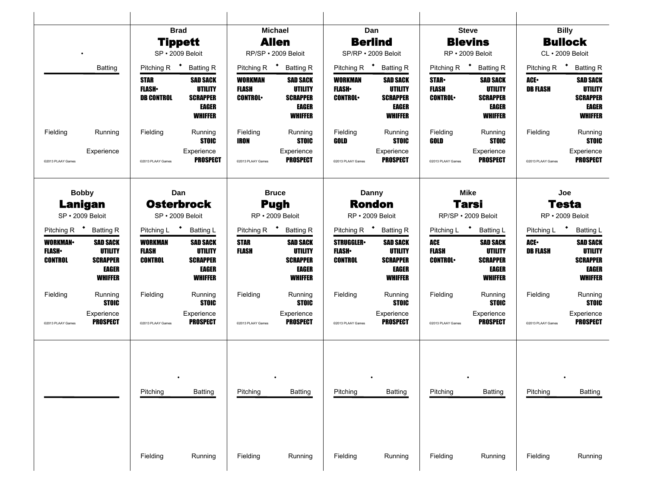|                                             |                                                                                 |                                           | <b>Brad</b><br><b>Tippett</b>                                                   |                                                  | <b>Michael</b><br><b>Allen</b>                                           |                                             | Dan<br><b>Berlind</b>                                                                  |                                               | <b>Steve</b><br><b>Blevins</b>                                           |                                   | <b>Billy</b><br><b>Bullock</b>                                                  |
|---------------------------------------------|---------------------------------------------------------------------------------|-------------------------------------------|---------------------------------------------------------------------------------|--------------------------------------------------|--------------------------------------------------------------------------|---------------------------------------------|----------------------------------------------------------------------------------------|-----------------------------------------------|--------------------------------------------------------------------------|-----------------------------------|---------------------------------------------------------------------------------|
|                                             |                                                                                 |                                           | SP · 2009 Beloit                                                                |                                                  | RP/SP · 2009 Beloit                                                      |                                             | SP/RP · 2009 Beloit                                                                    |                                               | RP · 2009 Beloit                                                         |                                   | CL · 2009 Beloit                                                                |
|                                             | <b>Batting</b>                                                                  | Pitching R <sup>+</sup> Batting R         |                                                                                 | Pitching R <sup>+</sup> Batting R                |                                                                          |                                             | Pitching R <sup>+</sup> Batting R                                                      |                                               | Pitching R <sup>+</sup> Batting R                                        | Pitching R <sup>+</sup> Batting R |                                                                                 |
|                                             |                                                                                 | STAR<br><b>FLASH</b><br><b>DB CONTROL</b> | <b>SAD SACK</b><br><b>UTILITY</b><br><b>SCRAPPER</b><br>EAGER<br><b>WHIFFER</b> | <b>WORKMAN</b><br><b>FLASH</b><br><b>CONTROL</b> | <b>SAD SACK</b><br><b>UTILITY</b><br><b>SCRAPPER</b><br>EAGER<br>WHIFFER | WORKMAN<br><b>FLASH</b><br><b>CONTROL•</b>  | <b>SAD SACK</b><br><b>UTILITY</b><br><b>SCRAPPER</b><br><b>EAGER</b><br><b>WHIFFER</b> | <b>STAR</b><br><b>FLASH</b><br><b>CONTROL</b> | <b>SAD SACK</b><br><b>UTILITY</b><br><b>SCRAPPER</b><br>EAGER<br>WHIFFER | ACE-<br><b>DB FLASH</b>           | <b>SAD SACK</b><br><b>UTILITY</b><br><b>SCRAPPER</b><br>EAGER<br><b>WHIFFER</b> |
| Fielding                                    | Running                                                                         | Fielding                                  | Running<br><b>STOIC</b>                                                         | Fielding<br>IRON                                 | Running<br><b>STOIC</b>                                                  | Fielding<br>GOLD                            | Running<br><b>STOIC</b>                                                                | Fielding<br>GOLD                              | Running<br><b>STOIC</b>                                                  | Fielding                          | Running<br><b>STOIC</b>                                                         |
| @2013 PLAAY Games                           | Experience                                                                      | @2013 PLAAY Games                         | Experience<br><b>PROSPECT</b>                                                   | @2013 PLAAY Games                                | Experience<br><b>PROSPECT</b>                                            | @2013 PLAAY Games                           | Experience<br><b>PROSPECT</b>                                                          | @2013 PLAAY Games                             | Experience<br><b>PROSPECT</b>                                            | @2013 PLAAY Games                 | Experience<br><b>PROSPECT</b>                                                   |
|                                             | <b>Bobby</b>                                                                    |                                           | Dan                                                                             | <b>Bruce</b>                                     |                                                                          |                                             | Danny                                                                                  |                                               | <b>Mike</b>                                                              |                                   | Joe                                                                             |
|                                             | <b>Lanigan</b><br>SP · 2009 Beloit                                              |                                           | <b>Osterbrock</b><br>SP · 2009 Beloit                                           |                                                  | <b>Pugh</b><br>RP · 2009 Beloit                                          |                                             | <b>Rondon</b><br>RP · 2009 Beloit                                                      |                                               | <b>Tarsi</b><br>RP/SP · 2009 Beloit                                      |                                   | <b>Testa</b><br>RP · 2009 Beloit                                                |
|                                             | Pitching R <sup>+</sup> Batting R                                               | Pitching L * Batting L                    |                                                                                 |                                                  | Pitching R <sup>+</sup> Batting R                                        |                                             | Pitching R <sup>+</sup> Batting R                                                      | Pitching L <sup>+</sup>                       | <b>Batting L</b>                                                         | Pitching L + Batting L            |                                                                                 |
| <b>WORKMAN</b><br><b>FLASH</b> •<br>CONTROL | <b>SAD SACK</b><br><b>UTILITY</b><br><b>SCRAPPER</b><br>EAGER<br><b>WHIFFER</b> | <b>WORKMAN</b><br><b>FLASH</b><br>CONTROL | <b>SAD SACK</b><br><b>UTILITY</b><br><b>SCRAPPER</b><br>EAGER<br><b>WHIFFER</b> | <b>STAR</b><br><b>FLASH</b>                      | <b>SAD SACK</b><br><b>UTILITY</b><br><b>SCRAPPER</b><br>EAGER<br>WHIFFER | <b>STRUGGLER</b><br><b>FLASH</b><br>CONTROL | <b>SAD SACK</b><br><b>UTILITY</b><br><b>SCRAPPER</b><br><b>EAGER</b><br><b>WHIFFER</b> | ACE<br><b>FLASH</b><br><b>CONTROL</b>         | <b>SAD SACK</b><br><b>UTILITY</b><br><b>SCRAPPER</b><br>EAGER<br>WHIFFER | ACE-<br><b>DB FLASH</b>           | <b>SAD SACK</b><br><b>UTILITY</b><br><b>SCRAPPER</b><br>EAGER<br><b>WHIFFER</b> |
| Fielding                                    | Running<br><b>STOIC</b>                                                         | Fielding                                  | Running<br><b>STOIC</b>                                                         | Fielding                                         | Running<br><b>STOIC</b>                                                  | Fielding                                    | Running<br><b>STOIC</b>                                                                | Fielding                                      | Running<br><b>STOIC</b>                                                  | Fielding                          | Running<br><b>STOIC</b>                                                         |
| @2013 PLAAY Games                           | Experience<br><b>PROSPECT</b>                                                   | @2013 PLAAY Games                         | Experience<br><b>PROSPECT</b>                                                   | @2013 PLAAY Games                                | Experience<br><b>PROSPECT</b>                                            | @2013 PLAAY Games                           | Experience<br>PROSPECT                                                                 | @2013 PLAAY Games                             | Experience<br>PROSPECT                                                   | @2013 PLAAY Games                 | Experience<br><b>PROSPECT</b>                                                   |
|                                             |                                                                                 | Pitching                                  | Batting                                                                         | Pitching                                         | Batting                                                                  | Pitching                                    | <b>Batting</b>                                                                         | Pitching                                      | Batting                                                                  | Pitching                          | <b>Batting</b>                                                                  |
|                                             |                                                                                 | Fielding                                  | Running                                                                         | Fielding                                         | Running                                                                  | Fielding                                    | Running                                                                                | Fielding                                      | Running                                                                  | Fielding                          | Running                                                                         |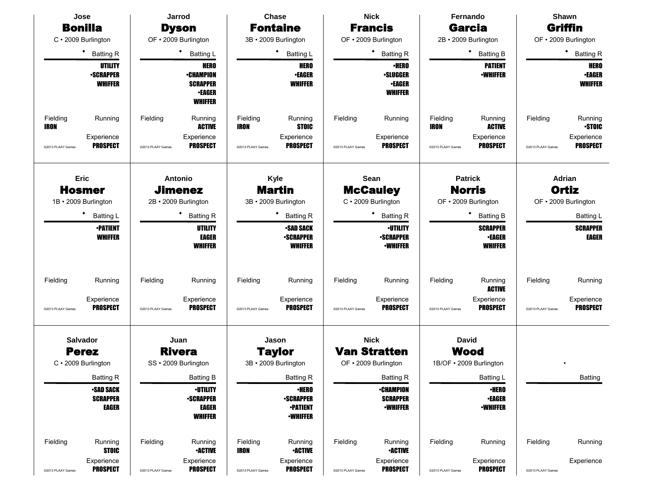| Jose                                          |                                                                  |                               | Jarrod                                                                                |                                              | <b>Chase</b>                                                                               |                               | <b>Nick</b>                                                                |                               | Fernando                                                             |                               | Shawn                                          |
|-----------------------------------------------|------------------------------------------------------------------|-------------------------------|---------------------------------------------------------------------------------------|----------------------------------------------|--------------------------------------------------------------------------------------------|-------------------------------|----------------------------------------------------------------------------|-------------------------------|----------------------------------------------------------------------|-------------------------------|------------------------------------------------|
| <b>Bonilla</b>                                |                                                                  |                               | <b>Dyson</b>                                                                          |                                              | <b>Fontaine</b>                                                                            |                               | <b>Francis</b>                                                             |                               | <b>Garcia</b>                                                        |                               | Griffin                                        |
| C · 2009 Burlington                           |                                                                  |                               | OF · 2009 Burlington                                                                  |                                              | 3B · 2009 Burlington                                                                       |                               | OF · 2009 Burlington                                                       |                               | 2B · 2009 Burlington                                                 |                               | OF · 2009 Burlington                           |
|                                               | $\bullet$<br><b>Batting R</b>                                    |                               | $\bullet$<br><b>Batting L</b>                                                         |                                              | $\bullet$<br><b>Batting L</b>                                                              |                               | ٠<br><b>Batting R</b>                                                      |                               | ٠<br><b>Batting B</b>                                                |                               | ٠<br><b>Batting R</b>                          |
|                                               | UTILITY<br><b>-SCRAPPER</b><br><b>WHIFFER</b>                    |                               | <b>HERO</b><br><b>•CHAMPION</b><br><b>SCRAPPER</b><br><b>•EAGER</b><br><b>WHIFFER</b> |                                              | <b>HERO</b><br><b>-EAGER</b><br><b>WHIFFER</b>                                             |                               | <b>•HERO</b><br><b>.SLUGGER</b><br><b>-EAGER</b><br><b>WHIFFER</b>         |                               | <b>PATIENT</b><br><b>-WHIFFER</b>                                    |                               | <b>HERO</b><br><b>•EAGER</b><br><b>WHIFFER</b> |
| Fielding<br>IRON                              | Running                                                          | Fielding                      | Running<br><b>ACTIVE</b>                                                              | Fielding<br><b>IRON</b>                      | Running<br><b>STOIC</b>                                                                    | Fielding                      | Running                                                                    | Fielding<br><b>IRON</b>       | Running<br><b>ACTIVE</b>                                             | Fielding                      | Running<br><b>STOIC</b>                        |
| @2013 PLAAY Games                             | Experience<br><b>PROSPECT</b>                                    | @2013 PLAAY Games             | Experience<br><b>PROSPECT</b>                                                         | @2013 PLAAY Games                            | Experience<br><b>PROSPECT</b>                                                              | @2013 PLAAY Games             | Experience<br><b>PROSPECT</b>                                              | @2013 PLAAY Games             | Experience<br><b>PROSPECT</b>                                        | @2013 PLAAY Games             | Experience<br><b>PROSPECT</b>                  |
| Eric<br><b>Hosmer</b><br>1B · 2009 Burlington |                                                                  |                               | <b>Antonio</b><br><b>Jimenez</b><br>2B · 2009 Burlington                              |                                              | Kyle<br><b>Martin</b><br>3B · 2009 Burlington                                              |                               | Sean<br><b>McCauley</b><br>C · 2009 Burlington                             |                               | <b>Patrick</b><br><b>Norris</b><br>OF · 2009 Burlington              |                               | Adrian<br>Ortiz<br>OF • 2009 Burlington        |
|                                               | ٠<br><b>Batting L</b>                                            |                               | ٠<br><b>Batting R</b>                                                                 |                                              | <b>Batting R</b>                                                                           |                               | <b>Batting R</b>                                                           |                               | <b>Batting B</b>                                                     |                               | <b>Batting L</b>                               |
|                                               | <b>•PATIENT</b><br><b>WHIFFER</b>                                |                               | UTILITY<br><b>EAGER</b><br><b>WHIFFER</b>                                             |                                              | <b>-SAD SACK</b><br><b>-SCRAPPER</b><br><b>WHIFFER</b>                                     |                               | <b>-UTILITY</b><br><b>-SCRAPPER</b><br><b>•WHIFFER</b>                     |                               | <b>SCRAPPER</b><br><b>-EAGER</b><br><b>WHIFFER</b>                   |                               | <b>SCRAPPER</b><br><b>EAGER</b>                |
| Fielding                                      | Running                                                          | Fielding                      | Running                                                                               | Fielding                                     | Running                                                                                    | Fielding                      | Running                                                                    | Fielding                      | Running<br><b>ACTIVE</b>                                             | Fielding                      | Running                                        |
| @2013 PLAAY Games                             | Experience<br><b>PROSPECT</b>                                    | @2013 PLAAY Games             | Experience<br><b>PROSPECT</b>                                                         | @2013 PLAAY Games                            | Experience<br><b>PROSPECT</b>                                                              | @2013 PLAAY Games             | Experience<br><b>PROSPECT</b>                                              | @2013 PLAAY Games             | Experience<br><b>PROSPECT</b>                                        | @2013 PLAAY Games             | Experience<br><b>PROSPECT</b>                  |
| <b>Salvador</b>                               |                                                                  |                               | Juan                                                                                  |                                              | Jason                                                                                      |                               | <b>Nick</b>                                                                |                               | <b>David</b>                                                         |                               |                                                |
| <b>Perez</b>                                  |                                                                  |                               | <b>Rivera</b><br>SS · 2009 Burlington                                                 |                                              | <b>Taylor</b>                                                                              |                               | <b>Van Stratten</b><br>OF · 2009 Burlington                                |                               | <b>Wood</b>                                                          |                               |                                                |
| C · 2009 Burlington                           |                                                                  |                               |                                                                                       |                                              | 3B · 2009 Burlington                                                                       |                               |                                                                            |                               | 1B/OF · 2009 Burlington                                              |                               |                                                |
|                                               | <b>Batting R</b><br><b>-SAD SACK</b><br><b>SCRAPPER</b><br>EAGER |                               | <b>Batting B</b><br><b>-UTILITY</b><br><b>•SCRAPPER</b><br>EAGER<br><b>WHIFFER</b>    |                                              | <b>Batting R</b><br>$\cdot$ HERO<br><b>-SCRAPPER</b><br><b>•PATIENT</b><br><b>-WHIFFER</b> |                               | <b>Batting R</b><br><b>•CHAMPION</b><br><b>SCRAPPER</b><br><b>-WHIFFER</b> |                               | <b>Batting L</b><br><b>•HERO</b><br><b>•EAGER</b><br><b>-WHIFFER</b> |                               | Batting                                        |
| Fielding<br>@2013 PLAAY Games                 | Running<br><b>STOIC</b><br>Experience<br><b>PROSPECT</b>         | Fielding<br>@2013 PLAAY Games | Running<br><b>•ACTIVE</b><br>Experience<br><b>PROSPECT</b>                            | Fielding<br><b>IRON</b><br>@2013 PLAAY Games | Running<br><b>•ACTIVE</b><br>Experience<br><b>PROSPECT</b>                                 | Fielding<br>@2013 PLAAY Games | Running<br><b>•ACTIVE</b><br>Experience<br><b>PROSPECT</b>                 | Fielding<br>@2013 PLAAY Games | Running<br>Experience<br><b>PROSPECT</b>                             | Fielding<br>@2013 PLAAY Games | Running<br>Experience                          |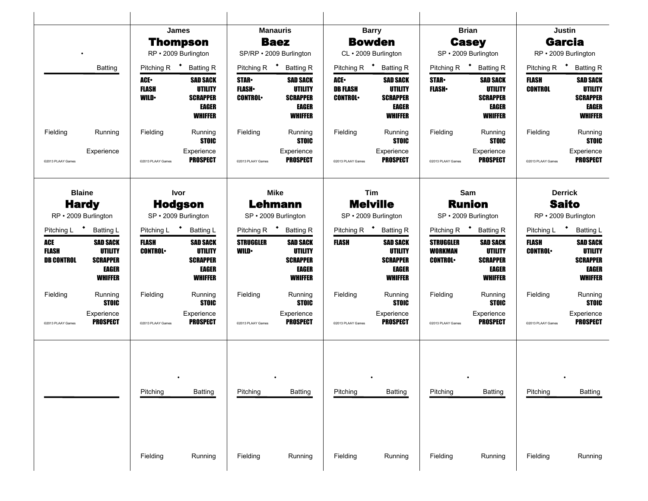|                                          |                                                                                 |                                     | James                                                                    |                                               | <b>Manauris</b>                                                                 |                                                   | <b>Barry</b>                                                             |                                                      | <b>Brian</b>                                                                    |                                   | Justin                                                                                 |
|------------------------------------------|---------------------------------------------------------------------------------|-------------------------------------|--------------------------------------------------------------------------|-----------------------------------------------|---------------------------------------------------------------------------------|---------------------------------------------------|--------------------------------------------------------------------------|------------------------------------------------------|---------------------------------------------------------------------------------|-----------------------------------|----------------------------------------------------------------------------------------|
|                                          |                                                                                 |                                     | <b>Thompson</b>                                                          |                                               | <b>Baez</b>                                                                     |                                                   | <b>Bowden</b>                                                            |                                                      | <b>Casey</b>                                                                    |                                   | <b>Garcia</b>                                                                          |
|                                          |                                                                                 |                                     | RP · 2009 Burlington                                                     |                                               | SP/RP · 2009 Burlington                                                         |                                                   | CL · 2009 Burlington                                                     |                                                      | SP · 2009 Burlington                                                            | RP · 2009 Burlington              |                                                                                        |
|                                          | Batting                                                                         |                                     | Pitching R <sup>+</sup> Batting R                                        | Pitching R $\bullet$                          | <b>Batting R</b>                                                                |                                                   | Pitching R <sup>+</sup> Batting R                                        |                                                      | Pitching R <sup>+</sup> Batting R                                               | Pitching R <sup>+</sup> Batting R |                                                                                        |
|                                          |                                                                                 | ACE.<br><b>FLASH</b><br><b>WILD</b> | <b>SAD SACK</b><br>UTILITY<br><b>SCRAPPER</b><br>EAGER<br>WHIFFER        | <b>STAR</b><br><b>FLASH</b><br><b>CONTROL</b> | <b>SAD SACK</b><br><b>UTILITY</b><br><b>SCRAPPER</b><br>EAGER<br><b>WHIFFER</b> | <b>ACE</b> •<br><b>DB FLASH</b><br><b>CONTROL</b> | <b>SAD SACK</b><br><b>UTILITY</b><br><b>SCRAPPER</b><br>EAGER<br>WHIFFER | <b>STAR</b><br><b>FLASH</b>                          | <b>SAD SACK</b><br><b>UTILITY</b><br><b>SCRAPPER</b><br>EAGER<br><b>WHIFFER</b> | FLASH<br><b>CONTROL</b>           | <b>SAD SACK</b><br><b>UTILITY</b><br><b>SCRAPPER</b><br><b>EAGER</b><br><b>WHIFFER</b> |
| Fielding                                 | Running                                                                         | Fielding                            | Running<br><b>STOIC</b>                                                  | Fielding                                      | Running<br><b>STOIC</b>                                                         | Fielding                                          | Running<br><b>STOIC</b>                                                  | Fielding                                             | Running<br><b>STOIC</b>                                                         | Fielding                          | Running<br><b>STOIC</b>                                                                |
| @2013 PLAAY Games                        | Experience                                                                      | @2013 PLAAY Games                   | Experience<br><b>PROSPECT</b>                                            | @2013 PLAAY Games                             | Experience<br><b>PROSPECT</b>                                                   | @2013 PLAAY Games                                 | Experience<br><b>PROSPECT</b>                                            | @2013 PLAAY Games                                    | Experience<br><b>PROSPECT</b>                                                   | @2013 PLAAY Games                 | Experience<br><b>PROSPECT</b>                                                          |
|                                          | <b>Blaine</b>                                                                   |                                     | <b>Ivor</b>                                                              |                                               | Mike                                                                            |                                                   | Tim                                                                      |                                                      | Sam                                                                             |                                   | <b>Derrick</b>                                                                         |
|                                          | <b>Hardy</b>                                                                    |                                     | <b>Hodgson</b>                                                           |                                               | <b>Lehmann</b>                                                                  |                                                   | <b>Melville</b>                                                          |                                                      | <b>Runion</b>                                                                   |                                   | <b>Saito</b>                                                                           |
|                                          | RP · 2009 Burlington                                                            |                                     | SP · 2009 Burlington                                                     |                                               | SP · 2009 Burlington                                                            |                                                   | SP · 2009 Burlington                                                     |                                                      | SP · 2009 Burlington                                                            | RP · 2009 Burlington              |                                                                                        |
|                                          | Pitching L * Batting L                                                          |                                     | Pitching L <sup>+</sup> Batting L                                        |                                               | Pitching R <sup>+</sup> Batting R                                               |                                                   | Pitching R <sup>+</sup> Batting R                                        |                                                      | Pitching R <sup>+</sup> Batting R                                               | Pitching L * Batting L            |                                                                                        |
| ACE<br><b>FLASH</b><br><b>DB CONTROL</b> | <b>SAD SACK</b><br><b>UTILITY</b><br><b>SCRAPPER</b><br>EAGER<br><b>WHIFFER</b> | <b>FLASH</b><br><b>CONTROL</b>      | <b>SAD SACK</b><br><b>UTILITY</b><br><b>SCRAPPER</b><br>EAGER<br>WHIFFER | <b>STRUGGLER</b><br><b>WILD</b>               | <b>SAD SACK</b><br><b>UTILITY</b><br><b>SCRAPPER</b><br>EAGER<br><b>WHIFFER</b> | <b>FLASH</b>                                      | <b>SAD SACK</b><br><b>UTILITY</b><br><b>SCRAPPER</b><br>EAGER<br>WHIFFER | <b>STRUGGLER</b><br><b>WORKMAN</b><br><b>CONTROL</b> | <b>SAD SACK</b><br><b>UTILITY</b><br><b>SCRAPPER</b><br>EAGER<br><b>WHIFFER</b> | <b>FLASH</b><br><b>CONTROL</b>    | <b>SAD SACK</b><br><b>UTILITY</b><br><b>SCRAPPER</b><br><b>EAGER</b><br><b>WHIFFER</b> |
| Fielding                                 | Running<br><b>STOIC</b>                                                         | Fielding                            | Running<br><b>STOIC</b>                                                  | Fielding                                      | Running<br><b>STOIC</b>                                                         | Fielding                                          | Running<br><b>STOIC</b>                                                  | Fielding                                             | Running<br><b>STOIC</b>                                                         | Fielding                          | Running<br><b>STOIC</b>                                                                |
| @2013 PLAAY Games                        | Experience<br><b>PROSPECT</b>                                                   | @2013 PLAAY Games                   | Experience<br><b>PROSPECT</b>                                            | @2013 PLAAY Games                             | Experience<br><b>PROSPECT</b>                                                   | @2013 PLAAY Games                                 | Experience<br>PROSPECT                                                   | @2013 PLAAY Games                                    | Experience<br><b>PROSPECT</b>                                                   | @2013 PLAAY Games                 | Experience<br><b>PROSPECT</b>                                                          |
|                                          |                                                                                 | Pitching                            | <b>Batting</b>                                                           | Pitching                                      | <b>Batting</b>                                                                  | Pitching                                          | <b>Batting</b>                                                           | Pitching                                             | <b>Batting</b>                                                                  | Pitching                          | Batting                                                                                |
|                                          |                                                                                 |                                     |                                                                          |                                               |                                                                                 |                                                   |                                                                          |                                                      |                                                                                 |                                   |                                                                                        |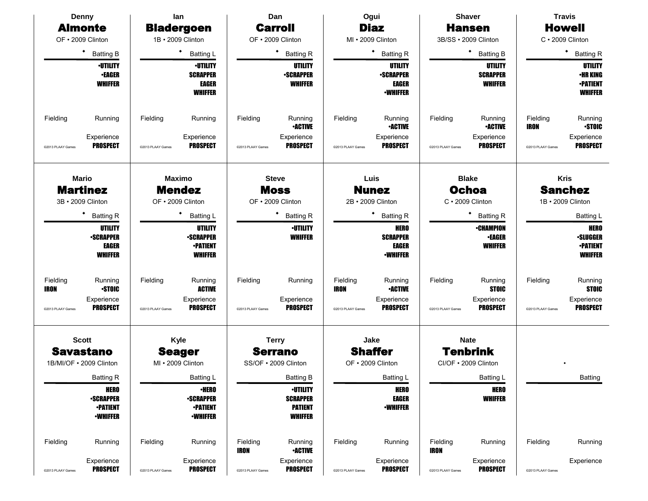| <b>Denny</b>                                       | lan                                                | Dan                                                  | Ogui                                                | <b>Shaver</b>                                       | <b>Travis</b>                                             |
|----------------------------------------------------|----------------------------------------------------|------------------------------------------------------|-----------------------------------------------------|-----------------------------------------------------|-----------------------------------------------------------|
| <b>Almonte</b>                                     | <b>Bladergoen</b>                                  | <b>Carroll</b>                                       | <b>Diaz</b>                                         | <b>Hansen</b>                                       | <b>Howell</b>                                             |
| OF · 2009 Clinton                                  | 1B · 2009 Clinton                                  | OF . 2009 Clinton                                    | MI . 2009 Clinton                                   | 3B/SS · 2009 Clinton                                | $C \cdot 2009$ Clinton                                    |
| ٠<br><b>Batting B</b>                              | Batting L                                          | ٠<br><b>Batting R</b>                                | * Batting R                                         | * Batting B                                         | ٠<br><b>Batting R</b>                                     |
| <b>•UTILITY</b>                                    | <b>-UTILITY</b>                                    | <b>UTILITY</b>                                       | UTILITY                                             | UTILITY                                             | UTILITY                                                   |
| <b>•EAGER</b><br><b>WHIFFER</b>                    | <b>SCRAPPER</b><br><b>EAGER</b>                    | <b>-SCRAPPER</b><br><b>WHIFFER</b>                   | <b>•SCRAPPER</b><br>EAGER                           | <b>SCRAPPER</b><br><b>WHIFFER</b>                   | <b>·HR KING</b><br><b>-PATIENT</b>                        |
|                                                    | <b>WHIFFER</b>                                     |                                                      | <b>•WHIFFER</b>                                     |                                                     | <b>WHIFFER</b>                                            |
| Fielding<br>Running<br>Experience                  | Fielding<br>Running<br>Experience                  | Fielding<br>Running<br><b>•ACTIVE</b><br>Experience  | Fielding<br>Running<br><b>•ACTIVE</b><br>Experience | Fielding<br>Running<br><b>•ACTIVE</b><br>Experience | Fielding<br>Running<br><b>STOIC</b><br>IRON<br>Experience |
| <b>PROSPECT</b><br>@2013 PLAAY Games               | <b>PROSPECT</b><br>@2013 PLAAY Games               | <b>PROSPECT</b><br>@2013 PLAAY Games                 | <b>PROSPECT</b><br>@2013 PLAAY Games                | <b>PROSPECT</b><br>@2013 PLAAY Games                | <b>PROSPECT</b><br>@2013 PLAAY Games                      |
| <b>Mario</b>                                       | <b>Maximo</b>                                      | <b>Steve</b>                                         | Luis                                                | <b>Blake</b>                                        | <b>Kris</b>                                               |
| <b>Martinez</b>                                    | <b>Mendez</b>                                      | <b>Moss</b>                                          | <b>Nunez</b>                                        | <b>Ochoa</b>                                        | <b>Sanchez</b>                                            |
| 3B · 2009 Clinton                                  | OF . 2009 Clinton                                  | OF . 2009 Clinton                                    | 2B · 2009 Clinton                                   | $C \cdot 2009$ Clinton                              | 1B · 2009 Clinton                                         |
| <b>Batting R</b>                                   | <b>Batting L</b>                                   | ٠<br><b>Batting R</b>                                | <b>Batting R</b>                                    | ٠<br><b>Batting R</b>                               | Batting L                                                 |
| UTILITY                                            | <b>UTILITY</b>                                     | <b>·UTILITY</b>                                      | <b>HERO</b>                                         | <b>•CHAMPION</b>                                    | <b>HERO</b>                                               |
| <b>•SCRAPPER</b>                                   | <b>•SCRAPPER</b>                                   | <b>WHIFFER</b>                                       | <b>SCRAPPER</b>                                     | <b>•EAGER</b>                                       | <b>•SLUGGER</b>                                           |
| EAGER<br><b>WHIFFER</b>                            | <b>-PATIENT</b><br><b>WHIFFER</b>                  |                                                      | <b>EAGER</b><br><b>•WHIFFER</b>                     | <b>WHIFFER</b>                                      | <b>•PATIENT</b><br><b>WHIFFER</b>                         |
|                                                    |                                                    |                                                      |                                                     |                                                     |                                                           |
| Fielding<br>Running<br><b>STOIC</b><br>IRON        | Fielding<br>Running<br><b>ACTIVE</b>               | Fielding<br>Running                                  | Fielding<br>Running<br><b>•ACTIVE</b><br>IRON       | Fielding<br>Running<br><b>STOIC</b>                 | Fielding<br>Running<br><b>STOIC</b>                       |
| Experience                                         | Experience                                         | Experience                                           | Experience                                          | Experience                                          | Experience                                                |
| <b>PROSPECT</b><br>@2013 PLAAY Games               | <b>PROSPECT</b><br>@2013 PLAAY Games               | <b>PROSPECT</b><br>@2013 PLAAY Games                 | <b>PROSPECT</b><br>@2013 PLAAY Games                | <b>PROSPECT</b><br>@2013 PLAAY Games                | <b>PROSPECT</b><br>@2013 PLAAY Games                      |
| <b>Scott</b>                                       | Kyle                                               | <b>Terry</b>                                         | Jake                                                | <b>Nate</b>                                         |                                                           |
| <b>Savastano</b>                                   | <b>Seager</b>                                      | <b>Serrano</b>                                       | <b>Shaffer</b>                                      | <b>Tenbrink</b>                                     |                                                           |
| 1B/MI/OF . 2009 Clinton                            | MI · 2009 Clinton                                  | SS/OF . 2009 Clinton                                 | OF . 2009 Clinton                                   | CI/OF . 2009 Clinton                                |                                                           |
| Batting R                                          | Batting L                                          | <b>Batting B</b>                                     | Batting L                                           | Batting L                                           | <b>Batting</b>                                            |
| <b>HERO</b>                                        | <b>•HERO</b>                                       | <b>-UTILITY</b>                                      | <b>HERO</b>                                         | <b>HERO</b>                                         |                                                           |
| <b>-SCRAPPER</b><br><b>•PATIENT</b>                | <b>•SCRAPPER</b><br><b>-PATIENT</b>                | <b>SCRAPPER</b><br><b>PATIENT</b>                    | <b>EAGER</b><br><b>-WHIFFER</b>                     | <b>WHIFFER</b>                                      |                                                           |
| <b>-WHIFFER</b>                                    | <b>-WHIFFER</b>                                    | <b>WHIFFER</b>                                       |                                                     |                                                     |                                                           |
| Fielding<br>Running                                | Fielding<br>Running                                | Fielding<br>Running<br><b>•ACTIVE</b><br><b>IRON</b> | Fielding<br>Running                                 | Fielding<br>Running<br><b>IRON</b>                  | Fielding<br>Running                                       |
| Experience<br><b>PROSPECT</b><br>@2013 PLAAY Games | Experience<br><b>PROSPECT</b><br>@2013 PLAAY Games | Experience<br><b>PROSPECT</b><br>@2013 PLAAY Games   | Experience<br><b>PROSPECT</b><br>@2013 PLAAY Games  | Experience<br><b>PROSPECT</b><br>@2013 PLAAY Games  | Experience<br>@2013 PLAAY Games                           |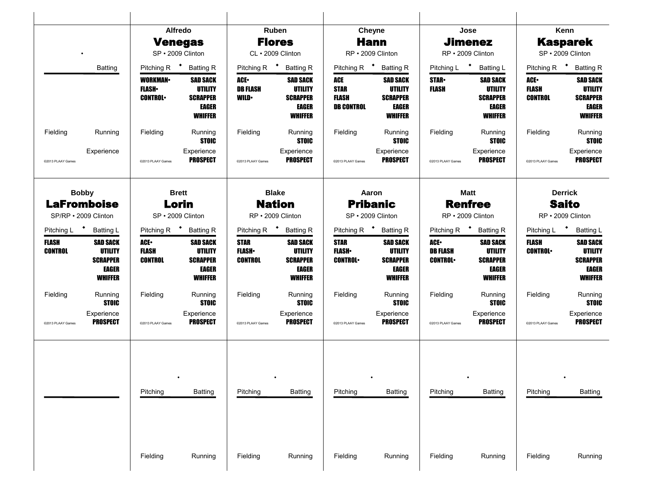|                                   |                                                                                 | <b>Alfredo</b>                                                                        | <b>Venegas</b>                                                                         |                                                                | Ruben<br><b>Flores</b>                                                                              | <b>Cheyne</b>                                                                                | <b>Hann</b>                                                                     |                                                  | Jose<br><b>Jimenez</b>                                                                              |                                                                                    | Kenn<br><b>Kasparek</b>                                                                |
|-----------------------------------|---------------------------------------------------------------------------------|---------------------------------------------------------------------------------------|----------------------------------------------------------------------------------------|----------------------------------------------------------------|-----------------------------------------------------------------------------------------------------|----------------------------------------------------------------------------------------------|---------------------------------------------------------------------------------|--------------------------------------------------|-----------------------------------------------------------------------------------------------------|------------------------------------------------------------------------------------|----------------------------------------------------------------------------------------|
|                                   |                                                                                 | SP · 2009 Clinton                                                                     |                                                                                        |                                                                | CL · 2009 Clinton                                                                                   | RP · 2009 Clinton                                                                            |                                                                                 |                                                  | RP · 2009 Clinton                                                                                   |                                                                                    | SP · 2009 Clinton                                                                      |
|                                   | Batting                                                                         | Pitching R <sup>+</sup> Batting R<br><b>WORKMAN</b><br><b>FLASH</b><br><b>CONTROL</b> | <b>SAD SACK</b><br><b>UTILITY</b><br><b>SCRAPPER</b><br><b>EAGER</b><br><b>WHIFFER</b> | Pitching R $\bullet$<br>ACE.<br><b>DB FLASH</b><br><b>WILD</b> | <b>Batting R</b><br><b>SAD SACK</b><br><b>UTILITY</b><br><b>SCRAPPER</b><br>EAGER<br><b>WHIFFER</b> | Pitching R <sup>+</sup> Batting R<br>ACE<br><b>STAR</b><br><b>FLASH</b><br><b>DB CONTROL</b> | <b>SAD SACK</b><br><b>UTILITY</b><br><b>SCRAPPER</b><br>EAGER<br><b>WHIFFER</b> | Pitching L <sup>+</sup><br><b>STAR-</b><br>FLASH | <b>Batting L</b><br><b>SAD SACK</b><br><b>UTILITY</b><br><b>SCRAPPER</b><br>EAGER<br><b>WHIFFER</b> | Pitching R <sup>+</sup> Batting R<br><b>ACE-</b><br><b>FLASH</b><br><b>CONTROL</b> | <b>SAD SACK</b><br><b>UTILITY</b><br><b>SCRAPPER</b><br><b>EAGER</b><br><b>WHIFFER</b> |
| Fielding<br>@2013 PLAAY Games     | Running<br>Experience                                                           | Fielding<br>@2013 PLAAY Games                                                         | Running<br><b>STOIC</b><br>Experience<br><b>PROSPECT</b>                               | Fielding<br>@2013 PLAAY Games                                  | Running<br><b>STOIC</b><br>Experience<br><b>PROSPECT</b>                                            | Fielding<br>@2013 PLAAY Games                                                                | Running<br><b>STOIC</b><br>Experience<br><b>PROSPECT</b>                        | Fielding<br>@2013 PLAAY Games                    | Running<br><b>STOIC</b><br>Experience<br><b>PROSPECT</b>                                            | Fielding<br>@2013 PLAAY Games                                                      | Running<br><b>STOIC</b><br>Experience<br><b>PROSPECT</b>                               |
|                                   | <b>Bobby</b><br><b>LaFromboise</b><br>SP/RP · 2009 Clinton                      | <b>Brett</b><br>SP · 2009 Clinton                                                     | Lorin                                                                                  |                                                                | <b>Blake</b><br><b>Nation</b><br>RP · 2009 Clinton                                                  | Aaron<br><b>Pribanic</b><br>SP · 2009 Clinton                                                |                                                                                 |                                                  | <b>Matt</b><br><b>Renfree</b><br>RP · 2009 Clinton                                                  |                                                                                    | <b>Derrick</b><br><b>Saito</b><br>RP · 2009 Clinton                                    |
| Pitching L <sup>+</sup> Batting L |                                                                                 | Pitching R <sup>+</sup> Batting R                                                     |                                                                                        |                                                                | Pitching R <sup>+</sup> Batting R                                                                   | Pitching R <sup>+</sup> Batting R                                                            |                                                                                 |                                                  | Pitching R <sup>+</sup> Batting R                                                                   | Pitching L <sup>+</sup> Batting L                                                  |                                                                                        |
| <b>FLASH</b><br><b>CONTROL</b>    | <b>SAD SACK</b><br><b>UTILITY</b><br><b>SCRAPPER</b><br>EAGER<br><b>WHIFFER</b> | ACE.<br><b>FLASH</b><br><b>CONTROL</b>                                                | <b>SAD SACK</b><br><b>UTILITY</b><br><b>SCRAPPER</b><br><b>EAGER</b><br><b>WHIFFER</b> | <b>STAR</b><br><b>FLASH</b><br><b>CONTROL</b>                  | <b>SAD SACK</b><br><b>UTILITY</b><br><b>SCRAPPER</b><br>EAGER<br><b>WHIFFER</b>                     | <b>STAR</b><br><b>FLASH</b><br><b>CONTROL</b>                                                | <b>SAD SACK</b><br><b>UTILITY</b><br><b>SCRAPPER</b><br>EAGER<br><b>WHIFFER</b> | ACE.<br><b>DB FLASH</b><br><b>CONTROL</b>        | <b>SAD SACK</b><br><b>UTILITY</b><br><b>SCRAPPER</b><br>EAGER<br><b>WHIFFER</b>                     | <b>FLASH</b><br><b>CONTROL</b>                                                     | <b>SAD SACK</b><br><b>UTILITY</b><br><b>SCRAPPER</b><br><b>EAGER</b><br><b>WHIFFER</b> |
| Fielding                          | Running<br><b>STOIC</b>                                                         | Fielding                                                                              | Running<br><b>STOIC</b>                                                                | Fielding                                                       | Running<br><b>STOIC</b>                                                                             | Fielding                                                                                     | Running<br><b>STOIC</b>                                                         | Fielding                                         | Running<br><b>STOIC</b>                                                                             | Fielding                                                                           | Running<br><b>STOIC</b>                                                                |
| @2013 PLAAY Games                 | Experience<br><b>PROSPECT</b>                                                   | @2013 PLAAY Games                                                                     | Experience<br><b>PROSPECT</b>                                                          | @2013 PLAAY Games                                              | Experience<br><b>PROSPECT</b>                                                                       | @2013 PLAAY Games                                                                            | Experience<br><b>PROSPECT</b>                                                   | @2013 PLAAY Games                                | Experience<br><b>PROSPECT</b>                                                                       | @2013 PLAAY Games                                                                  | Experience<br><b>PROSPECT</b>                                                          |
|                                   |                                                                                 | Pitching                                                                              | <b>Batting</b>                                                                         | Pitching                                                       | Batting                                                                                             | Pitching                                                                                     | Batting                                                                         | Pitching                                         | Batting                                                                                             | Pitching                                                                           | <b>Batting</b>                                                                         |
|                                   |                                                                                 |                                                                                       |                                                                                        |                                                                |                                                                                                     |                                                                                              |                                                                                 |                                                  |                                                                                                     |                                                                                    |                                                                                        |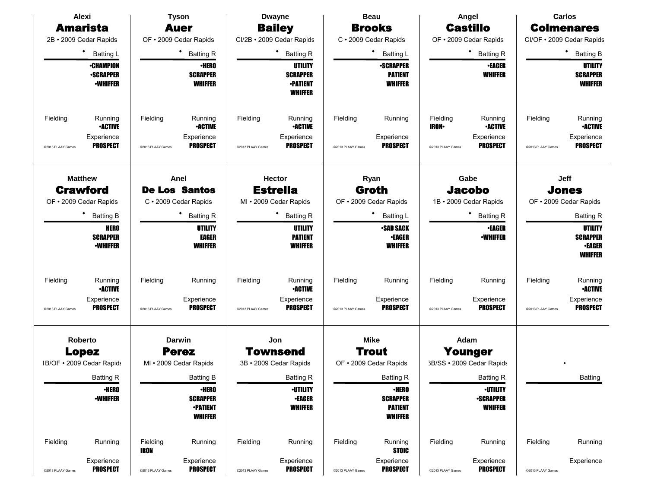|                   | Alexi                                                   |                         | <b>Tyson</b>                                         |                   | <b>Dwayne</b>                                                   |                   | <b>Beau</b>                                          |                           | Angel                                   |                   | <b>Carlos</b>                                      |
|-------------------|---------------------------------------------------------|-------------------------|------------------------------------------------------|-------------------|-----------------------------------------------------------------|-------------------|------------------------------------------------------|---------------------------|-----------------------------------------|-------------------|----------------------------------------------------|
|                   | <b>Amarista</b>                                         |                         | <b>Auer</b>                                          |                   | <b>Bailey</b>                                                   |                   | <b>Brooks</b>                                        |                           | <b>Castillo</b>                         |                   | <b>Colmenares</b>                                  |
|                   | 2B · 2009 Cedar Rapids                                  |                         | OF . 2009 Cedar Rapids                               |                   | CI/2B · 2009 Cedar Rapids                                       |                   | C · 2009 Cedar Rapids                                |                           | OF . 2009 Cedar Rapids                  |                   | CI/OF . 2009 Cedar Rapids                          |
|                   | ٠<br><b>Batting L</b>                                   |                         | ٠<br><b>Batting R</b>                                |                   | $\bullet$<br><b>Batting R</b>                                   |                   | ٠<br><b>Batting L</b>                                |                           | ٠<br><b>Batting R</b>                   |                   | <b>Batting B</b>                                   |
|                   | <b>•CHAMPION</b><br><b>•SCRAPPER</b><br><b>-WHIFFER</b> |                         | <b>•HERO</b><br><b>SCRAPPER</b><br><b>WHIFFER</b>    |                   | UTILITY<br><b>SCRAPPER</b><br><b>•PATIENT</b><br><b>WHIFFER</b> |                   | <b>•SCRAPPER</b><br><b>PATIENT</b><br><b>WHIFFER</b> |                           | <b>•EAGER</b><br><b>WHIFFER</b>         |                   | UTILITY<br><b>SCRAPPER</b><br><b>WHIFFER</b>       |
| Fielding          | Running<br><b>•ACTIVE</b>                               | Fielding                | Running<br><b>•ACTIVE</b>                            | Fielding          | Running<br><b>-ACTIVE</b>                                       | Fielding          | Running                                              | Fielding<br><b>IRON</b> • | Running<br><b>•ACTIVE</b>               | Fielding          | Running<br><b>•ACTIVE</b>                          |
| @2013 PLAAY Games | Experience<br><b>PROSPECT</b>                           | @2013 PLAAY Games       | Experience<br><b>PROSPECT</b>                        | @2013 PLAAY Games | Experience<br>PROSPECT                                          | @2013 PLAAY Games | Experience<br><b>PROSPECT</b>                        | @2013 PLAAY Games         | Experience<br><b>PROSPECT</b>           | @2013 PLAAY Games | Experience<br><b>PROSPECT</b>                      |
|                   | <b>Matthew</b>                                          |                         | Anel                                                 |                   | <b>Hector</b>                                                   |                   | Ryan                                                 |                           | Gabe                                    |                   | Jeff                                               |
|                   | <b>Crawford</b><br>OF . 2009 Cedar Rapids               |                         | <b>De Los Santos</b><br>C · 2009 Cedar Rapids        |                   | <b>Estrella</b><br>MI • 2009 Cedar Rapids                       |                   | <b>Groth</b><br>OF . 2009 Cedar Rapids               |                           | <b>Jacobo</b><br>1B · 2009 Cedar Rapids |                   | <b>Jones</b><br>OF . 2009 Cedar Rapids             |
|                   | <b>Batting B</b>                                        |                         | ٠<br><b>Batting R</b>                                |                   | <b>Batting R</b>                                                |                   | ٠<br><b>Batting L</b>                                |                           | ٠<br><b>Batting R</b>                   |                   | <b>Batting R</b>                                   |
|                   | <b>HERO</b>                                             |                         | UTILITY                                              |                   | <b>UTILITY</b>                                                  |                   | <b>SAD SACK</b>                                      |                           | <b>-EAGER</b>                           |                   | <b>UTILITY</b>                                     |
|                   | <b>SCRAPPER</b><br><b>-WHIFFER</b>                      |                         | <b>EAGER</b><br><b>WHIFFER</b>                       |                   | <b>PATIENT</b><br><b>WHIFFER</b>                                |                   | <b>•EAGER</b><br><b>WHIFFER</b>                      |                           | <b>-WHIFFER</b>                         |                   | <b>SCRAPPER</b><br><b>•EAGER</b><br><b>WHIFFER</b> |
| Fielding          | Running<br><b>•ACTIVE</b>                               | Fielding                | Running                                              | Fielding          | Running<br><b>•ACTIVE</b>                                       | Fielding          | Running                                              | Fielding                  | Running                                 | Fielding          | Running<br><b>•ACTIVE</b>                          |
| @2013 PLAAY Games | Experience<br><b>PROSPECT</b>                           | @2013 PLAAY Games       | Experience<br><b>PROSPECT</b>                        | @2013 PLAAY Games | Experience<br><b>PROSPECT</b>                                   | @2013 PLAAY Games | Experience<br><b>PROSPECT</b>                        | @2013 PLAAY Games         | Experience<br><b>PROSPECT</b>           | @2013 PLAAY Games | Experience<br><b>PROSPECT</b>                      |
|                   | Roberto                                                 |                         | <b>Darwin</b>                                        |                   | Jon                                                             |                   | <b>Mike</b>                                          |                           | Adam                                    |                   |                                                    |
|                   | <b>Lopez</b>                                            |                         | <b>Perez</b>                                         |                   | Townsend                                                        |                   | <b>Trout</b>                                         |                           | <b>Younger</b>                          |                   |                                                    |
|                   | 1B/OF . 2009 Cedar Rapids                               |                         | MI • 2009 Cedar Rapids                               |                   | 3B · 2009 Cedar Rapids                                          |                   | OF . 2009 Cedar Rapids                               |                           | 3B/SS · 2009 Cedar Rapids               |                   |                                                    |
|                   | <b>Batting R</b><br><b>•HERO</b>                        |                         | <b>Batting B</b><br><b>•HERO</b>                     |                   | <b>Batting R</b><br><b>·UTILITY</b>                             |                   | <b>Batting R</b><br><b>•HERO</b>                     |                           | <b>Batting R</b><br><b>·UTILITY</b>     |                   | <b>Batting</b>                                     |
|                   | <b>-WHIFFER</b>                                         |                         | <b>SCRAPPER</b><br><b>-PATIENT</b><br><b>WHIFFER</b> |                   | <b>•EAGER</b><br><b>WHIFFER</b>                                 |                   | <b>SCRAPPER</b><br><b>PATIENT</b><br><b>WHIFFER</b>  |                           | <b>-SCRAPPER</b><br><b>WHIFFER</b>      |                   |                                                    |
| Fielding          | Running                                                 | Fielding<br><b>IRON</b> | Running                                              | Fielding          | Running                                                         | Fielding          | Running<br><b>STOIC</b>                              | Fielding                  | Running                                 | Fielding          | Running                                            |
| @2013 PLAAY Games | Experience<br>PROSPECT                                  | @2013 PLAAY Games       | Experience<br><b>PROSPECT</b>                        | @2013 PLAAY Games | Experience<br><b>PROSPECT</b>                                   | @2013 PLAAY Games | Experience<br><b>PROSPECT</b>                        | @2013 PLAAY Games         | Experience<br><b>PROSPECT</b>           | @2013 PLAAY Games | Experience                                         |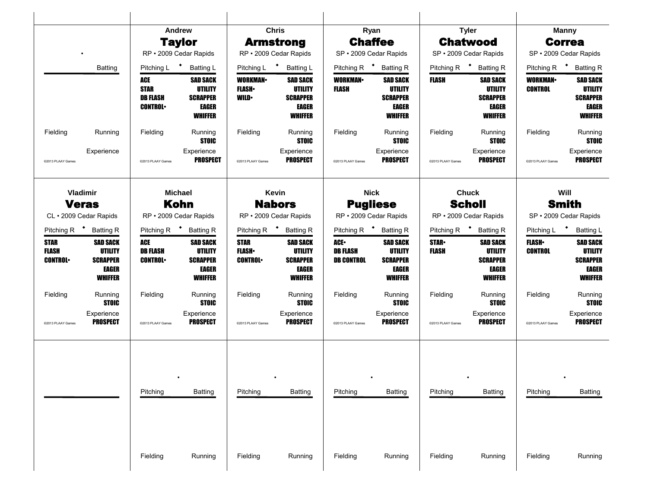|                                        |                                                                          |                                                         | Andrew                                                                          |                                               | <b>Chris</b>                                                                    |                                                    | Ryan                                                                            |                       | <b>Tyler</b>                                                                    |                                   | <b>Manny</b>                                                                           |
|----------------------------------------|--------------------------------------------------------------------------|---------------------------------------------------------|---------------------------------------------------------------------------------|-----------------------------------------------|---------------------------------------------------------------------------------|----------------------------------------------------|---------------------------------------------------------------------------------|-----------------------|---------------------------------------------------------------------------------|-----------------------------------|----------------------------------------------------------------------------------------|
|                                        |                                                                          |                                                         | <b>Taylor</b>                                                                   |                                               | <b>Armstrong</b>                                                                |                                                    | <b>Chaffee</b>                                                                  |                       | <b>Chatwood</b>                                                                 |                                   | <b>Correa</b>                                                                          |
|                                        |                                                                          |                                                         | RP · 2009 Cedar Rapids                                                          |                                               | RP · 2009 Cedar Rapids                                                          |                                                    | SP · 2009 Cedar Rapids                                                          |                       | SP · 2009 Cedar Rapids                                                          | SP · 2009 Cedar Rapids            |                                                                                        |
|                                        | <b>Batting</b>                                                           | Pitching L <sup>+</sup>                                 | <b>Batting L</b>                                                                |                                               | Pitching L <sup>+</sup> Batting L                                               |                                                    | Pitching R <sup>+</sup> Batting R                                               |                       | Pitching R <sup>+</sup> Batting R                                               | Pitching R <sup>+</sup> Batting R |                                                                                        |
|                                        |                                                                          | ACE<br><b>STAR</b><br><b>DB FLASH</b><br><b>CONTROL</b> | <b>SAD SACK</b><br>UTILITY<br><b>SCRAPPER</b><br>EAGER<br><b>WHIFFER</b>        | <b>WORKMAN</b><br><b>FLASH</b><br><b>WILD</b> | <b>SAD SACK</b><br>UTILITY<br><b>SCRAPPER</b><br>EAGER<br><b>WHIFFER</b>        | <b>WORKMAN</b><br>FLASH                            | <b>SAD SACK</b><br><b>UTILITY</b><br><b>SCRAPPER</b><br>EAGER<br>WHIFFER        | FLASH                 | <b>SAD SACK</b><br><b>UTILITY</b><br><b>SCRAPPER</b><br>EAGER<br><b>WHIFFER</b> | <b>WORKMAN-</b><br><b>CONTROL</b> | <b>SAD SACK</b><br><b>UTILITY</b><br><b>SCRAPPER</b><br>EAGER<br><b>WHIFFER</b>        |
| Fielding                               | Running                                                                  | Fielding                                                | Running<br><b>STOIC</b>                                                         | Fielding                                      | Running<br><b>STOIC</b>                                                         | Fielding                                           | Running<br><b>STOIC</b>                                                         | Fielding              | Running<br><b>STOIC</b>                                                         | Fielding                          | Running<br><b>STOIC</b>                                                                |
| @2013 PLAAY Games                      | Experience                                                               | @2013 PLAAY Games                                       | Experience<br><b>PROSPECT</b>                                                   | @2013 PLAAY Games                             | Experience<br><b>PROSPECT</b>                                                   | @2013 PLAAY Games                                  | Experience<br><b>PROSPECT</b>                                                   | @2013 PLAAY Games     | Experience<br><b>PROSPECT</b>                                                   | @2013 PLAAY Games                 | Experience<br><b>PROSPECT</b>                                                          |
|                                        | Vladimir                                                                 |                                                         | <b>Michael</b>                                                                  |                                               | Kevin                                                                           |                                                    | <b>Nick</b>                                                                     |                       | <b>Chuck</b>                                                                    |                                   | Will                                                                                   |
|                                        | <b>Veras</b>                                                             |                                                         | <b>Kohn</b>                                                                     |                                               | <b>Nabors</b>                                                                   |                                                    | <b>Pugliese</b>                                                                 |                       | <b>Scholl</b>                                                                   |                                   | <b>Smith</b>                                                                           |
|                                        | CL · 2009 Cedar Rapids                                                   |                                                         | RP · 2009 Cedar Rapids                                                          |                                               | RP · 2009 Cedar Rapids                                                          |                                                    | RP · 2009 Cedar Rapids                                                          |                       | RP · 2009 Cedar Rapids                                                          | SP · 2009 Cedar Rapids            |                                                                                        |
|                                        | Pitching R <sup>+</sup> Batting R                                        |                                                         | Pitching R <sup>+</sup> Batting R                                               |                                               | Pitching R <sup>+</sup> Batting R                                               |                                                    | Pitching R <sup>+</sup> Batting R                                               |                       | Pitching R <sup>+</sup> Batting R                                               | Pitching L <sup>+</sup>           | <b>Batting L</b>                                                                       |
| STAR<br><b>FLASH</b><br><b>CONTROL</b> | <b>SAD SACK</b><br><b>UTILITY</b><br><b>SCRAPPER</b><br>EAGER<br>WHIFFER | ACE<br><b>DB FLASH</b><br><b>CONTROL</b>                | <b>SAD SACK</b><br><b>UTILITY</b><br><b>SCRAPPER</b><br>EAGER<br><b>WHIFFER</b> | <b>STAR</b><br><b>FLASH</b><br><b>CONTROL</b> | <b>SAD SACK</b><br><b>UTILITY</b><br><b>SCRAPPER</b><br>EAGER<br><b>WHIFFER</b> | <b>ACE</b><br><b>DB FLASH</b><br><b>DB CONTROL</b> | <b>SAD SACK</b><br><b>UTILITY</b><br><b>SCRAPPER</b><br>EAGER<br><b>WHIFFER</b> | <b>STAR-</b><br>FLASH | <b>SAD SACK</b><br><b>UTILITY</b><br><b>SCRAPPER</b><br>EAGER<br><b>WHIFFER</b> | <b>FLASH</b><br><b>CONTROL</b>    | <b>SAD SACK</b><br><b>UTILITY</b><br><b>SCRAPPER</b><br><b>EAGER</b><br><b>WHIFFER</b> |
| Fielding                               | Running<br><b>STOIC</b>                                                  | Fielding                                                | Running<br><b>STOIC</b>                                                         | Fielding                                      | Running<br><b>STOIC</b>                                                         | Fielding                                           | Running<br><b>STOIC</b>                                                         | Fielding              | Running<br><b>STOIC</b>                                                         | Fielding                          | Running<br><b>STOIC</b>                                                                |
| @2013 PLAAY Games                      | Experience<br><b>PROSPECT</b>                                            | @2013 PLAAY Games                                       | Experience<br><b>PROSPECT</b>                                                   | @2013 PLAAY Games                             | Experience<br><b>PROSPECT</b>                                                   | @2013 PLAAY Games                                  | Experience<br><b>PROSPECT</b>                                                   | @2013 PLAAY Games     | Experience<br><b>PROSPECT</b>                                                   | @2013 PLAAY Games                 | Experience<br><b>PROSPECT</b>                                                          |
|                                        |                                                                          | Pitching                                                | <b>Batting</b>                                                                  | Pitching                                      | <b>Batting</b>                                                                  | Pitching                                           | <b>Batting</b>                                                                  | Pitching              | <b>Batting</b>                                                                  | Pitching                          | <b>Batting</b>                                                                         |
|                                        |                                                                          |                                                         |                                                                                 |                                               |                                                                                 |                                                    |                                                                                 |                       |                                                                                 |                                   |                                                                                        |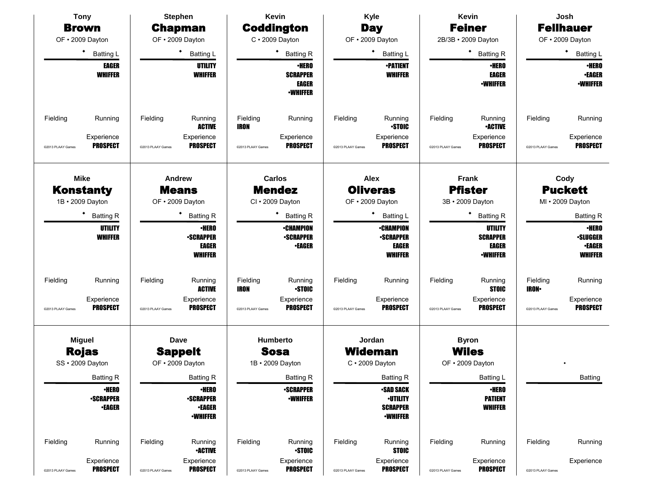| <b>Tony</b>                                                               | <b>Stephen</b>                                                                             | Kevin                                                                                    | Kyle                                                                                      | <b>Kevin</b>                                                                                | Josh                                                                      |
|---------------------------------------------------------------------------|--------------------------------------------------------------------------------------------|------------------------------------------------------------------------------------------|-------------------------------------------------------------------------------------------|---------------------------------------------------------------------------------------------|---------------------------------------------------------------------------|
| <b>Brown</b>                                                              | <b>Chapman</b>                                                                             | <b>Coddington</b>                                                                        | <b>Day</b>                                                                                | <b>Feiner</b>                                                                               | <b>Fellhauer</b>                                                          |
| OF · 2009 Dayton                                                          | OF · 2009 Dayton                                                                           | $C \cdot 2009$ Dayton                                                                    | OF · 2009 Dayton                                                                          | 2B/3B · 2009 Dayton                                                                         | OF · 2009 Dayton                                                          |
| $\bullet$<br><b>Batting L</b>                                             | <b>Batting L</b>                                                                           | ٠<br><b>Batting R</b>                                                                    | ٠<br><b>Batting L</b>                                                                     | ٠<br><b>Batting R</b>                                                                       | ٠<br><b>Batting L</b>                                                     |
| <b>EAGER</b><br><b>WHIFFER</b>                                            | UTILITY<br><b>WHIFFER</b>                                                                  | <b>•HERO</b><br><b>SCRAPPER</b><br>EAGER<br><b>•WHIFFER</b>                              | <b>•PATIENT</b><br><b>WHIFFER</b>                                                         | <b>•HERO</b><br><b>EAGER</b><br><b>-WHIFFER</b>                                             | <b>•HERO</b><br><b>•EAGER</b><br><b>-WHIFFER</b>                          |
| Fielding<br>Running<br>Experience<br><b>PROSPECT</b><br>@2013 PLAAY Games | Fielding<br>Running<br><b>ACTIVE</b><br>Experience<br><b>PROSPECT</b><br>@2013 PLAAY Games | Fielding<br>Running<br><b>IRON</b><br>Experience<br><b>PROSPECT</b><br>@2013 PLAAY Games | Fielding<br>Running<br><b>STOIC</b><br>Experience<br><b>PROSPECT</b><br>@2013 PLAAY Games | Fielding<br>Running<br><b>-ACTIVE</b><br>Experience<br><b>PROSPECT</b><br>@2013 PLAAY Games | Fielding<br>Running<br>Experience<br><b>PROSPECT</b><br>@2013 PLAAY Games |
| <b>Mike</b>                                                               | Andrew                                                                                     | Carlos                                                                                   | <b>Alex</b>                                                                               | Frank                                                                                       | Cody                                                                      |
| <b>Konstanty</b><br>1B · 2009 Dayton                                      | <b>Means</b><br>OF · 2009 Dayton                                                           | <b>Mendez</b><br>CI · 2009 Dayton                                                        | <b>Oliveras</b><br>OF · 2009 Dayton                                                       | <b>Pfister</b><br>3B · 2009 Dayton                                                          | <b>Puckett</b><br>MI · 2009 Dayton                                        |
| ٠<br><b>Batting R</b>                                                     | <b>Batting R</b>                                                                           | ٠<br><b>Batting R</b>                                                                    | <b>Batting L</b>                                                                          | <b>Batting R</b>                                                                            | <b>Batting R</b>                                                          |
| UTILITY<br><b>WHIFFER</b>                                                 | <b>•HERO</b><br><b>-SCRAPPER</b><br><b>EAGER</b><br><b>WHIFFER</b>                         | <b>•CHAMPION</b><br><b>•SCRAPPER</b><br><b>•EAGER</b>                                    | <b>•CHAMPION</b><br><b>-SCRAPPER</b><br><b>EAGER</b><br><b>WHIFFER</b>                    | UTILITY<br><b>SCRAPPER</b><br><b>EAGER</b><br><b>•WHIFFER</b>                               | <b>•HERO</b><br><b>•SLUGGER</b><br><b>•EAGER</b><br><b>WHIFFER</b>        |
| Fielding<br>Running                                                       | Fielding<br>Running<br><b>ACTIVE</b>                                                       | Fielding<br>Running<br><b>STOIC</b><br>IRON                                              | Fielding<br>Running                                                                       | Fielding<br>Running<br><b>STOIC</b>                                                         | Fielding<br>Running<br><b>IRON</b>                                        |
| Experience<br><b>PROSPECT</b><br>@2013 PLAAY Games                        | Experience<br><b>PROSPECT</b><br>@2013 PLAAY Games                                         | Experience<br><b>PROSPECT</b><br>@2013 PLAAY Games                                       | Experience<br><b>PROSPECT</b><br>@2013 PLAAY Games                                        | Experience<br><b>PROSPECT</b><br>@2013 PLAAY Games                                          | Experience<br><b>PROSPECT</b><br>@2013 PLAAY Games                        |
| <b>Miguel</b><br><b>Rojas</b>                                             | Dave<br><b>Sappelt</b>                                                                     | <b>Humberto</b><br><b>Sosa</b>                                                           | Jordan<br><b>Wideman</b>                                                                  | <b>Byron</b><br><b>Wiles</b>                                                                |                                                                           |
| SS · 2009 Dayton                                                          | OF . 2009 Dayton                                                                           | 1B · 2009 Dayton                                                                         | $C \cdot 2009$ Dayton                                                                     | OF . 2009 Dayton                                                                            |                                                                           |
| <b>Batting R</b>                                                          | Batting <sub>R</sub>                                                                       | <b>Batting R</b>                                                                         | <b>Batting R</b>                                                                          | Batting L                                                                                   | <b>Batting</b>                                                            |
| <b>•HERO</b><br><b>-SCRAPPER</b><br><b>-EAGER</b>                         | <b>•HERO</b><br><b>-SCRAPPER</b><br><b>•EAGER</b><br><b>-WHIFFER</b>                       | <b>-SCRAPPER</b><br><b>-WHIFFER</b>                                                      | •SAD SACK<br><b>-UTILITY</b><br><b>SCRAPPER</b><br><b>-WHIFFER</b>                        | ∙HERO<br><b>PATIENT</b><br><b>WHIFFER</b>                                                   |                                                                           |
| Fielding<br>Running                                                       | Fielding<br>Running<br><b>-ACTIVE</b>                                                      | Fielding<br>Running<br><b>STOIC</b>                                                      | Fielding<br>Running<br><b>STOIC</b>                                                       | Fielding<br>Running                                                                         | Fielding<br>Running                                                       |
| Experience<br><b>PROSPECT</b><br>@2013 PLAAY Games                        | Experience<br><b>PROSPECT</b><br>@2013 PLAAY Games                                         | Experience<br><b>PROSPECT</b><br>@2013 PLAAY Games                                       | Experience<br><b>PROSPECT</b><br>@2013 PLAAY Games                                        | Experience<br><b>PROSPECT</b><br>@2013 PLAAY Games                                          | Experience<br>@2013 PLAAY Games                                           |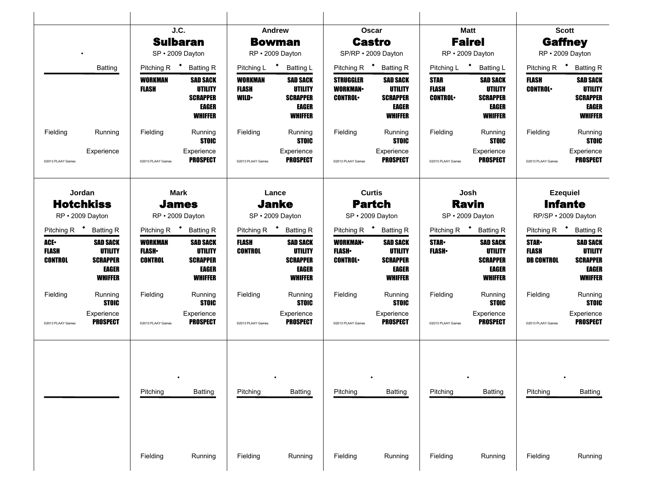|                                                                                    |                                                                                 | J.C.<br><b>Sulbaran</b>                                                               |                                                                          | Andrew                                                                   | <b>Bowman</b>                                                                                       |                                                       | Oscar<br><b>Castro</b>                                                                                                      |                                                                          | <b>Matt</b><br><b>Fairel</b>                                                                                         |                                                                                    | <b>Scott</b><br><b>Gaffney</b>                                                                                       |
|------------------------------------------------------------------------------------|---------------------------------------------------------------------------------|---------------------------------------------------------------------------------------|--------------------------------------------------------------------------|--------------------------------------------------------------------------|-----------------------------------------------------------------------------------------------------|-------------------------------------------------------|-----------------------------------------------------------------------------------------------------------------------------|--------------------------------------------------------------------------|----------------------------------------------------------------------------------------------------------------------|------------------------------------------------------------------------------------|----------------------------------------------------------------------------------------------------------------------|
|                                                                                    |                                                                                 | SP · 2009 Dayton                                                                      |                                                                          | RP · 2009 Dayton                                                         |                                                                                                     |                                                       | SP/RP · 2009 Dayton                                                                                                         |                                                                          | RP · 2009 Dayton                                                                                                     |                                                                                    | RP · 2009 Dayton                                                                                                     |
|                                                                                    | Batting                                                                         | Pitching R <sup>+</sup> Batting R<br>WORKMAN<br><b>FLASH</b>                          | <b>SAD SACK</b><br>UTILITY<br><b>SCRAPPER</b><br>EAGER<br><b>WHIFFER</b> | Pitching L <sup>+</sup><br><b>WORKMAN</b><br><b>FLASH</b><br><b>WILD</b> | <b>Batting L</b><br><b>SAD SACK</b><br><b>UTILITY</b><br><b>SCRAPPER</b><br>EAGER<br><b>WHIFFER</b> | <b>STRUGGLER</b><br><b>WORKMAN-</b><br><b>CONTROL</b> | Pitching R <sup>+</sup> Batting R<br><b>SAD SACK</b><br><b>UTILITY</b><br><b>SCRAPPER</b><br><b>EAGER</b><br><b>WHIFFER</b> | Pitching L <sup>+</sup><br><b>STAR</b><br><b>FLASH</b><br><b>CONTROL</b> | <b>Batting L</b><br><b>SAD SACK</b><br><b>UTILITY</b><br><b>SCRAPPER</b><br>EAGER<br><b>WHIFFER</b>                  | FLASH<br><b>CONTROL</b>                                                            | Pitching R <sup>+</sup> Batting R<br><b>SAD SACK</b><br><b>UTILITY</b><br><b>SCRAPPER</b><br>EAGER<br><b>WHIFFER</b> |
| Fielding<br>@2013 PLAAY Games                                                      | Running<br>Experience                                                           | Fielding<br>@2013 PLAAY Games                                                         | Running<br><b>STOIC</b><br>Experience<br><b>PROSPECT</b>                 | Fielding<br>@2013 PLAAY Games                                            | Running<br>STOIC<br>Experience<br><b>PROSPECT</b>                                                   | Fielding<br>@2013 PLAAY Games                         | Running<br><b>STOIC</b><br>Experience<br><b>PROSPECT</b>                                                                    | Fielding<br>@2013 PLAAY Games                                            | Running<br><b>STOIC</b><br>Experience<br><b>PROSPECT</b>                                                             | Fielding<br>@2013 PLAAY Games                                                      | Running<br><b>STOIC</b><br>Experience<br><b>PROSPECT</b>                                                             |
| Jordan<br><b>Hotchkiss</b><br>RP · 2009 Dayton                                     |                                                                                 | <b>Mark</b><br><b>James</b><br>RP · 2009 Dayton                                       |                                                                          | <b>Janke</b><br>SP · 2009 Dayton                                         | Lance                                                                                               |                                                       | <b>Curtis</b><br><b>Partch</b><br>SP · 2009 Dayton                                                                          |                                                                          | Josh<br><b>Ravin</b><br>SP · 2009 Dayton                                                                             |                                                                                    | <b>Ezequiel</b><br><b>Infante</b><br>RP/SP · 2009 Dayton                                                             |
| Pitching R <sup>+</sup> Batting R<br><b>ACE-</b><br><b>FLASH</b><br><b>CONTROL</b> | <b>SAD SACK</b><br><b>UTILITY</b><br><b>SCRAPPER</b><br>EAGER<br><b>WHIFFER</b> | Pitching R <sup>+</sup> Batting R<br><b>WORKMAN</b><br><b>FLASH</b><br><b>CONTROL</b> | <b>SAD SACK</b><br><b>UTILITY</b><br><b>SCRAPPER</b><br>EAGER<br>WHIFFER | Pitching R <sup>+</sup> Batting R<br><b>FLASH</b><br><b>CONTROL</b>      | <b>SAD SACK</b><br><b>UTILITY</b><br><b>SCRAPPER</b><br>EAGER<br>WHIFFER                            | <b>WORKMAN</b><br><b>FLASH</b><br><b>CONTROL</b>      | Pitching R <sup>+</sup> Batting R<br><b>SAD SACK</b><br><b>UTILITY</b><br><b>SCRAPPER</b><br>EAGER<br>WHIFFER               | <b>STAR</b><br><b>FLASH</b> •                                            | Pitching R <sup>+</sup> Batting R<br><b>SAD SACK</b><br><b>UTILITY</b><br><b>SCRAPPER</b><br>EAGER<br><b>WHIFFER</b> | Pitching R <b>*</b> Batting R<br><b>STAR-</b><br><b>FLASH</b><br><b>DB CONTROL</b> | <b>SAD SACK</b><br><b>UTILITY</b><br><b>SCRAPPER</b><br>EAGER<br><b>WHIFFER</b>                                      |
| Fielding<br>@2013 PLAAY Games                                                      | Running<br><b>STOIC</b><br>Experience<br><b>PROSPECT</b>                        | Fielding<br>@2013 PLAAY Games                                                         | Running<br><b>STOIC</b><br>Experience<br><b>PROSPECT</b>                 | Fielding<br>@2013 PLAAY Games                                            | Running<br><b>STOIC</b><br>Experience<br><b>PROSPECT</b>                                            | Fielding<br>@2013 PLAAY Games                         | Running<br><b>STOIC</b><br>Experience<br><b>PROSPECT</b>                                                                    | Fielding<br>@2013 PLAAY Games                                            | Running<br><b>STOIC</b><br>Experience<br><b>PROSPECT</b>                                                             | Fielding<br>@2013 PLAAY Games                                                      | Running<br><b>STOIC</b><br>Experience<br><b>PROSPECT</b>                                                             |
|                                                                                    |                                                                                 | Pitching                                                                              | <b>Batting</b>                                                           | Pitching                                                                 | <b>Batting</b>                                                                                      | Pitching                                              | <b>Batting</b>                                                                                                              | Pitching                                                                 | <b>Batting</b>                                                                                                       | Pitching                                                                           | Batting                                                                                                              |
|                                                                                    |                                                                                 |                                                                                       |                                                                          |                                                                          |                                                                                                     |                                                       |                                                                                                                             |                                                                          |                                                                                                                      |                                                                                    |                                                                                                                      |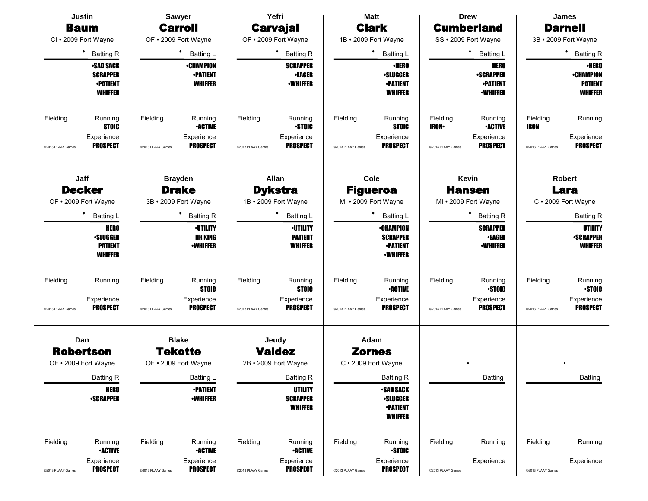|                   | <b>Justin</b>                                                            |                   | <b>Sawyer</b>                                         |                   | Yefri                                               |                   | <b>Matt</b>                                                               |                           | <b>Drew</b>                                                           |                         | <b>James</b>                                                         |
|-------------------|--------------------------------------------------------------------------|-------------------|-------------------------------------------------------|-------------------|-----------------------------------------------------|-------------------|---------------------------------------------------------------------------|---------------------------|-----------------------------------------------------------------------|-------------------------|----------------------------------------------------------------------|
|                   | <b>Baum</b>                                                              |                   | <b>Carroll</b>                                        |                   | <b>Carvajal</b>                                     |                   | <b>Clark</b>                                                              |                           | <b>Cumberland</b>                                                     |                         | <b>Darnell</b>                                                       |
|                   | CI · 2009 Fort Wayne                                                     |                   | OF . 2009 Fort Wayne                                  |                   | OF . 2009 Fort Wayne                                |                   | 1B · 2009 Fort Wayne                                                      |                           | SS · 2009 Fort Wayne                                                  |                         | 3B · 2009 Fort Wayne                                                 |
|                   | ٠<br><b>Batting R</b>                                                    |                   | ٠<br>Batting L                                        |                   | ٠<br><b>Batting R</b>                               |                   | <b>Batting L</b>                                                          |                           | ٠<br><b>Batting L</b>                                                 |                         | ٠<br><b>Batting R</b>                                                |
|                   | <b>•SAD SACK</b><br><b>SCRAPPER</b><br><b>•PATIENT</b><br><b>WHIFFER</b> |                   | <b>•CHAMPION</b><br><b>•PATIENT</b><br><b>WHIFFER</b> |                   | <b>SCRAPPER</b><br><b>•EAGER</b><br><b>-WHIFFER</b> |                   | <b>·HERO</b><br><b>·SLUGGER</b><br><b>•PATIENT</b><br><b>WHIFFER</b>      |                           | <b>HERO</b><br><b>-SCRAPPER</b><br><b>-PATIENT</b><br><b>-WHIFFER</b> |                         | <b>•HERO</b><br><b>•CHAMPION</b><br><b>PATIENT</b><br><b>WHIFFER</b> |
| Fielding          | Running<br><b>STOIC</b>                                                  | Fielding          | Running<br><b>•ACTIVE</b>                             | Fielding          | Running<br><b>STOIC</b>                             | Fielding          | Running<br><b>STOIC</b>                                                   | Fielding<br><b>IRON</b> • | Running<br><b>•ACTIVE</b>                                             | Fielding<br><b>IRON</b> | Running                                                              |
| @2013 PLAAY Games | Experience<br><b>PROSPECT</b>                                            | @2013 PLAAY Games | Experience<br><b>PROSPECT</b>                         | @2013 PLAAY Games | Experience<br><b>PROSPECT</b>                       | @2013 PLAAY Games | Experience<br><b>PROSPECT</b>                                             | @2013 PLAAY Games         | Experience<br><b>PROSPECT</b>                                         | @2013 PLAAY Games       | Experience<br><b>PROSPECT</b>                                        |
|                   | Jaff                                                                     |                   | <b>Brayden</b>                                        |                   | Allan                                               |                   | Cole                                                                      |                           | Kevin                                                                 |                         | <b>Robert</b>                                                        |
|                   | <b>Decker</b><br>OF . 2009 Fort Wayne                                    |                   | <b>Drake</b><br>3B · 2009 Fort Wayne                  |                   | <b>Dykstra</b><br>1B · 2009 Fort Wayne              |                   | <b>Figueroa</b><br>MI . 2009 Fort Wayne                                   |                           | <b>Hansen</b><br>MI . 2009 Fort Wayne                                 |                         | Lara<br>C · 2009 Fort Wayne                                          |
|                   | <b>Batting L</b>                                                         |                   | <b>Batting R</b>                                      |                   | <b>Batting L</b>                                    |                   | <b>Batting L</b>                                                          |                           | ٠<br><b>Batting R</b>                                                 |                         | <b>Batting R</b>                                                     |
|                   | <b>HERO</b><br><b>•SLUGGER</b><br><b>PATIENT</b><br><b>WHIFFER</b>       |                   | <b>-UTILITY</b><br><b>HR KING</b><br><b>•WHIFFER</b>  |                   | <b>·UTILITY</b><br><b>PATIENT</b><br><b>WHIFFER</b> |                   | <b>•CHAMPION</b><br><b>SCRAPPER</b><br><b>•PATIENT</b><br><b>-WHIFFER</b> |                           | <b>SCRAPPER</b><br><b>•EAGER</b><br><b>-WHIFFER</b>                   |                         | <b>UTILITY</b><br><b>-SCRAPPER</b><br><b>WHIFFER</b>                 |
| Fielding          | Running                                                                  | Fielding          | Running<br><b>STOIC</b>                               | Fielding          | Running<br><b>STOIC</b>                             | Fielding          | Running<br><b>-ACTIVE</b>                                                 | Fielding                  | Running<br><b>STOIC</b>                                               | Fielding                | Running<br><b>STOIC</b>                                              |
| @2013 PLAAY Games | Experience<br><b>PROSPECT</b>                                            | @2013 PLAAY Games | Experience<br><b>PROSPECT</b>                         | @2013 PLAAY Games | Experience<br><b>PROSPECT</b>                       | @2013 PLAAY Games | Experience<br><b>PROSPECT</b>                                             | @2013 PLAAY Games         | Experience<br><b>PROSPECT</b>                                         | @2013 PLAAY Games       | Experience<br><b>PROSPECT</b>                                        |
|                   | Dan                                                                      |                   | <b>Blake</b>                                          |                   | Jeudy                                               |                   | Adam                                                                      |                           |                                                                       |                         |                                                                      |
|                   | <b>Robertson</b>                                                         |                   | <b>Tekotte</b>                                        |                   | <b>Valdez</b>                                       |                   | <b>Zornes</b>                                                             |                           |                                                                       |                         |                                                                      |
|                   | OF • 2009 Fort Wayne                                                     |                   | OF • 2009 Fort Wayne                                  |                   | 2B · 2009 Fort Wayne                                |                   | C · 2009 Fort Wayne                                                       |                           |                                                                       |                         |                                                                      |
|                   | <b>Batting R</b>                                                         |                   | Batting L                                             |                   | <b>Batting R</b>                                    |                   | <b>Batting R</b>                                                          |                           | Batting                                                               |                         | <b>Batting</b>                                                       |
|                   | <b>HERO</b><br><b>-SCRAPPER</b>                                          |                   | <b>•PATIENT</b><br><b>-WHIFFER</b>                    |                   | <b>UTILITY</b><br><b>SCRAPPER</b><br><b>WHIFFER</b> |                   | <b>•SAD SACK</b><br><b>·SLUGGER</b><br><b>•PATIENT</b><br><b>WHIFFER</b>  |                           |                                                                       |                         |                                                                      |
| Fielding          | Running<br><b>•ACTIVE</b>                                                | Fielding          | Running<br><b>•ACTIVE</b>                             | Fielding          | Running<br><b>-ACTIVE</b>                           | Fielding          | Running<br><b>STOIC</b>                                                   | Fielding                  | Running                                                               | Fielding                | Running                                                              |
| @2013 PLAAY Games | Experience<br><b>PROSPECT</b>                                            | @2013 PLAAY Games | Experience<br><b>PROSPECT</b>                         | @2013 PLAAY Games | Experience<br><b>PROSPECT</b>                       | @2013 PLAAY Games | Experience<br><b>PROSPECT</b>                                             | @2013 PLAAY Games         | Experience                                                            | @2013 PLAAY Games       | Experience                                                           |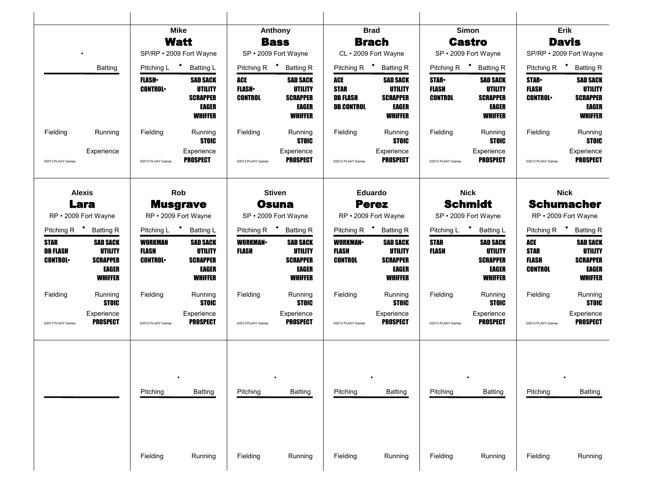|                                                  |                                                                          |                                           | <b>Mike</b>                                                                     | Anthony                               |                                                                          |                                                            | <b>Brad</b>                                                                            |                                        | Simon                                                                           |                                                      | <b>Erik</b>                                                                     |
|--------------------------------------------------|--------------------------------------------------------------------------|-------------------------------------------|---------------------------------------------------------------------------------|---------------------------------------|--------------------------------------------------------------------------|------------------------------------------------------------|----------------------------------------------------------------------------------------|----------------------------------------|---------------------------------------------------------------------------------|------------------------------------------------------|---------------------------------------------------------------------------------|
|                                                  |                                                                          |                                           | <b>Watt</b>                                                                     | <b>Bass</b>                           |                                                                          |                                                            | <b>Brach</b>                                                                           |                                        | <b>Castro</b>                                                                   |                                                      | <b>Davis</b>                                                                    |
|                                                  |                                                                          |                                           | SP/RP · 2009 Fort Wayne                                                         | SP · 2009 Fort Wayne                  |                                                                          |                                                            | CL · 2009 Fort Wayne                                                                   |                                        | SP · 2009 Fort Wayne                                                            | SP/RP · 2009 Fort Wayne                              |                                                                                 |
|                                                  | <b>Batting</b>                                                           | Pitching L <sup>+</sup>                   | <b>Batting L</b>                                                                | Pitching R $\bullet$                  | <b>Batting R</b>                                                         | Pitching R $\bullet$                                       | <b>Batting R</b>                                                                       |                                        | Pitching R <sup>+</sup> Batting R                                               | Pitching R <sup>+</sup>                              | <b>Batting R</b>                                                                |
|                                                  |                                                                          | <b>FLASH</b> •<br><b>CONTROL</b>          | <b>SAD SACK</b><br>UTILITY<br><b>SCRAPPER</b><br>EAGER<br><b>WHIFFER</b>        | ACE<br><b>FLASH</b><br><b>CONTROL</b> | <b>SAD SACK</b><br>UTILITY<br><b>SCRAPPER</b><br>EAGER<br>WHIFFER        | ACE<br><b>STAR</b><br><b>DB FLASH</b><br><b>DB CONTROL</b> | <b>SAD SACK</b><br><b>UTILITY</b><br><b>SCRAPPER</b><br><b>EAGER</b><br><b>WHIFFER</b> | <b>STAR</b><br>FLASH<br><b>CONTROL</b> | <b>SAD SACK</b><br><b>UTILITY</b><br><b>SCRAPPER</b><br>EAGER<br>WHIFFER        | <b>STAR</b><br><b>FLASH</b><br><b>CONTROL</b>        | <b>SAD SACK</b><br><b>UTILITY</b><br><b>SCRAPPER</b><br>EAGER<br><b>WHIFFER</b> |
| Fielding                                         | Running                                                                  | Fielding                                  | Running<br><b>STOIC</b>                                                         | Fielding                              | Running<br><b>STOIC</b>                                                  | Fielding                                                   | Running<br><b>STOIC</b>                                                                | Fielding                               | Running<br><b>STOIC</b>                                                         | Fielding                                             | Running<br><b>STOIC</b>                                                         |
| @2013 PLAAY Games                                | Experience                                                               | @2013 PLAAY Games                         | Experience<br><b>PROSPECT</b>                                                   | @2013 PLAAY Games                     | Experience<br><b>PROSPECT</b>                                            | @2013 PLAAY Games                                          | Experience<br><b>PROSPECT</b>                                                          | @2013 PLAAY Games                      | Experience<br><b>PROSPECT</b>                                                   | @2013 PLAAY Games                                    | Experience<br><b>PROSPECT</b>                                                   |
|                                                  | <b>Alexis</b>                                                            |                                           | Rob                                                                             | <b>Stiven</b>                         |                                                                          |                                                            | Eduardo                                                                                |                                        | <b>Nick</b>                                                                     |                                                      | <b>Nick</b>                                                                     |
|                                                  | <b>Lara</b>                                                              |                                           | <b>Musgrave</b>                                                                 | <b>Osuna</b>                          |                                                                          |                                                            | <b>Perez</b>                                                                           |                                        | <b>Schmidt</b>                                                                  |                                                      | <b>Schumacher</b>                                                               |
|                                                  | RP · 2009 Fort Wayne                                                     |                                           | RP · 2009 Fort Wayne                                                            | SP · 2009 Fort Wayne                  |                                                                          |                                                            | RP · 2009 Fort Wayne                                                                   |                                        | SP · 2009 Fort Wayne                                                            |                                                      | RP · 2009 Fort Wayne                                                            |
|                                                  | Pitching R <sup>+</sup> Batting R                                        | Pitching L <sup>+</sup>                   | <b>Batting L</b>                                                                | Pitching R $\bullet$                  | <b>Batting R</b>                                                         | Pitching R $\bullet$                                       | <b>Batting R</b>                                                                       | Pitching L <sup>+</sup>                | <b>Batting L</b>                                                                |                                                      | Pitching R <b>*</b> Batting R                                                   |
| <b>STAR</b><br><b>DB FLASH</b><br><b>CONTROL</b> | <b>SAD SACK</b><br><b>UTILITY</b><br><b>SCRAPPER</b><br>EAGER<br>WHIFFER | WORKMAN<br><b>FLASH</b><br><b>CONTROL</b> | <b>SAD SACK</b><br><b>UTILITY</b><br><b>SCRAPPER</b><br>EAGER<br><b>WHIFFER</b> | <b>WORKMAN</b><br><b>FLASH</b>        | <b>SAD SACK</b><br><b>UTILITY</b><br><b>SCRAPPER</b><br>EAGER<br>WHIFFER | <b>WORKMAN-</b><br>FLASH<br><b>CONTROL</b>                 | <b>SAD SACK</b><br><b>UTILITY</b><br><b>SCRAPPER</b><br><b>EAGER</b><br><b>WHIFFER</b> | <b>STAR</b><br><b>FLASH</b>            | <b>SAD SACK</b><br>UTILITY<br><b>SCRAPPER</b><br><b>EAGER</b><br><b>WHIFFER</b> | ACE<br><b>STAR</b><br><b>FLASH</b><br><b>CONTROL</b> | <b>SAD SACK</b><br><b>UTILITY</b><br><b>SCRAPPER</b><br>EAGER<br><b>WHIFFER</b> |
| Fielding                                         | Running<br><b>STOIC</b>                                                  | Fielding                                  | Running<br><b>STOIC</b>                                                         | Fielding                              | Running<br><b>STOIC</b>                                                  | Fielding                                                   | Running<br><b>STOIC</b>                                                                | Fielding                               | Running<br><b>STOIC</b>                                                         | Fielding                                             | Running<br><b>STOIC</b>                                                         |
| @2013 PLAAY Games                                | Experience<br><b>PROSPECT</b>                                            | @2013 PLAAY Games                         | Experience<br><b>PROSPECT</b>                                                   | @2013 PLAAY Games                     | Experience<br><b>PROSPECT</b>                                            | @2013 PLAAY Games                                          | Experience<br><b>PROSPECT</b>                                                          | @2013 PLAAY Games                      | Experience<br><b>PROSPECT</b>                                                   | @2013 PLAAY Games                                    | Experience<br><b>PROSPECT</b>                                                   |
|                                                  |                                                                          | Pitching                                  | <b>Batting</b>                                                                  | Pitching                              | <b>Batting</b>                                                           | Pitching                                                   | <b>Batting</b>                                                                         | Pitching                               | <b>Batting</b>                                                                  | Pitching                                             | <b>Batting</b>                                                                  |
|                                                  |                                                                          |                                           |                                                                                 |                                       |                                                                          |                                                            |                                                                                        |                                        |                                                                                 |                                                      |                                                                                 |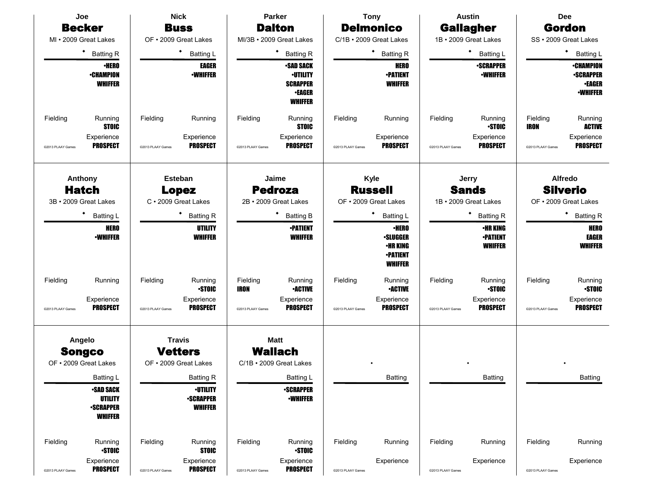|                   | Joe                                                                                   |                                                 | <b>Nick</b>                                                                                                                             |                                           | Parker                                           |                                                 | <b>Tony</b>                                                                             |                   | <b>Austin</b>                                                            |                                                            | <b>Dee</b>                             |  |
|-------------------|---------------------------------------------------------------------------------------|-------------------------------------------------|-----------------------------------------------------------------------------------------------------------------------------------------|-------------------------------------------|--------------------------------------------------|-------------------------------------------------|-----------------------------------------------------------------------------------------|-------------------|--------------------------------------------------------------------------|------------------------------------------------------------|----------------------------------------|--|
|                   | <b>Becker</b>                                                                         |                                                 | <b>Buss</b>                                                                                                                             |                                           | <b>Dalton</b>                                    |                                                 | <b>Delmonico</b>                                                                        |                   | <b>Gallagher</b>                                                         |                                                            | <b>Gordon</b>                          |  |
|                   | MI • 2009 Great Lakes                                                                 |                                                 | OF . 2009 Great Lakes                                                                                                                   |                                           | MI/3B · 2009 Great Lakes                         |                                                 | C/1B · 2009 Great Lakes                                                                 |                   | 1B · 2009 Great Lakes                                                    |                                                            | SS · 2009 Great Lakes                  |  |
|                   | ٠<br><b>Batting R</b>                                                                 |                                                 | ٠<br><b>Batting L</b>                                                                                                                   |                                           | ٠<br><b>Batting R</b>                            |                                                 | <b>Batting R</b>                                                                        |                   | ٠<br><b>Batting L</b>                                                    |                                                            | ٠<br><b>Batting L</b>                  |  |
|                   | <b>•HERO</b><br><b>-CHAMPION</b><br><b>WHIFFER</b>                                    |                                                 | <b>EAGER</b><br><b>-SAD SACK</b><br><b>-WHIFFER</b><br><b>-UTILITY</b><br><b>SCRAPPER</b><br><b>•EAGER</b><br><b>WHIFFER</b><br>Running |                                           | <b>HERO</b><br><b>•PATIENT</b><br><b>WHIFFER</b> |                                                 | <b>•SCRAPPER</b><br><b>-WHIFFER</b>                                                     |                   | <b>•CHAMPION</b><br><b>•SCRAPPER</b><br><b>•EAGER</b><br><b>•WHIFFER</b> |                                                            |                                        |  |
| Fielding          | Running<br><b>STOIC</b>                                                               | Fielding                                        | Running                                                                                                                                 | Fielding                                  | <b>STOIC</b>                                     | Fielding                                        | Running                                                                                 | Fielding          | Running<br><b>STOIC</b>                                                  | Fielding<br><b>IRON</b>                                    | Running<br><b>ACTIVE</b>               |  |
| @2013 PLAAY Games | Experience<br><b>PROSPECT</b>                                                         | @2013 PLAAY Games                               | Experience<br><b>PROSPECT</b>                                                                                                           | @2013 PLAAY Games                         | Experience<br><b>PROSPECT</b>                    | @2013 PLAAY Games                               | Experience<br><b>PROSPECT</b>                                                           | @2013 PLAAY Games | Experience<br><b>PROSPECT</b>                                            | @2013 PLAAY Games                                          | Experience<br><b>PROSPECT</b>          |  |
|                   | Anthony<br><b>Hatch</b><br>3B · 2009 Great Lakes                                      | Esteban<br><b>Lopez</b><br>C · 2009 Great Lakes |                                                                                                                                         |                                           | Jaime<br><b>Pedroza</b><br>2B · 2009 Great Lakes | Kyle<br><b>Russell</b><br>OF . 2009 Great Lakes |                                                                                         |                   | Jerry<br><b>Sands</b><br>1B · 2009 Great Lakes                           | <b>Alfredo</b><br><b>Silverio</b><br>OF • 2009 Great Lakes |                                        |  |
|                   | ٠<br><b>Batting L</b>                                                                 |                                                 |                                                                                                                                         | ٠<br><b>Batting R</b><br><b>Batting B</b> |                                                  |                                                 | Batting L                                                                               |                   | <b>Batting R</b>                                                         |                                                            | ٠<br><b>Batting R</b>                  |  |
|                   | <b>HERO</b><br><b>-WHIFFER</b>                                                        |                                                 | <b>UTILITY</b><br><b>WHIFFER</b>                                                                                                        |                                           | <b>-PATIENT</b><br><b>WHIFFER</b>                |                                                 | <b>·HERO</b><br><b>·SLUGGER</b><br><b>•HR KING</b><br><b>•PATIENT</b><br><b>WHIFFER</b> |                   | <b>•HR KING</b><br><b>-PATIENT</b><br><b>WHIFFER</b>                     |                                                            | <b>HERO</b><br>EAGER<br><b>WHIFFER</b> |  |
| Fielding          | Running                                                                               | Fielding                                        | Running<br><b>STOIC</b>                                                                                                                 | Fielding<br>IRON                          | Running<br><b>•ACTIVE</b>                        | Fielding                                        | Running<br><b>•ACTIVE</b>                                                               | Fielding          | Running<br><b>STOIC</b>                                                  | Fielding                                                   | Running<br><b>STOIC</b>                |  |
| @2013 PLAAY Games | Experience<br><b>PROSPECT</b>                                                         | @2013 PLAAY Games                               | Experience<br><b>PROSPECT</b>                                                                                                           | @2013 PLAAY Games                         | Experience<br><b>PROSPECT</b>                    | @2013 PLAAY Games                               | Experience<br><b>PROSPECT</b>                                                           | @2013 PLAAY Games | Experience<br><b>PROSPECT</b>                                            | @2013 PLAAY Games                                          | Experience<br><b>PROSPECT</b>          |  |
|                   | Angelo<br><b>Songco</b>                                                               |                                                 | <b>Travis</b><br><b>Vetters</b>                                                                                                         |                                           | <b>Matt</b><br><b>Wallach</b>                    |                                                 |                                                                                         |                   |                                                                          |                                                            |                                        |  |
|                   | OF • 2009 Great Lakes                                                                 |                                                 | OF • 2009 Great Lakes                                                                                                                   |                                           | C/1B · 2009 Great Lakes                          |                                                 |                                                                                         |                   |                                                                          |                                                            |                                        |  |
|                   | Batting L<br><b>•SAD SACK</b><br><b>UTILITY</b><br><b>-SCRAPPER</b><br><b>WHIFFER</b> |                                                 | <b>Batting R</b><br><b>•UTILITY</b><br><b>-SCRAPPER</b><br><b>WHIFFER</b>                                                               |                                           | Batting L<br><b>•SCRAPPER</b><br><b>•WHIFFER</b> |                                                 | Batting                                                                                 |                   | Batting                                                                  |                                                            | Batting                                |  |
| Fielding          | Running<br><b>STOIC</b>                                                               | Fielding                                        | Running<br><b>STOIC</b>                                                                                                                 | Fielding                                  | Running<br><b>STOIC</b>                          | Fielding                                        | Running                                                                                 | Fielding          | Running                                                                  | Fielding                                                   | Running                                |  |
| @2013 PLAAY Games | Experience<br><b>PROSPECT</b>                                                         | @2013 PLAAY Games                               | Experience<br><b>PROSPECT</b>                                                                                                           | @2013 PLAAY Games                         | Experience<br><b>PROSPECT</b>                    | @2013 PLAAY Games                               | Experience                                                                              | @2013 PLAAY Games | Experience                                                               | @2013 PLAAY Games                                          | Experience                             |  |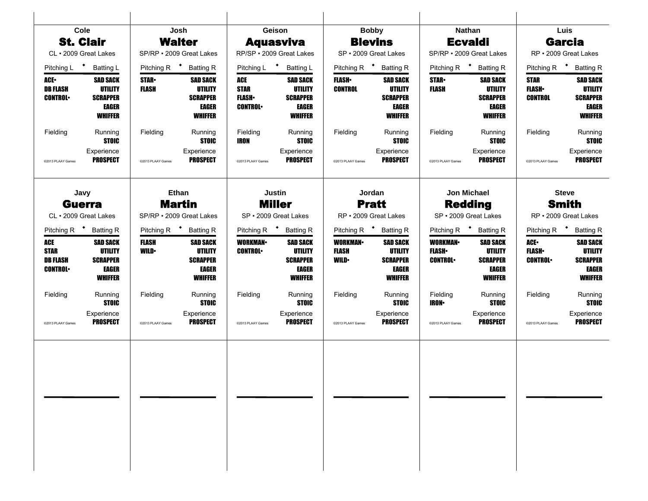| Cole                                                    |                                                                                     |                                                                                                                                                    | Josh                                                                            |                                                      | Geison                                                                                 |                                                | <b>Bobby</b>                                                                           |                                                  | <b>Nathan</b>                                                                   |                                               | Luis                                                                            |
|---------------------------------------------------------|-------------------------------------------------------------------------------------|----------------------------------------------------------------------------------------------------------------------------------------------------|---------------------------------------------------------------------------------|------------------------------------------------------|----------------------------------------------------------------------------------------|------------------------------------------------|----------------------------------------------------------------------------------------|--------------------------------------------------|---------------------------------------------------------------------------------|-----------------------------------------------|---------------------------------------------------------------------------------|
| <b>St. Clair</b>                                        |                                                                                     |                                                                                                                                                    | <b>Walter</b>                                                                   |                                                      | <b>Aquasviva</b>                                                                       |                                                | <b>Blevins</b>                                                                         |                                                  | <b>Ecvaldi</b>                                                                  |                                               | <b>Garcia</b>                                                                   |
| CL · 2009 Great Lakes                                   |                                                                                     |                                                                                                                                                    | SP/RP · 2009 Great Lakes                                                        |                                                      | RP/SP · 2009 Great Lakes                                                               |                                                | SP · 2009 Great Lakes                                                                  |                                                  | SP/RP · 2009 Great Lakes                                                        |                                               | RP · 2009 Great Lakes                                                           |
| Pitching L <sup>+</sup>                                 | <b>Batting L</b>                                                                    | Pitching R <sup>+</sup>                                                                                                                            | <b>Batting R</b>                                                                |                                                      | Pitching L * Batting L                                                                 |                                                | Pitching R <sup>+</sup> Batting R                                                      |                                                  | Pitching R <sup>+</sup> Batting R                                               |                                               | Pitching R <b>*</b> Batting R                                                   |
| ACE.<br><b>DB FLASH</b><br><b>CONTROL</b>               | <b>SAD SACK</b><br><b>UTILITY</b><br><b>SCRAPPER</b><br>EAGER<br><b>WHIFFER</b>     | <b>SAD SACK</b><br><b>STAR</b> •<br><b>FLASH</b><br><b>UTILITY</b><br><b>SCRAPPER</b><br>EAGER<br><b>WHIFFER</b><br>Running<br>Fielding<br>Running |                                                                                 | ACE<br><b>STAR</b><br><b>FLASH</b><br><b>CONTROL</b> | <b>SAD SACK</b><br><b>UTILITY</b><br><b>SCRAPPER</b><br><b>EAGER</b><br><b>WHIFFER</b> | <b>FLASH</b><br><b>CONTROL</b>                 | <b>SAD SACK</b><br><b>UTILITY</b><br><b>SCRAPPER</b><br><b>EAGER</b><br><b>WHIFFER</b> | <b>STAR</b><br><b>FLASH</b>                      | <b>SAD SACK</b><br><b>UTILITY</b><br><b>SCRAPPER</b><br>EAGER<br><b>WHIFFER</b> | <b>STAR</b><br><b>FLASH</b><br><b>CONTROL</b> | <b>SAD SACK</b><br><b>UTILITY</b><br><b>SCRAPPER</b><br>EAGER<br><b>WHIFFER</b> |
| Fielding                                                | <b>STOIC</b>                                                                        |                                                                                                                                                    | <b>STOIC</b>                                                                    | Fielding<br>IRON                                     | Running<br><b>STOIC</b>                                                                | Fielding                                       | Running<br><b>STOIC</b>                                                                | Fielding                                         | Running<br><b>STOIC</b>                                                         | Fielding                                      | Running<br><b>STOIC</b>                                                         |
| @2013 PLAAY Games                                       | Experience<br><b>PROSPECT</b>                                                       | @2013 PLAAY Games                                                                                                                                  | Experience<br><b>PROSPECT</b>                                                   | @2013 PLAAY Games                                    | Experience<br><b>PROSPECT</b>                                                          | @2013 PLAAY Games                              | Experience<br><b>PROSPECT</b>                                                          | @2013 PLAAY Games                                | Experience<br><b>PROSPECT</b>                                                   | @2013 PLAAY Games                             | Experience<br><b>PROSPECT</b>                                                   |
|                                                         | Javy<br>Ethan                                                                       |                                                                                                                                                    |                                                                                 | Justin                                               |                                                                                        | Jordan                                         |                                                                                        | Jon Michael                                      |                                                                                 | <b>Steve</b>                                  |                                                                                 |
|                                                         | <b>Martin</b><br><b>Guerra</b><br>SP/RP · 2009 Great Lakes<br>CL · 2009 Great Lakes |                                                                                                                                                    |                                                                                 | <b>Miller</b><br>SP · 2009 Great Lakes               |                                                                                        | <b>Pratt</b><br>RP · 2009 Great Lakes          |                                                                                        | <b>Redding</b><br>SP · 2009 Great Lakes          |                                                                                 | <b>Smith</b><br>RP · 2009 Great Lakes         |                                                                                 |
| Pitching R <sup>+</sup> Batting R                       |                                                                                     |                                                                                                                                                    | Pitching R <sup>+</sup> Batting R                                               | Pitching R <sup>+</sup> Batting R                    |                                                                                        | Pitching R <sup>+</sup> Batting R              |                                                                                        | Pitching R <sup>+</sup> Batting R                |                                                                                 | Pitching R <sup>+</sup> Batting R             |                                                                                 |
| ACE<br><b>STAR</b><br><b>DB FLASH</b><br><b>CONTROL</b> | <b>SAD SACK</b><br>UTILITY<br><b>SCRAPPER</b><br>EAGER<br><b>WHIFFER</b>            | <b>FLASH</b><br><b>WILD</b>                                                                                                                        | <b>SAD SACK</b><br><b>UTILITY</b><br><b>SCRAPPER</b><br>EAGER<br><b>WHIFFER</b> | <b>WORKMAN-</b><br><b>CONTROL</b>                    | <b>SAD SACK</b><br><b>UTILITY</b><br><b>SCRAPPER</b><br><b>EAGER</b><br><b>WHIFFER</b> | <b>WORKMAN-</b><br><b>FLASH</b><br><b>WILD</b> | <b>SAD SACK</b><br><b>UTILITY</b><br><b>SCRAPPER</b><br><b>EAGER</b><br><b>WHIFFER</b> | <b>WORKMAN</b><br><b>FLASH</b><br><b>CONTROL</b> | <b>SAD SACK</b><br><b>UTILITY</b><br><b>SCRAPPER</b><br>EAGER<br>WHIFFER        | ACE-<br><b>FLASH</b><br><b>CONTROL</b>        | <b>SAD SACK</b><br>UTILITY<br><b>SCRAPPER</b><br><b>EAGER</b><br><b>WHIFFER</b> |
| Fielding                                                | Running<br><b>STOIC</b>                                                             | Fielding                                                                                                                                           | Running<br><b>STOIC</b>                                                         | Fielding                                             | Running<br><b>STOIC</b>                                                                | Fielding                                       | Running<br><b>STOIC</b>                                                                | Fielding<br><b>IRON</b>                          | Running<br><b>STOIC</b>                                                         | Fielding                                      | Running<br><b>STOIC</b>                                                         |
| @2013 PLAAY Games                                       | Experience<br><b>PROSPECT</b>                                                       | @2013 PLAAY Games                                                                                                                                  | Experience<br><b>PROSPECT</b>                                                   | @2013 PLAAY Games                                    | Experience<br><b>PROSPECT</b>                                                          | @2013 PLAAY Games                              | Experience<br><b>PROSPECT</b>                                                          | @2013 PLAAY Games                                | Experience<br><b>PROSPECT</b>                                                   | @2013 PLAAY Games                             | Experience<br><b>PROSPECT</b>                                                   |
|                                                         |                                                                                     |                                                                                                                                                    |                                                                                 |                                                      |                                                                                        |                                                |                                                                                        |                                                  |                                                                                 |                                               |                                                                                 |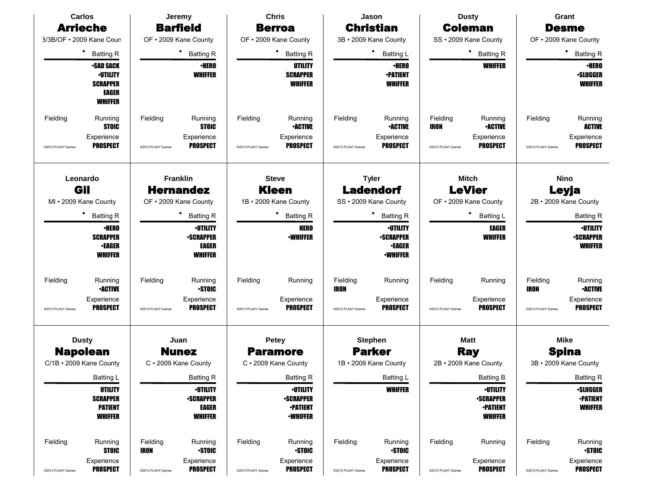|                   | <b>Carlos</b>                                  |                                  | Jeremy                        |                       | <b>Chris</b>                        |                       | Jason                             |                   | <b>Dusty</b>                        |                   | Grant                             |             |  |  |
|-------------------|------------------------------------------------|----------------------------------|-------------------------------|-----------------------|-------------------------------------|-----------------------|-----------------------------------|-------------------|-------------------------------------|-------------------|-----------------------------------|-------------|--|--|
|                   | <b>Arrieche</b>                                |                                  | <b>Barfield</b>               |                       | <b>Berroa</b>                       |                       | <b>Christian</b>                  |                   | <b>Coleman</b>                      |                   | <b>Desme</b>                      |             |  |  |
|                   | 3/3B/OF . 2009 Kane Coun                       |                                  | OF . 2009 Kane County         |                       | OF . 2009 Kane County               |                       | 3B · 2009 Kane County             |                   | SS · 2009 Kane County               |                   | OF . 2009 Kane County             |             |  |  |
|                   | ٠<br><b>Batting R</b>                          |                                  | <b>Batting R</b>              |                       | <b>Batting R</b>                    |                       | <b>Batting L</b>                  |                   | <b>Batting R</b>                    |                   | ٠<br><b>Batting R</b>             |             |  |  |
|                   | <b>-SAD SACK</b>                               |                                  | <b>·HERO</b>                  |                       | UTILITY                             |                       | <b>•HERO</b>                      |                   | <b>WHIFFER</b>                      |                   | <b>•HERO</b>                      |             |  |  |
|                   | <b>•UTILITY</b><br><b>SCRAPPER</b>             |                                  | <b>WHIFFER</b>                |                       | <b>SCRAPPER</b><br>WHIFFER          |                       | <b>•PATIENT</b><br><b>WHIFFER</b> |                   |                                     |                   | <b>•SLUGGER</b><br><b>WHIFFER</b> |             |  |  |
|                   | EAGER                                          |                                  |                               |                       |                                     |                       |                                   |                   |                                     |                   |                                   |             |  |  |
|                   | <b>WHIFFER</b>                                 |                                  |                               |                       |                                     |                       |                                   |                   |                                     |                   |                                   |             |  |  |
| Fielding          | Running                                        | Fielding                         | Running                       | Fielding              | Running                             | Fielding              | Running                           | Fielding          | Running                             | Fielding          | Running                           |             |  |  |
|                   | <b>STOIC</b>                                   |                                  | <b>STOIC</b>                  |                       | <b>•ACTIVE</b>                      |                       | <b>•ACTIVE</b>                    | <b>IRON</b>       | <b>•ACTIVE</b>                      |                   | <b>ACTIVE</b>                     |             |  |  |
| @2013 PLAAY Games | Experience<br><b>PROSPECT</b>                  | @2013 PLAAY Games                | Experience<br><b>PROSPECT</b> | @2013 PLAAY Games     | Experience<br><b>PROSPECT</b>       | @2013 PLAAY Games     | Experience<br><b>PROSPECT</b>     | @2013 PLAAY Games | Experience<br><b>PROSPECT</b>       | @2013 PLAAY Games | Experience<br><b>PROSPECT</b>     |             |  |  |
|                   | Leonardo                                       |                                  | <b>Franklin</b>               |                       |                                     |                       |                                   |                   |                                     |                   | <b>Mitch</b>                      | <b>Nino</b> |  |  |
|                   | Gil                                            |                                  | <b>Hernandez</b>              |                       | <b>Steve</b><br><b>Kleen</b>        |                       | <b>Tyler</b><br><b>Ladendorf</b>  |                   | <b>LeVier</b>                       | Leyja             |                                   |             |  |  |
|                   | MI . 2009 Kane County<br>OF . 2009 Kane County |                                  |                               | 1B · 2009 Kane County |                                     | SS · 2009 Kane County |                                   |                   | OF . 2009 Kane County               |                   | 2B · 2009 Kane County             |             |  |  |
|                   | ٠<br><b>Batting R</b>                          |                                  | <b>Batting R</b>              |                       | <b>Batting R</b>                    |                       | ٠<br><b>Batting R</b>             | <b>Batting L</b>  |                                     | <b>Batting R</b>  |                                   |             |  |  |
|                   | <b>•HERO</b>                                   |                                  | <b>·UTILITY</b>               |                       | <b>HERO</b>                         |                       | <b>-UTILITY</b>                   |                   | <b>EAGER</b>                        |                   | <b>•UTILITY</b>                   |             |  |  |
|                   | <b>SCRAPPER</b>                                |                                  | <b>•SCRAPPER</b>              |                       | <b>•WHIFFER</b>                     |                       | <b>-SCRAPPER</b>                  |                   | <b>WHIFFER</b>                      |                   | <b>•SCRAPPER</b>                  |             |  |  |
|                   | <b>•EAGER</b><br><b>WHIFFER</b>                |                                  | EAGER<br><b>WHIFFER</b>       |                       |                                     |                       | <b>•EAGER</b><br><b>-WHIFFER</b>  |                   |                                     |                   | <b>WHIFFER</b>                    |             |  |  |
|                   |                                                |                                  |                               |                       |                                     |                       |                                   |                   |                                     |                   |                                   |             |  |  |
| Fielding          | Running                                        | Fielding                         | Running                       | Fielding              | Running                             | Fielding              | Running                           | Fielding          | Running                             | Fielding          | Running                           |             |  |  |
|                   | <b>•ACTIVE</b>                                 |                                  | <b>STOIC</b>                  |                       |                                     | <b>IRON</b>           |                                   |                   |                                     | <b>IRON</b>       | <b>•ACTIVE</b>                    |             |  |  |
| @2013 PLAAY Games | Experience<br><b>PROSPECT</b>                  | @2013 PLAAY Games                | Experience<br><b>PROSPECT</b> | @2013 PLAAY Games     | Experience<br><b>PROSPECT</b>       | @2013 PLAAY Games     | Experience<br><b>PROSPECT</b>     | @2013 PLAAY Games | Experience<br><b>PROSPECT</b>       | @2013 PLAAY Games | Experience<br><b>PROSPECT</b>     |             |  |  |
|                   | <b>Dusty</b>                                   |                                  | Juan                          |                       | <b>Petey</b>                        |                       | <b>Stephen</b>                    |                   | <b>Matt</b>                         |                   | <b>Mike</b>                       |             |  |  |
|                   | <b>Napolean</b>                                |                                  | <b>Nunez</b>                  |                       | <b>Paramore</b>                     |                       | <b>Parker</b>                     |                   | <b>Ray</b>                          |                   | <b>Spina</b>                      |             |  |  |
|                   | C/1B · 2009 Kane County                        |                                  | C · 2009 Kane County          |                       | C · 2009 Kane County                |                       | 1B · 2009 Kane County             |                   | 2B · 2009 Kane County               |                   | 3B · 2009 Kane County             |             |  |  |
|                   | Batting L                                      |                                  | <b>Batting R</b>              |                       | Batting R                           |                       | Batting L                         |                   | Batting B                           |                   | Batting R                         |             |  |  |
|                   | UTILITY                                        |                                  | <b>·UTILITY</b>               |                       | <b>•UTILITY</b>                     |                       | <b>WHIFFER</b>                    |                   | <b>·UTILITY</b>                     |                   | <b>•SLUGGER</b>                   |             |  |  |
|                   | <b>SCRAPPER</b><br><b>PATIENT</b>              | <b>-SCRAPPER</b><br><b>EAGER</b> |                               |                       | <b>-SCRAPPER</b><br><b>-PATIENT</b> |                       |                                   |                   | <b>-SCRAPPER</b><br><b>-PATIENT</b> |                   | <b>•PATIENT</b><br><b>WHIFFER</b> |             |  |  |
|                   | <b>WHIFFER</b>                                 | <b>WHIFFER</b>                   |                               |                       | <b>•WHIFFER</b>                     |                       |                                   |                   | <b>WHIFFER</b>                      |                   |                                   |             |  |  |
| Fielding          | Running                                        | Fielding                         | Running                       | Fielding              | Running                             | Fielding              | Running                           | Fielding          | Running                             | Fielding          | Running                           |             |  |  |
|                   | <b>STOIC</b>                                   | <b>IRON</b>                      | <b>STOIC</b>                  |                       | <b>STOIC</b>                        |                       | <b>STOIC</b>                      |                   |                                     |                   | <b>STOIC</b>                      |             |  |  |
| @2013 PLAAY Games | Experience<br><b>PROSPECT</b>                  | @2013 PLAAY Games                | Experience<br><b>PROSPECT</b> | @2013 PLAAY Games     | Experience<br><b>PROSPECT</b>       | @2013 PLAAY Games     | Experience<br><b>PROSPECT</b>     | @2013 PLAAY Games | Experience<br><b>PROSPECT</b>       | @2013 PLAAY Games | Experience<br><b>PROSPECT</b>     |             |  |  |
|                   |                                                |                                  |                               |                       |                                     |                       |                                   |                   |                                     |                   |                                   |             |  |  |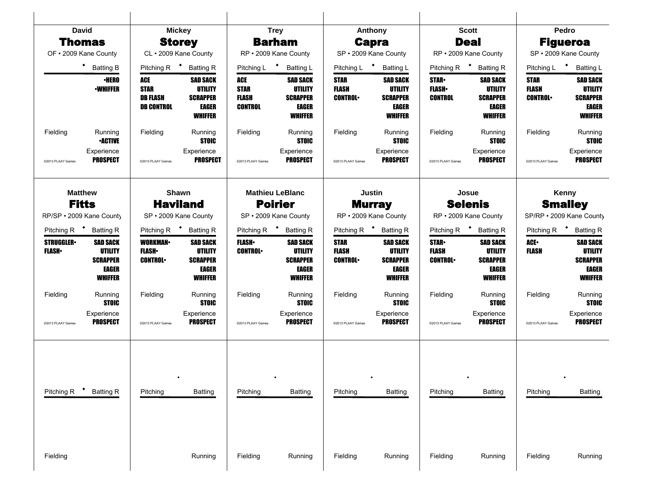|                                    | <b>David</b>                                                                    |                                                            | <b>Mickey</b>                                                                          |                                                      | <b>Trey</b>                                                                            |                                               | Anthony                                                                         |                                                                                                                                    | <b>Scott</b>                                                                    |                                        | Pedro                                                                           |
|------------------------------------|---------------------------------------------------------------------------------|------------------------------------------------------------|----------------------------------------------------------------------------------------|------------------------------------------------------|----------------------------------------------------------------------------------------|-----------------------------------------------|---------------------------------------------------------------------------------|------------------------------------------------------------------------------------------------------------------------------------|---------------------------------------------------------------------------------|----------------------------------------|---------------------------------------------------------------------------------|
|                                    | Thomas                                                                          |                                                            | <b>Storey</b>                                                                          |                                                      | <b>Barham</b>                                                                          |                                               | <b>Capra</b>                                                                    |                                                                                                                                    | <b>Deal</b>                                                                     |                                        | <b>Figueroa</b>                                                                 |
|                                    | OF . 2009 Kane County                                                           | CL · 2009 Kane County                                      |                                                                                        | RP · 2009 Kane County                                |                                                                                        |                                               | SP · 2009 Kane County                                                           |                                                                                                                                    | RP · 2009 Kane County                                                           |                                        | SP · 2009 Kane County                                                           |
|                                    | * Batting B                                                                     | Pitching R <sup>+</sup>                                    | <b>Batting R</b>                                                                       | Pitching L * Batting L                               |                                                                                        | Pitching L <sup>+</sup>                       | <b>Batting L</b>                                                                |                                                                                                                                    | Pitching R <sup>+</sup> Batting R                                               |                                        | Pitching L * Batting L                                                          |
|                                    | <b>·HERO</b><br><b>•WHIFFER</b>                                                 | ACE<br><b>STAR</b><br><b>DB FLASH</b><br><b>DB CONTROL</b> | <b>SAD SACK</b><br><b>UTILITY</b><br><b>SCRAPPER</b><br><b>EAGER</b><br><b>WHIFFER</b> | ACE<br><b>STAR</b><br><b>FLASH</b><br><b>CONTROL</b> | <b>SAD SACK</b><br><b>UTILITY</b><br><b>SCRAPPER</b><br><b>EAGER</b><br><b>WHIFFER</b> | <b>STAR</b><br><b>FLASH</b><br><b>CONTROL</b> | <b>SAD SACK</b><br><b>UTILITY</b><br><b>SCRAPPER</b><br>EAGER<br><b>WHIFFER</b> | <b>SAD SACK</b><br><b>STAR</b><br><b>UTILITY</b><br><b>FLASH</b> •<br><b>CONTROL</b><br><b>SCRAPPER</b><br>EAGER<br><b>WHIFFER</b> |                                                                                 | <b>STAR</b><br>FLASH<br><b>CONTROL</b> | <b>SAD SACK</b><br><b>UTILITY</b><br><b>SCRAPPER</b><br>EAGER<br><b>WHIFFER</b> |
| Fielding<br>@2013 PLAAY Games      | Running<br><b>•ACTIVE</b><br>Experience<br><b>PROSPECT</b>                      | Fielding<br>@2013 PLAAY Games                              | Running<br><b>STOIC</b><br>Experience<br><b>PROSPECT</b>                               | Fielding<br>@2013 PLAAY Games                        | Running<br><b>STOIC</b><br>Experience<br><b>PROSPECT</b>                               | Fielding<br>@2013 PLAAY Games                 | Running<br><b>STOIC</b><br>Experience<br><b>PROSPECT</b>                        | Fielding<br>@2013 PLAAY Games                                                                                                      | Running<br><b>STOIC</b><br>Experience<br><b>PROSPECT</b>                        | Fielding<br>@2013 PLAAY Games          | Running<br><b>STOIC</b><br>Experience<br><b>PROSPECT</b>                        |
|                                    | <b>Matthew</b><br><b>Fitts</b><br>RP/SP · 2009 Kane County                      | <b>Haviland</b><br>SP · 2009 Kane County                   | Shawn                                                                                  | SP · 2009 Kane County                                | <b>Mathieu LeBlanc</b><br><b>Poirier</b>                                               |                                               | Justin<br><b>Murray</b><br>RP · 2009 Kane County                                |                                                                                                                                    | Josue<br><b>Selenis</b><br>RP · 2009 Kane County                                |                                        | Kenny<br><b>Smalley</b><br>SP/RP · 2009 Kane County                             |
| Pitching R <sup>+</sup> Batting R  |                                                                                 | Pitching R <sup>+</sup><br><b>Batting R</b>                |                                                                                        | Pitching R <sup>+</sup> Batting R                    |                                                                                        | Pitching R <sup>+</sup> Batting R             |                                                                                 | Pitching R <sup>+</sup> Batting R                                                                                                  |                                                                                 | Pitching R <sup>+</sup> Batting R      |                                                                                 |
| <b>STRUGGLER</b><br><b>FLASH</b> • | <b>SAD SACK</b><br><b>UTILITY</b><br><b>SCRAPPER</b><br>EAGER<br><b>WHIFFER</b> | <b>WORKMAN-</b><br><b>FLASH</b> •<br><b>CONTROL</b>        | <b>SAD SACK</b><br><b>UTILITY</b><br><b>SCRAPPER</b><br>EAGER<br><b>WHIFFER</b>        | <b>FLASH</b> •<br><b>CONTROL</b>                     | <b>SAD SACK</b><br><b>UTILITY</b><br><b>SCRAPPER</b><br>EAGER<br><b>WHIFFER</b>        | <b>STAR</b><br><b>FLASH</b><br><b>CONTROL</b> | <b>SAD SACK</b><br>UTILITY<br><b>SCRAPPER</b><br>EAGER<br>WHIFFER               | <b>STAR-</b><br>FLASH<br><b>CONTROL</b>                                                                                            | <b>SAD SACK</b><br><b>UTILITY</b><br><b>SCRAPPER</b><br>EAGER<br><b>WHIFFER</b> | ACE-<br>FLASH                          | <b>SAD SACK</b><br>UTILITY<br><b>SCRAPPER</b><br>EAGER<br><b>WHIFFER</b>        |
| Fielding                           | Running<br><b>STOIC</b>                                                         | Fielding                                                   | Running<br><b>STOIC</b>                                                                | Fielding                                             | Running<br><b>STOIC</b>                                                                | Fielding                                      | Running<br><b>STOIC</b>                                                         | Fielding                                                                                                                           | Running<br><b>STOIC</b>                                                         | Fielding                               | Running<br><b>STOIC</b>                                                         |
| @2013 PLAAY Games                  | Experience<br><b>PROSPECT</b>                                                   | @2013 PLAAY Games                                          | Experience<br><b>PROSPECT</b>                                                          | @2013 PLAAY Games                                    | Experience<br><b>PROSPECT</b>                                                          | @2013 PLAAY Games                             | Experience<br><b>PROSPECT</b>                                                   | @2013 PLAAY Games                                                                                                                  | Experience<br><b>PROSPECT</b>                                                   | @2013 PLAAY Games                      | Experience<br><b>PROSPECT</b>                                                   |
| Pitching R                         | <b>Batting R</b>                                                                | Pitching                                                   | <b>Batting</b>                                                                         | Pitching                                             | <b>Batting</b>                                                                         | Pitching                                      | <b>Batting</b>                                                                  | Pitching                                                                                                                           | <b>Batting</b>                                                                  | Pitching                               | Batting                                                                         |
|                                    |                                                                                 |                                                            |                                                                                        |                                                      |                                                                                        |                                               |                                                                                 |                                                                                                                                    |                                                                                 |                                        |                                                                                 |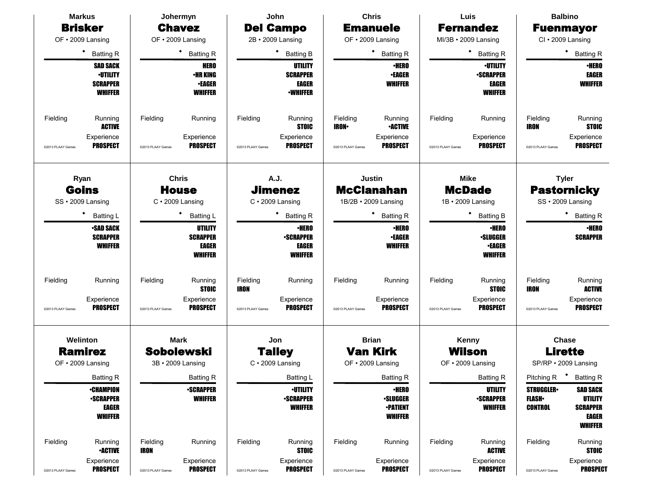| <b>Markus</b>                         | Johermyn                                | John                                 | <b>Chris</b>                                         | Luis                                 | <b>Balbino</b>                                                 |  |  |
|---------------------------------------|-----------------------------------------|--------------------------------------|------------------------------------------------------|--------------------------------------|----------------------------------------------------------------|--|--|
| <b>Brisker</b>                        | <b>Chavez</b>                           | <b>Del Campo</b>                     | <b>Emanuele</b>                                      | <b>Fernandez</b>                     | <b>Fuenmayor</b>                                               |  |  |
| OF • 2009 Lansing                     | OF · 2009 Lansing                       | 2B • 2009 Lansing                    | OF · 2009 Lansing                                    | MI/3B · 2009 Lansing                 | CI · 2009 Lansing                                              |  |  |
| ٠<br><b>Batting R</b>                 | <b>Batting R</b>                        | ٠<br><b>Batting B</b>                | ٠<br><b>Batting R</b>                                | <b>Batting R</b>                     | ٠<br><b>Batting R</b>                                          |  |  |
| <b>SAD SACK</b>                       | <b>HERO</b>                             | UTILITY                              | <b>•HERO</b>                                         | <b>·UTILITY</b>                      | <b>•HERO</b>                                                   |  |  |
| <b>-UTILITY</b><br><b>SCRAPPER</b>    | <b><i>•HR KING</i></b><br><b>•EAGER</b> | <b>SCRAPPER</b><br><b>EAGER</b>      | <b>-EAGER</b><br><b>WHIFFER</b>                      | <b>-SCRAPPER</b><br>EAGER            | <b>EAGER</b><br><b>WHIFFER</b>                                 |  |  |
| <b>WHIFFER</b>                        | <b>WHIFFER</b>                          | <b>-WHIFFER</b>                      |                                                      | <b>WHIFFER</b>                       |                                                                |  |  |
|                                       |                                         |                                      |                                                      |                                      |                                                                |  |  |
| Fielding<br>Running<br><b>ACTIVE</b>  | Fielding<br>Running                     | Fielding<br>Running<br><b>STOIC</b>  | Fielding<br>Running<br><b>IRON</b><br><b>•ACTIVE</b> | Fielding<br>Running                  | Fielding<br>Running<br><b>IRON</b><br><b>STOIC</b>             |  |  |
| Experience                            | Experience                              | Experience                           | Experience                                           | Experience                           | Experience                                                     |  |  |
| <b>PROSPECT</b><br>@2013 PLAAY Games  | <b>PROSPECT</b><br>@2013 PLAAY Games    | <b>PROSPECT</b><br>@2013 PLAAY Games | <b>PROSPECT</b><br>@2013 PLAAY Games                 | <b>PROSPECT</b><br>@2013 PLAAY Games | <b>PROSPECT</b><br>@2013 PLAAY Games                           |  |  |
| Ryan                                  | <b>Chris</b>                            | A.J.                                 | <b>Justin</b>                                        | <b>Mike</b>                          | <b>Tyler</b>                                                   |  |  |
| Goins                                 | <b>House</b>                            | <b>Jimenez</b>                       | <b>McClanahan</b>                                    | <b>McDade</b>                        | <b>Pastornicky</b>                                             |  |  |
| SS · 2009 Lansing                     | $C \cdot 2009$ Lansing                  | $C \cdot 2009$ Lansing               | 1B/2B · 2009 Lansing                                 | 1B · 2009 Lansing                    | SS · 2009 Lansing                                              |  |  |
| ٠<br><b>Batting L</b>                 | <b>Batting L</b>                        | ٠<br><b>Batting R</b>                | <b>Batting R</b>                                     | <b>Batting B</b>                     | ٠<br><b>Batting R</b>                                          |  |  |
| <b>•SAD SACK</b>                      | UTILITY                                 | <b>•HERO</b>                         | <b>•HERO</b>                                         | <b>•HERO</b>                         | <b>•HERO</b>                                                   |  |  |
| <b>SCRAPPER</b>                       | <b>SCRAPPER</b>                         | <b>•SCRAPPER</b>                     | <b>•EAGER</b>                                        | <b>·SLUGGER</b>                      | <b>SCRAPPER</b>                                                |  |  |
| <b>WHIFFER</b>                        | EAGER<br><b>WHIFFER</b>                 | <b>EAGER</b><br><b>WHIFFER</b>       | <b>WHIFFER</b>                                       | <b>•EAGER</b><br><b>WHIFFER</b>      |                                                                |  |  |
|                                       |                                         |                                      |                                                      |                                      |                                                                |  |  |
| Fielding<br>Running                   | Fielding<br>Running<br><b>STOIC</b>     | Fielding<br>Running<br>IRON          | Fielding<br>Running                                  | Fielding<br>Running<br><b>STOIC</b>  | Fielding<br>Running<br><b>ACTIVE</b><br>IRON                   |  |  |
| Experience                            | Experience                              | Experience                           | Experience                                           | Experience                           | Experience                                                     |  |  |
| <b>PROSPECT</b><br>@2013 PLAAY Games  | <b>PROSPECT</b><br>@2013 PLAAY Games    | <b>PROSPECT</b><br>@2013 PLAAY Games | <b>PROSPECT</b><br>@2013 PLAAY Games                 | <b>PROSPECT</b><br>@2013 PLAAY Games | <b>PROSPECT</b><br>@2013 PLAAY Games                           |  |  |
| Welinton                              | <b>Mark</b>                             | Jon                                  | <b>Brian</b>                                         | Kenny                                | <b>Chase</b>                                                   |  |  |
| <b>Ramirez</b>                        | <b>Sobolewski</b>                       | <b>Talley</b>                        | <b>Van Kirk</b>                                      | Wilson                               | <b>Lirette</b>                                                 |  |  |
| OF • 2009 Lansing                     | 3B • 2009 Lansing                       | $C \cdot 2009$ Lansing               | OF • 2009 Lansing                                    | OF • 2009 Lansing                    | SP/RP · 2009 Lansing                                           |  |  |
| <b>Batting R</b>                      | <b>Batting R</b>                        | Batting L                            | <b>Batting R</b>                                     | <b>Batting R</b>                     | Pitching R <sup>+</sup> Batting R                              |  |  |
| <b>•CHAMPION</b>                      | <b>•SCRAPPER</b>                        | <b>•UTILITY</b>                      | <b>•HERO</b>                                         | UTILITY                              | <b>STRUGGLER</b><br><b>SAD SACK</b>                            |  |  |
| <b>•SCRAPPER</b><br>EAGER             | <b>WHIFFER</b>                          | <b>SCRAPPER</b><br><b>WHIFFER</b>    | <b>•SLUGGER</b><br><b>-PATIENT</b>                   | <b>-SCRAPPER</b><br><b>WHIFFER</b>   | <b>FLASH</b> •<br>UTILITY<br><b>CONTROL</b><br><b>SCRAPPER</b> |  |  |
| <b>WHIFFER</b>                        |                                         |                                      | <b>WHIFFER</b>                                       |                                      | <b>EAGER</b><br><b>WHIFFER</b>                                 |  |  |
| Fielding<br>Running<br><b>•ACTIVE</b> | Fielding<br>Running<br><b>IRON</b>      | Fielding<br>Running<br><b>STOIC</b>  | Fielding<br>Running                                  | Fielding<br>Running<br><b>ACTIVE</b> | Fielding<br>Running<br><b>STOIC</b>                            |  |  |
| Experience                            | Experience                              | Experience                           | Experience                                           | Experience                           | Experience                                                     |  |  |
| <b>PROSPECT</b><br>@2013 PLAAY Games  | <b>PROSPECT</b><br>@2013 PLAAY Games    | <b>PROSPECT</b><br>@2013 PLAAY Games | <b>PROSPECT</b><br>@2013 PLAAY Games                 | <b>PROSPECT</b><br>@2013 PLAAY Games | <b>PROSPECT</b><br>@2013 PLAAY Games                           |  |  |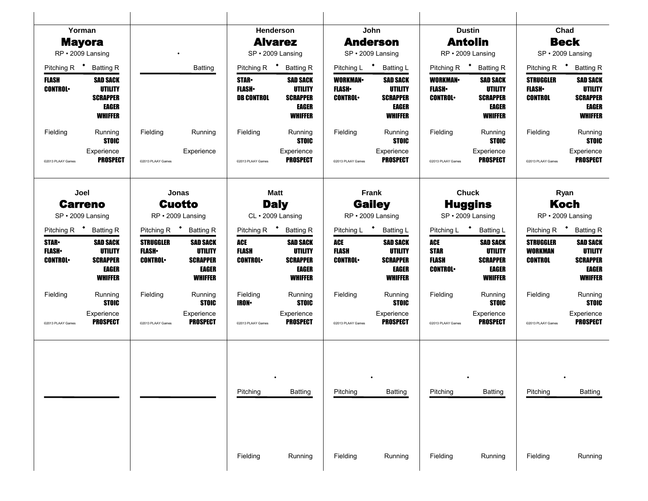| Yorman                                          |                                                                                 |                                                      |                                                                                 |                                                    | Henderson                                                                       |                                                  | John                                                                                   |                                                      | <b>Dustin</b>                                                                   |                                                      | Chad                                                                     |
|-------------------------------------------------|---------------------------------------------------------------------------------|------------------------------------------------------|---------------------------------------------------------------------------------|----------------------------------------------------|---------------------------------------------------------------------------------|--------------------------------------------------|----------------------------------------------------------------------------------------|------------------------------------------------------|---------------------------------------------------------------------------------|------------------------------------------------------|--------------------------------------------------------------------------|
| <b>Mayora</b>                                   |                                                                                 |                                                      |                                                                                 |                                                    | <b>Alvarez</b>                                                                  |                                                  | <b>Anderson</b>                                                                        |                                                      | <b>Antolin</b>                                                                  |                                                      | <b>Beck</b>                                                              |
| RP · 2009 Lansing                               |                                                                                 |                                                      |                                                                                 |                                                    | SP · 2009 Lansing                                                               |                                                  | SP · 2009 Lansing                                                                      |                                                      | RP · 2009 Lansing                                                               |                                                      | SP · 2009 Lansing                                                        |
| Pitching R * Batting R                          |                                                                                 |                                                      | <b>Batting</b>                                                                  | Pitching R $\bullet$                               | <b>Batting R</b>                                                                |                                                  | Pitching L * Batting L                                                                 | Pitching R $\bullet$                                 | <b>Batting R</b>                                                                |                                                      | Pitching R <sup>+</sup> Batting R                                        |
| FLASH<br><b>CONTROL</b>                         | <b>SAD SACK</b><br><b>UTILITY</b><br><b>SCRAPPER</b><br>EAGER<br><b>WHIFFER</b> |                                                      |                                                                                 | <b>STAR</b> •<br><b>FLASH</b><br><b>DB CONTROL</b> | <b>SAD SACK</b><br><b>UTILITY</b><br><b>SCRAPPER</b><br>EAGER<br><b>WHIFFER</b> | <b>WORKMAN</b><br><b>FLASH</b><br><b>CONTROL</b> | <b>SAD SACK</b><br><b>UTILITY</b><br><b>SCRAPPER</b><br><b>EAGER</b><br><b>WHIFFER</b> | <b>WORKMAN</b><br><b>FLASH</b> •<br><b>CONTROL</b>   | <b>SAD SACK</b><br><b>UTILITY</b><br><b>SCRAPPER</b><br>EAGER<br><b>WHIFFER</b> | <b>STRUGGLER</b><br><b>FLASH</b><br><b>CONTROL</b>   | <b>SAD SACK</b><br><b>UTILITY</b><br><b>SCRAPPER</b><br>EAGER<br>WHIFFER |
| Fielding                                        | Running<br><b>STOIC</b>                                                         | Fielding                                             | Running                                                                         | Fielding                                           | Running<br><b>STOIC</b>                                                         | Fielding                                         | Running<br><b>STOIC</b>                                                                | Fielding                                             | Running<br><b>STOIC</b>                                                         | Fielding                                             | Running<br><b>STOIC</b>                                                  |
| @2013 PLAAY Games                               | Experience<br><b>PROSPECT</b>                                                   | @2013 PLAAY Games                                    | Experience                                                                      | @2013 PLAAY Games                                  | Experience<br><b>PROSPECT</b>                                                   | @2013 PLAAY Games                                | Experience<br><b>PROSPECT</b>                                                          | @2013 PLAAY Games                                    | Experience<br><b>PROSPECT</b>                                                   | @2013 PLAAY Games                                    | Experience<br><b>PROSPECT</b>                                            |
| Joel                                            |                                                                                 |                                                      | Jonas                                                                           |                                                    | <b>Matt</b>                                                                     |                                                  | Frank                                                                                  |                                                      | <b>Chuck</b>                                                                    |                                                      | Ryan                                                                     |
| <b>Carreno</b><br>SP · 2009 Lansing             |                                                                                 |                                                      | <b>Cuotto</b><br>RP · 2009 Lansing                                              | <b>Daly</b><br>CL · 2009 Lansing                   |                                                                                 | <b>Gailey</b><br>RP · 2009 Lansing               |                                                                                        | <b>Huggins</b><br>SP · 2009 Lansing                  |                                                                                 |                                                      | <b>Koch</b><br>RP · 2009 Lansing                                         |
| Pitching R <sup>+</sup> Batting R               |                                                                                 |                                                      | Pitching R <b>*</b> Batting R                                                   |                                                    | Pitching R <b>*</b> Batting R                                                   | Pitching L * Batting L                           |                                                                                        | Pitching L * Batting L                               |                                                                                 |                                                      | Pitching R <b>*</b> Batting R                                            |
| <b>STAR</b><br><b>FLASH</b> •<br><b>CONTROL</b> | <b>SAD SACK</b><br><b>UTILITY</b><br><b>SCRAPPER</b><br>EAGER<br><b>WHIFFER</b> | <b>STRUGGLER</b><br><b>FLASH</b> •<br><b>CONTROL</b> | <b>SAD SACK</b><br><b>UTILITY</b><br><b>SCRAPPER</b><br><b>EAGER</b><br>WHIFFER | ACE<br><b>FLASH</b><br><b>CONTROL</b>              | <b>SAD SACK</b><br><b>UTILITY</b><br><b>SCRAPPER</b><br>EAGER<br><b>WHIFFER</b> | <b>ACE</b><br><b>FLASH</b><br><b>CONTROL</b>     | <b>SAD SACK</b><br>UTILITY<br><b>SCRAPPER</b><br>EAGER<br><b>WHIFFER</b>               | ACE<br><b>STAR</b><br><b>FLASH</b><br><b>CONTROL</b> | <b>SAD SACK</b><br>UTILITY<br><b>SCRAPPER</b><br>EAGER<br><b>WHIFFER</b>        | <b>STRUGGLER</b><br><b>WORKMAN</b><br><b>CONTROL</b> | <b>SAD SACK</b><br>UTILITY<br><b>SCRAPPER</b><br>EAGER<br><b>WHIFFER</b> |
| Fielding                                        | Running<br><b>STOIC</b>                                                         | Fielding                                             | Running<br><b>STOIC</b>                                                         | Fielding<br><b>IRON-</b>                           | Running<br><b>STOIC</b>                                                         | Fielding                                         | Running<br><b>STOIC</b>                                                                | Fielding                                             | Running<br><b>STOIC</b>                                                         | Fielding                                             | Running<br><b>STOIC</b>                                                  |
| @2013 PLAAY Games                               | Experience<br><b>PROSPECT</b>                                                   | @2013 PLAAY Games                                    | Experience<br><b>PROSPECT</b>                                                   | @2013 PLAAY Games                                  | Experience<br><b>PROSPECT</b>                                                   | @2013 PLAAY Games                                | Experience<br><b>PROSPECT</b>                                                          | @2013 PLAAY Games                                    | Experience<br><b>PROSPECT</b>                                                   | @2013 PLAAY Games                                    | Experience<br><b>PROSPECT</b>                                            |
|                                                 |                                                                                 |                                                      |                                                                                 | Pitching<br>Fielding                               | <b>Batting</b><br>Running                                                       | Pitching<br>Fielding                             | <b>Batting</b><br>Running                                                              | Pitching                                             | <b>Batting</b><br>Running                                                       | Pitching<br>Fielding                                 | <b>Batting</b>                                                           |
|                                                 |                                                                                 |                                                      |                                                                                 |                                                    |                                                                                 |                                                  |                                                                                        | Fielding                                             |                                                                                 |                                                      | Running                                                                  |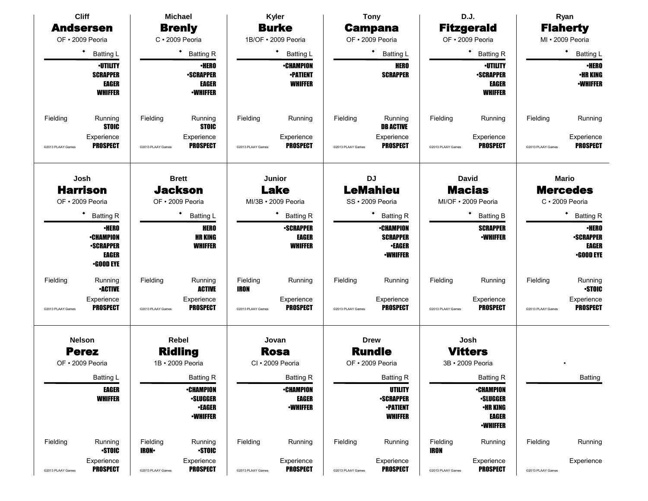|                   | <b>Cliff</b>                         |                                                     | <b>Michael</b>                     |                                  | Kyler                           |                             | <b>Tony</b>                       |                                     | D.J.                               |                   | Ryan                      |  |
|-------------------|--------------------------------------|-----------------------------------------------------|------------------------------------|----------------------------------|---------------------------------|-----------------------------|-----------------------------------|-------------------------------------|------------------------------------|-------------------|---------------------------|--|
|                   | <b>Andsersen</b>                     |                                                     | <b>Brenly</b>                      |                                  | <b>Burke</b>                    |                             | <b>Campana</b>                    |                                     | <b>Fitzgerald</b>                  |                   | <b>Flaherty</b>           |  |
|                   | OF · 2009 Peoria                     |                                                     | $C \cdot 2009$ Peoria              |                                  | 1B/OF · 2009 Peoria             |                             | OF · 2009 Peoria                  |                                     | OF · 2009 Peoria                   |                   | MI · 2009 Peoria          |  |
|                   | ٠<br><b>Batting L</b>                |                                                     | <b>Batting R</b>                   |                                  | ٠<br>Batting L                  |                             | ٠<br><b>Batting L</b>             |                                     | $\bullet$<br><b>Batting R</b>      |                   | ٠<br><b>Batting L</b>     |  |
|                   | <b>·UTILITY</b>                      |                                                     | <b>·HERO</b>                       |                                  | <b>-CHAMPION</b>                |                             | <b>HERO</b>                       |                                     | <b>·UTILITY</b>                    |                   | <b>•HERO</b>              |  |
|                   | <b>SCRAPPER</b>                      |                                                     | <b>-SCRAPPER</b>                   |                                  | <b>•PATIENT</b>                 |                             | <b>SCRAPPER</b>                   |                                     | <b>-SCRAPPER</b>                   |                   | <b>•HR KING</b>           |  |
|                   | EAGER<br><b>WHIFFER</b>              |                                                     | <b>EAGER</b><br><b>-WHIFFER</b>    |                                  | <b>WHIFFER</b>                  |                             |                                   |                                     | <b>EAGER</b><br><b>WHIFFER</b>     |                   | <b>•WHIFFER</b>           |  |
|                   |                                      |                                                     |                                    |                                  |                                 |                             |                                   |                                     |                                    |                   |                           |  |
| Fielding          | Running                              | Fielding                                            | Running                            | Fielding                         | Running                         | Fielding                    | Running                           | Fielding                            | Running                            | Fielding          | Running                   |  |
|                   | <b>STOIC</b>                         |                                                     | <b>STOIC</b>                       |                                  |                                 |                             | <b>DB ACTIVE</b>                  |                                     |                                    |                   |                           |  |
|                   | Experience                           |                                                     | Experience                         |                                  | Experience                      |                             | Experience                        |                                     | Experience                         |                   | Experience                |  |
| @2013 PLAAY Games | <b>PROSPECT</b>                      | @2013 PLAAY Games                                   | <b>PROSPECT</b>                    | @2013 PLAAY Games                | <b>PROSPECT</b>                 | @2013 PLAAY Games           | <b>PROSPECT</b>                   | @2013 PLAAY Games                   | <b>PROSPECT</b>                    | @2013 PLAAY Games | <b>PROSPECT</b>           |  |
|                   |                                      |                                                     |                                    |                                  |                                 |                             |                                   |                                     |                                    |                   |                           |  |
|                   | Josh                                 |                                                     | <b>Brett</b>                       |                                  | Junior                          |                             | <b>DJ</b>                         |                                     | <b>David</b>                       | <b>Mario</b>      |                           |  |
|                   | <b>Harrison</b>                      | <b>Jackson</b>                                      |                                    |                                  | <b>Lake</b>                     | <b>LeMahieu</b>             |                                   |                                     | <b>Macias</b>                      | <b>Mercedes</b>   |                           |  |
|                   | OF · 2009 Peoria                     | OF · 2009 Peoria                                    |                                    | MI/3B • 2009 Peoria              |                                 |                             | SS · 2009 Peoria                  | MI/OF · 2009 Peoria                 |                                    | C · 2009 Peoria   |                           |  |
|                   | ٠<br><b>Batting R</b>                |                                                     | Batting L                          | ٠<br><b>Batting R</b>            |                                 |                             | <b>Batting R</b>                  |                                     | <b>Batting B</b>                   |                   | <b>Batting R</b>          |  |
|                   | <b>•HERO</b>                         |                                                     | <b>HERO</b>                        | <b>-SCRAPPER</b>                 |                                 |                             | <b>•CHAMPION</b>                  |                                     | <b>SCRAPPER</b>                    |                   | <b>·HERO</b>              |  |
|                   | <b>•CHAMPION</b><br><b>•SCRAPPER</b> |                                                     | <b>HR KING</b><br><b>WHIFFER</b>   | EAGER<br><b>WHIFFER</b>          |                                 |                             | <b>SCRAPPER</b><br><b>•EAGER</b>  |                                     | <b>-WHIFFER</b>                    |                   | <b>•SCRAPPER</b><br>EAGER |  |
|                   | EAGER                                |                                                     |                                    |                                  |                                 |                             | <b>-WHIFFER</b>                   |                                     |                                    |                   | <b>•GOOD EYE</b>          |  |
|                   | <b>•GOOD EYE</b>                     |                                                     |                                    |                                  |                                 |                             |                                   |                                     |                                    |                   |                           |  |
| Fielding          | Running<br><b>-ACTIVE</b>            | Fielding                                            | Running<br><b>ACTIVE</b>           | Fielding<br><b>IRON</b>          | Running                         | Fielding                    | Running                           | Fielding                            | Running                            | Fielding          | Running<br><b>STOIC</b>   |  |
|                   | Experience                           |                                                     | Experience                         |                                  | Experience                      |                             | Experience                        |                                     | Experience                         |                   | Experience                |  |
| @2013 PLAAY Games | <b>PROSPECT</b>                      | @2013 PLAAY Games                                   | <b>PROSPECT</b>                    | @2013 PLAAY Games                | <b>PROSPECT</b>                 | @2013 PLAAY Games           | <b>PROSPECT</b>                   | @2013 PLAAY Games                   | <b>PROSPECT</b>                    | @2013 PLAAY Games | <b>PROSPECT</b>           |  |
|                   |                                      |                                                     |                                    |                                  |                                 |                             |                                   |                                     |                                    |                   |                           |  |
|                   | <b>Nelson</b>                        |                                                     | Rebel                              |                                  | Jovan                           |                             | <b>Drew</b>                       |                                     | Josh                               |                   |                           |  |
|                   | <b>Perez</b><br>OF • 2009 Peoria     |                                                     | <b>Ridling</b><br>1B · 2009 Peoria |                                  | <b>Rosa</b><br>CI · 2009 Peoria |                             | <b>Rundle</b><br>OF · 2009 Peoria |                                     | <b>Vitters</b><br>3B · 2009 Peoria |                   |                           |  |
|                   |                                      |                                                     |                                    |                                  |                                 |                             |                                   |                                     |                                    |                   |                           |  |
|                   | Batting L                            |                                                     | <b>Batting R</b>                   |                                  | <b>Batting R</b>                |                             | <b>Batting R</b>                  |                                     | <b>Batting R</b>                   |                   | Batting                   |  |
|                   | <b>WHIFFER</b>                       | <b>EAGER</b><br><b>•CHAMPION</b><br><b>-SLUGGER</b> |                                    | <b>•CHAMPION</b><br><b>EAGER</b> |                                 | UTILITY<br><b>-SCRAPPER</b> |                                   | <b>•CHAMPION</b><br><b>-SLUGGER</b> |                                    |                   |                           |  |
|                   |                                      |                                                     | <b>•EAGER</b>                      |                                  | <b>-WHIFFER</b>                 |                             | <b>•PATIENT</b>                   |                                     | <b>•HR KING</b>                    |                   |                           |  |
|                   |                                      |                                                     | <b>-WHIFFER</b>                    |                                  |                                 |                             | <b>WHIFFER</b>                    |                                     | <b>EAGER</b>                       |                   |                           |  |
|                   |                                      |                                                     |                                    |                                  |                                 |                             | <b>-WHIFFER</b>                   |                                     |                                    |                   |                           |  |
| Fielding          | Running                              | Fielding                                            | Running                            | Fielding                         | Running                         | Fielding                    | Running                           | Fielding                            | Running                            | Fielding          | Running                   |  |
|                   | <b>STOIC</b>                         | <b>IRON-</b>                                        | <b>STOIC</b>                       |                                  |                                 |                             |                                   | IRON                                |                                    |                   |                           |  |
| @2013 PLAAY Games | Experience<br><b>PROSPECT</b>        | @2013 PLAAY Games                                   | Experience<br><b>PROSPECT</b>      | @2013 PLAAY Games                | Experience<br><b>PROSPECT</b>   | @2013 PLAAY Games           | Experience<br><b>PROSPECT</b>     | @2013 PLAAY Games                   | Experience<br><b>PROSPECT</b>      | @2013 PLAAY Games | Experience                |  |
|                   |                                      |                                                     |                                    |                                  |                                 |                             |                                   |                                     |                                    |                   |                           |  |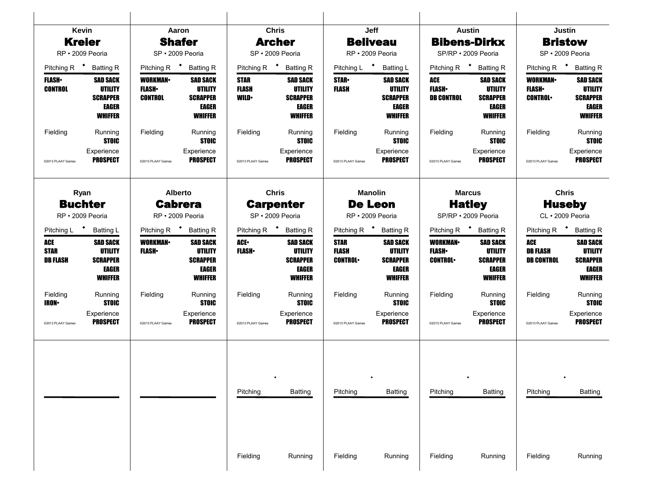|                                              | Kevin                                                                                  |                                                                                                                                                                      | Aaron                                                                                  |                                            | <b>Chris</b>                                                                           |                                               | Jeff                                                                                   |                                                    | <b>Austin</b>                                                                   |                                                  | <b>Justin</b>                                                                          |
|----------------------------------------------|----------------------------------------------------------------------------------------|----------------------------------------------------------------------------------------------------------------------------------------------------------------------|----------------------------------------------------------------------------------------|--------------------------------------------|----------------------------------------------------------------------------------------|-----------------------------------------------|----------------------------------------------------------------------------------------|----------------------------------------------------|---------------------------------------------------------------------------------|--------------------------------------------------|----------------------------------------------------------------------------------------|
|                                              | <b>Kreier</b>                                                                          |                                                                                                                                                                      | <b>Shafer</b>                                                                          |                                            | <b>Archer</b>                                                                          |                                               | <b>Beliveau</b>                                                                        |                                                    | <b>Bibens-Dirkx</b>                                                             |                                                  | <b>Bristow</b>                                                                         |
|                                              | RP · 2009 Peoria                                                                       |                                                                                                                                                                      | SP · 2009 Peoria                                                                       |                                            | SP · 2009 Peoria                                                                       |                                               | RP · 2009 Peoria                                                                       |                                                    | SP/RP · 2009 Peoria                                                             |                                                  | SP · 2009 Peoria                                                                       |
| Pitching R $\bullet$                         | <b>Batting R</b>                                                                       | Pitching R <sup>+</sup>                                                                                                                                              | <b>Batting R</b>                                                                       | Pitching R <sup>+</sup>                    | <b>Batting R</b>                                                                       | Pitching L <sup>+</sup>                       | <b>Batting L</b>                                                                       | Pitching R <sup>+</sup>                            | <b>Batting R</b>                                                                | Pitching R <sup>+</sup>                          | <b>Batting R</b>                                                                       |
| <b>FLASH</b><br><b>CONTROL</b>               | <b>SAD SACK</b><br><b>UTILITY</b><br><b>SCRAPPER</b><br>EAGER<br><b>WHIFFER</b>        | <b>WORKMAN-</b><br><b>SAD SACK</b><br><b>UTILITY</b><br><b>FLASH</b> •<br><b>SCRAPPER</b><br><b>CONTROL</b><br><b>EAGER</b><br><b>WHIFFER</b><br>Fielding<br>Running |                                                                                        | <b>STAR</b><br><b>FLASH</b><br><b>WILD</b> | <b>SAD SACK</b><br><b>UTILITY</b><br><b>SCRAPPER</b><br><b>EAGER</b><br><b>WHIFFER</b> | <b>STAR</b><br>FLASH                          | <b>SAD SACK</b><br><b>UTILITY</b><br><b>SCRAPPER</b><br><b>EAGER</b><br><b>WHIFFER</b> | ACE<br><b>FLASH</b><br><b>DB CONTROL</b>           | <b>SAD SACK</b><br><b>UTILITY</b><br><b>SCRAPPER</b><br>EAGER<br><b>WHIFFER</b> | <b>WORKMAN</b><br><b>FLASH</b><br><b>CONTROL</b> | <b>SAD SACK</b><br><b>UTILITY</b><br><b>SCRAPPER</b><br><b>EAGER</b><br><b>WHIFFER</b> |
| Fielding                                     | Running<br><b>STOIC</b>                                                                |                                                                                                                                                                      | <b>STOIC</b>                                                                           | Fielding                                   | Running<br><b>STOIC</b>                                                                | Fielding                                      | Running<br><b>STOIC</b>                                                                | Fielding                                           | Running<br><b>STOIC</b>                                                         | Fielding                                         | Running<br><b>STOIC</b>                                                                |
| @2013 PLAAY Games                            | Experience<br><b>PROSPECT</b>                                                          | @2013 PLAAY Games                                                                                                                                                    | Experience<br><b>PROSPECT</b>                                                          | @2013 PLAAY Games                          | Experience<br><b>PROSPECT</b>                                                          | @2013 PLAAY Games                             | Experience<br><b>PROSPECT</b>                                                          | @2013 PLAAY Games                                  | Experience<br><b>PROSPECT</b>                                                   | @2013 PLAAY Games                                | Experience<br><b>PROSPECT</b>                                                          |
|                                              | Ryan                                                                                   |                                                                                                                                                                      | <b>Alberto</b>                                                                         |                                            | <b>Chris</b>                                                                           |                                               | <b>Manolin</b>                                                                         |                                                    | <b>Marcus</b>                                                                   |                                                  | <b>Chris</b>                                                                           |
|                                              | <b>Buchter</b><br>RP · 2009 Peoria                                                     | <b>Cabrera</b><br>RP · 2009 Peoria                                                                                                                                   |                                                                                        | <b>Carpenter</b><br>SP · 2009 Peoria       |                                                                                        | <b>De Leon</b><br>RP · 2009 Peoria            |                                                                                        | <b>Hatley</b><br>SP/RP · 2009 Peoria               |                                                                                 | <b>Huseby</b><br>CL · 2009 Peoria                |                                                                                        |
| Pitching L <sup>+</sup>                      | <b>Batting L</b>                                                                       | Pitching R $\bullet$                                                                                                                                                 | <b>Batting R</b>                                                                       | Pitching R <sup>+</sup> Batting R          |                                                                                        | Pitching R <sup>+</sup> Batting R             |                                                                                        | Pitching R <sup>+</sup><br><b>Batting R</b>        |                                                                                 |                                                  | Pitching R * Batting R                                                                 |
| <b>ACE</b><br><b>STAR</b><br><b>DB FLASH</b> | <b>SAD SACK</b><br><b>UTILITY</b><br><b>SCRAPPER</b><br><b>EAGER</b><br><b>WHIFFER</b> | <b>WORKMAN-</b><br><b>FLASH</b>                                                                                                                                      | <b>SAD SACK</b><br><b>UTILITY</b><br><b>SCRAPPER</b><br><b>EAGER</b><br><b>WHIFFER</b> | ACE.<br><b>FLASH</b>                       | <b>SAD SACK</b><br><b>UTILITY</b><br><b>SCRAPPER</b><br><b>EAGER</b><br><b>WHIFFER</b> | <b>STAR</b><br><b>FLASH</b><br><b>CONTROL</b> | <b>SAD SACK</b><br><b>UTILITY</b><br><b>SCRAPPER</b><br><b>EAGER</b><br><b>WHIFFER</b> | <b>WORKMAN</b><br><b>FLASH</b> •<br><b>CONTROL</b> | <b>SAD SACK</b><br>UTILITY<br><b>SCRAPPER</b><br>EAGER<br><b>WHIFFER</b>        | ACE<br><b>DB FLASH</b><br><b>DB CONTROL</b>      | <b>SAD SACK</b><br><b>UTILITY</b><br><b>SCRAPPER</b><br><b>EAGER</b><br><b>WHIFFER</b> |
| Fielding<br><b>IRON-</b>                     | Running<br><b>STOIC</b>                                                                | Fielding                                                                                                                                                             | Running<br><b>STOIC</b>                                                                | Fielding                                   | Running<br><b>STOIC</b>                                                                | Fielding                                      | Running<br><b>STOIC</b>                                                                | Fielding                                           | Running<br><b>STOIC</b>                                                         | Fielding                                         | Running<br><b>STOIC</b>                                                                |
| @2013 PLAAY Games                            | Experience<br><b>PROSPECT</b>                                                          | @2013 PLAAY Games                                                                                                                                                    | Experience<br><b>PROSPECT</b>                                                          | @2013 PLAAY Games                          | Experience<br>PROSPECT                                                                 | @2013 PLAAY Games                             | Experience<br><b>PROSPECT</b>                                                          | @2013 PLAAY Games                                  | Experience<br><b>PROSPECT</b>                                                   | @2013 PLAAY Games                                | Experience<br><b>PROSPECT</b>                                                          |
|                                              |                                                                                        |                                                                                                                                                                      |                                                                                        | Pitching<br>Fielding                       | <b>Batting</b><br>Running                                                              | Pitching<br>Fielding                          | <b>Batting</b><br>Running                                                              | Pitching<br>Fielding                               | <b>Batting</b><br>Running                                                       | Pitching<br>Fielding                             | <b>Batting</b><br>Running                                                              |
|                                              |                                                                                        |                                                                                                                                                                      |                                                                                        |                                            |                                                                                        |                                               |                                                                                        |                                                    |                                                                                 |                                                  |                                                                                        |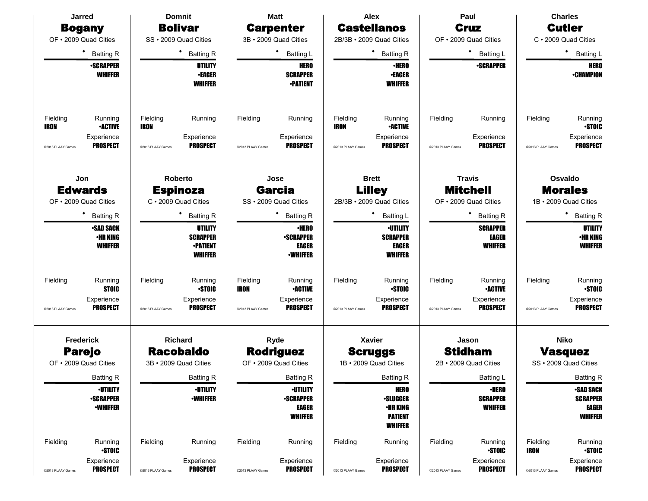| Jarred                                                                                              | <b>Domnit</b>                                                                             | <b>Matt</b>                                                                                                | Alex                                                                                                       | Paul                                                                                        | <b>Charles</b>                                                                            |
|-----------------------------------------------------------------------------------------------------|-------------------------------------------------------------------------------------------|------------------------------------------------------------------------------------------------------------|------------------------------------------------------------------------------------------------------------|---------------------------------------------------------------------------------------------|-------------------------------------------------------------------------------------------|
| <b>Bogany</b>                                                                                       | <b>Bolivar</b>                                                                            | <b>Carpenter</b>                                                                                           | <b>Castellanos</b>                                                                                         | <b>Cruz</b>                                                                                 | <b>Cutler</b>                                                                             |
| OF • 2009 Quad Cities                                                                               | SS · 2009 Quad Cities                                                                     | 3B · 2009 Quad Cities                                                                                      | 2B/3B · 2009 Quad Cities                                                                                   | OF . 2009 Quad Cities                                                                       | C · 2009 Quad Cities                                                                      |
| <b>Batting R</b>                                                                                    | * Batting R                                                                               | <b>Batting L</b>                                                                                           | ٠<br><b>Batting R</b>                                                                                      | <b>Batting L</b>                                                                            | ٠<br><b>Batting L</b>                                                                     |
| <b>•SCRAPPER</b><br><b>WHIFFER</b>                                                                  | UTILITY<br><b>•EAGER</b><br><b>WHIFFER</b>                                                | <b>HERO</b><br><b>SCRAPPER</b><br><b>•PATIENT</b>                                                          | <b>•HERO</b><br><b>•EAGER</b><br><b>WHIFFER</b>                                                            | <b>-SCRAPPER</b>                                                                            | <b>HERO</b><br><b>-CHAMPION</b>                                                           |
| Fielding<br>Running<br><b>•ACTIVE</b><br>IRON<br>Experience<br><b>PROSPECT</b><br>@2013 PLAAY Games | Fielding<br>Running<br><b>IRON</b><br>Experience<br><b>PROSPECT</b><br>@2013 PLAAY Games  | Fielding<br>Running<br>Experience<br><b>PROSPECT</b><br>@2013 PLAAY Games                                  | Fielding<br>Running<br><b>IRON</b><br><b>•ACTIVE</b><br>Experience<br><b>PROSPECT</b><br>@2013 PLAAY Games | Fielding<br>Running<br>Experience<br><b>PROSPECT</b><br>@2013 PLAAY Games                   | Fielding<br>Running<br><b>STOIC</b><br>Experience<br><b>PROSPECT</b><br>@2013 PLAAY Games |
| Jon                                                                                                 | Roberto                                                                                   | Jose                                                                                                       | <b>Brett</b>                                                                                               | <b>Travis</b><br><b>Mitchell</b>                                                            | Osvaldo<br><b>Morales</b>                                                                 |
| <b>Edwards</b><br>OF • 2009 Quad Cities                                                             | <b>Espinoza</b><br>C · 2009 Quad Cities                                                   | <b>Garcia</b><br>SS · 2009 Quad Cities                                                                     | <b>Lilley</b><br>2B/3B · 2009 Quad Cities                                                                  | OF . 2009 Quad Cities                                                                       | 1B · 2009 Quad Cities                                                                     |
| <b>Batting R</b>                                                                                    | <b>Batting R</b>                                                                          | <b>Batting R</b>                                                                                           | ٠<br><b>Batting L</b>                                                                                      | <b>Batting R</b>                                                                            | ٠<br><b>Batting R</b>                                                                     |
| <b>•SAD SACK</b><br><b>•HR KING</b><br><b>WHIFFER</b>                                               | UTILITY<br><b>SCRAPPER</b><br><b>•PATIENT</b><br><b>WHIFFER</b>                           | <b>·HERO</b><br><b>-SCRAPPER</b><br>EAGER<br><b>•WHIFFER</b>                                               | <b>·UTILITY</b><br><b>SCRAPPER</b><br>EAGER<br><b>WHIFFER</b>                                              | <b>SCRAPPER</b><br><b>EAGER</b><br><b>WHIFFER</b>                                           | UTILITY<br><b>•HR KING</b><br><b>WHIFFER</b>                                              |
| Fielding<br>Running<br><b>STOIC</b><br>Experience<br><b>PROSPECT</b><br>@2013 PLAAY Games           | Fielding<br>Running<br><b>STOIC</b><br>Experience<br><b>PROSPECT</b><br>@2013 PLAAY Games | Fielding<br>Running<br><b>•ACTIVE</b><br><b>IRON</b><br>Experience<br><b>PROSPECT</b><br>@2013 PLAAY Games | Fielding<br>Running<br><b>STOIC</b><br>Experience<br><b>PROSPECT</b><br>@2013 PLAAY Games                  | Fielding<br>Running<br><b>•ACTIVE</b><br>Experience<br><b>PROSPECT</b><br>@2013 PLAAY Games | Fielding<br>Running<br><b>STOIC</b><br>Experience<br><b>PROSPECT</b><br>@2013 PLAAY Games |
| <b>Frederick</b><br><b>Parejo</b><br>OF • 2009 Quad Cities                                          | Richard<br><b>Racobaldo</b><br>3B · 2009 Quad Cities                                      | Ryde<br><b>Rodriguez</b><br>OF . 2009 Quad Cities                                                          | <b>Xavier</b><br><b>Scruggs</b><br>1B · 2009 Quad Cities                                                   | Jason<br><b>Stidham</b><br>2B · 2009 Quad Cities                                            | <b>Niko</b><br><b>Vasquez</b><br>SS · 2009 Quad Cities                                    |
| Batting R                                                                                           | <b>Batting R</b>                                                                          | Batting R                                                                                                  | Batting R                                                                                                  | Batting L                                                                                   | <b>Batting R</b>                                                                          |
| <b>•UTILITY</b><br><b>-SCRAPPER</b><br><b>-WHIFFER</b>                                              | <b>-UTILITY</b><br><b>-WHIFFER</b>                                                        | <b>•UTILITY</b><br><b>-SCRAPPER</b><br>EAGER<br><b>WHIFFER</b>                                             | <b>HERO</b><br><b>-SLUGGER</b><br><b>•HR KING</b><br><b>PATIENT</b><br><b>WHIFFER</b>                      | ∙HERO<br><b>SCRAPPER</b><br><b>WHIFFER</b>                                                  | <b>•SAD SACK</b><br><b>SCRAPPER</b><br>EAGER<br><b>WHIFFER</b>                            |
| Fielding<br>Running<br><b>STOIC</b>                                                                 | Fielding<br>Running                                                                       | Fielding<br>Running                                                                                        | Fielding<br>Running                                                                                        | Fielding<br>Running<br><b>-STOIC</b>                                                        | Fielding<br>Running<br><b>STOIC</b><br><b>IRON</b>                                        |
| Experience<br><b>PROSPECT</b><br>@2013 PLAAY Games                                                  | Experience<br><b>PROSPECT</b><br>@2013 PLAAY Games                                        | Experience<br><b>PROSPECT</b><br>@2013 PLAAY Games                                                         | Experience<br><b>PROSPECT</b><br>@2013 PLAAY Games                                                         | Experience<br><b>PROSPECT</b><br>@2013 PLAAY Games                                          | Experience<br><b>PROSPECT</b><br>@2013 PLAAY Games                                        |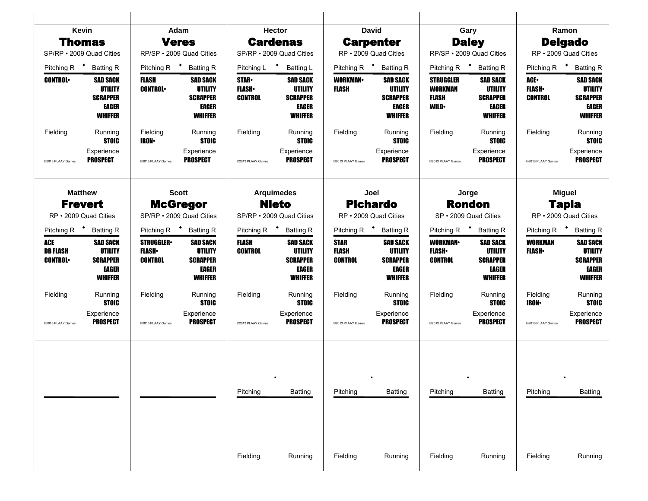|                                                 | Kevin                                                                                  |                                                                                                                                                                                 | Adam                                                                                   |                                               | Hector                                                                   |                                                                               | <b>David</b>                                                                           |                                                                                   | Gary                                                                            |                                                        | Ramon                                                                                  |
|-------------------------------------------------|----------------------------------------------------------------------------------------|---------------------------------------------------------------------------------------------------------------------------------------------------------------------------------|----------------------------------------------------------------------------------------|-----------------------------------------------|--------------------------------------------------------------------------|-------------------------------------------------------------------------------|----------------------------------------------------------------------------------------|-----------------------------------------------------------------------------------|---------------------------------------------------------------------------------|--------------------------------------------------------|----------------------------------------------------------------------------------------|
|                                                 | <b>Thomas</b>                                                                          |                                                                                                                                                                                 | <b>Veres</b>                                                                           |                                               | <b>Cardenas</b>                                                          |                                                                               | <b>Carpenter</b>                                                                       |                                                                                   | <b>Daley</b>                                                                    |                                                        | <b>Delgado</b>                                                                         |
|                                                 | SP/RP · 2009 Quad Cities                                                               |                                                                                                                                                                                 | RP/SP · 2009 Quad Cities                                                               |                                               | SP/RP · 2009 Quad Cities                                                 |                                                                               | RP · 2009 Quad Cities                                                                  |                                                                                   | RP/SP · 2009 Quad Cities                                                        |                                                        | RP · 2009 Quad Cities                                                                  |
| Pitching R <sup>+</sup>                         | <b>Batting R</b>                                                                       | Pitching R <sup>+</sup>                                                                                                                                                         | <b>Batting R</b>                                                                       | Pitching L <sup>+</sup>                       | <b>Batting L</b>                                                         | Pitching R <sup>+</sup>                                                       | <b>Batting R</b>                                                                       | Pitching R <sup>+</sup>                                                           | <b>Batting R</b>                                                                | Pitching R $\bullet$                                   | <b>Batting R</b>                                                                       |
| <b>CONTROL</b>                                  | <b>SAD SACK</b><br><b>UTILITY</b><br><b>SCRAPPER</b><br><b>EAGER</b><br><b>WHIFFER</b> | <b>FLASH</b><br><b>SAD SACK</b><br><b>UTILITY</b><br><b>CONTROL</b><br><b>SCRAPPER</b><br><b>EAGER</b><br><b>WHIFFER</b><br>Fielding<br>Running<br><b>STOIC</b><br><b>IRON-</b> |                                                                                        | <b>STAR</b><br><b>FLASH</b><br><b>CONTROL</b> | <b>SAD SACK</b><br><b>UTILITY</b><br><b>SCRAPPER</b><br>EAGER<br>WHIFFER | <b>WORKMAN-</b><br><b>FLASH</b>                                               | <b>SAD SACK</b><br><b>UTILITY</b><br><b>SCRAPPER</b><br><b>EAGER</b><br><b>WHIFFER</b> | <b>STRUGGLER</b><br><b>WORKMAN</b><br>FLASH<br><b>WILD</b>                        | <b>SAD SACK</b><br><b>UTILITY</b><br><b>SCRAPPER</b><br>EAGER<br><b>WHIFFER</b> | <b>ACE</b><br><b>FLASH</b><br><b>CONTROL</b>           | <b>SAD SACK</b><br><b>UTILITY</b><br><b>SCRAPPER</b><br><b>EAGER</b><br><b>WHIFFER</b> |
| Fielding                                        | Running<br><b>STOIC</b>                                                                |                                                                                                                                                                                 |                                                                                        | Fielding                                      | Running<br><b>STOIC</b>                                                  | Fielding                                                                      | Running<br><b>STOIC</b>                                                                | Fielding                                                                          | Running<br><b>STOIC</b>                                                         | Fielding                                               | Running<br><b>STOIC</b>                                                                |
| @2013 PLAAY Games                               | Experience<br><b>PROSPECT</b>                                                          | @2013 PLAAY Games                                                                                                                                                               | Experience<br><b>PROSPECT</b>                                                          | @2013 PLAAY Games                             | Experience<br><b>PROSPECT</b>                                            | @2013 PLAAY Games                                                             | Experience<br><b>PROSPECT</b>                                                          | @2013 PLAAY Games                                                                 | Experience<br><b>PROSPECT</b>                                                   | @2013 PLAAY Games                                      | Experience<br><b>PROSPECT</b>                                                          |
|                                                 | <b>Matthew</b><br><b>Frevert</b>                                                       | <b>Scott</b><br><b>McGregor</b>                                                                                                                                                 |                                                                                        | <b>Arquimedes</b><br><b>Nieto</b>             |                                                                          | Joel<br><b>Pichardo</b>                                                       |                                                                                        | Jorge<br><b>Rondon</b>                                                            |                                                                                 | <b>Miguel</b><br><b>Tapia</b><br>RP · 2009 Quad Cities |                                                                                        |
|                                                 |                                                                                        | SP/RP . 2009 Quad Cities<br>RP • 2009 Quad Cities                                                                                                                               |                                                                                        | SP/RP · 2009 Quad Cities                      |                                                                          | RP · 2009 Quad Cities                                                         |                                                                                        | SP · 2009 Quad Cities                                                             |                                                                                 | Pitching R <sup>+</sup>                                |                                                                                        |
|                                                 | Pitching R <sup>+</sup> Batting R                                                      | Pitching R $\bullet$                                                                                                                                                            | <b>Batting R</b>                                                                       | Pitching R <sup>+</sup> Batting R             |                                                                          | Pitching R <sup>+</sup><br><b>Batting R</b><br><b>SAD SACK</b><br><b>STAR</b> |                                                                                        | Pitching R <sup>+</sup><br><b>Batting R</b><br><b>WORKMAN-</b><br><b>SAD SACK</b> |                                                                                 |                                                        | <b>Batting R</b>                                                                       |
| <b>ACE</b><br><b>DB FLASH</b><br><b>CONTROL</b> | <b>SAD SACK</b><br><b>UTILITY</b><br><b>SCRAPPER</b><br><b>EAGER</b><br><b>WHIFFER</b> | <b>STRUGGLER</b><br><b>FLASH</b><br><b>CONTROL</b>                                                                                                                              | <b>SAD SACK</b><br><b>UTILITY</b><br><b>SCRAPPER</b><br><b>EAGER</b><br><b>WHIFFER</b> | <b>FLASH</b><br><b>CONTROL</b>                | <b>SAD SACK</b><br><b>UTILITY</b><br><b>SCRAPPER</b><br>EAGER<br>WHIFFER | FLASH<br><b>CONTROL</b>                                                       | <b>UTILITY</b><br><b>SCRAPPER</b><br><b>EAGER</b><br><b>WHIFFER</b>                    | <b>FLASH</b> •<br><b>CONTROL</b>                                                  | <b>UTILITY</b><br><b>SCRAPPER</b><br>EAGER<br><b>WHIFFER</b>                    | <b>WORKMAN</b><br><b>FLASH</b> •                       | <b>SAD SACK</b><br>UTILITY<br><b>SCRAPPER</b><br><b>EAGER</b><br><b>WHIFFER</b>        |
| Fielding                                        | Running<br><b>STOIC</b>                                                                | Fielding                                                                                                                                                                        | Running<br><b>STOIC</b>                                                                | Fielding                                      | Running<br><b>STOIC</b>                                                  | Fielding                                                                      | Running<br><b>STOIC</b>                                                                | Fielding                                                                          | Running<br><b>STOIC</b>                                                         | Fielding<br><b>IRON</b>                                | Running<br><b>STOIC</b>                                                                |
| @2013 PLAAY Games                               | Experience<br><b>PROSPECT</b>                                                          | @2013 PLAAY Games                                                                                                                                                               | Experience<br><b>PROSPECT</b>                                                          | @2013 PLAAY Games                             | Experience<br><b>PROSPECT</b>                                            | @2013 PLAAY Games                                                             | Experience<br><b>PROSPECT</b>                                                          | @2013 PLAAY Games                                                                 | Experience<br><b>PROSPECT</b>                                                   | @2013 PLAAY Games                                      | Experience<br><b>PROSPECT</b>                                                          |
|                                                 |                                                                                        |                                                                                                                                                                                 |                                                                                        | Pitching                                      | <b>Batting</b>                                                           | Pitching                                                                      | <b>Batting</b>                                                                         | Pitching                                                                          | <b>Batting</b>                                                                  | Pitching                                               | <b>Batting</b>                                                                         |
|                                                 |                                                                                        |                                                                                                                                                                                 |                                                                                        | Fielding                                      | Running                                                                  | Fielding                                                                      | Running                                                                                | Fielding                                                                          | Running                                                                         | Fielding                                               | Running                                                                                |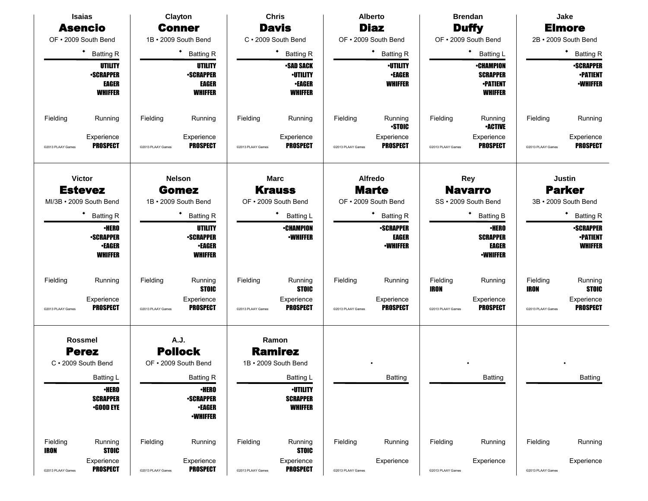|                         | <b>Isaias</b>                                                        |                                                                                                               | Clayton                                                                                  |                   | <b>Chris</b>                                                           |                                                                         | <b>Alberto</b>                                     |                                                      | <b>Brendan</b>                                                           |                                                 | Jake                                                   |
|-------------------------|----------------------------------------------------------------------|---------------------------------------------------------------------------------------------------------------|------------------------------------------------------------------------------------------|-------------------|------------------------------------------------------------------------|-------------------------------------------------------------------------|----------------------------------------------------|------------------------------------------------------|--------------------------------------------------------------------------|-------------------------------------------------|--------------------------------------------------------|
|                         | <b>Asencio</b>                                                       |                                                                                                               | <b>Conner</b>                                                                            |                   | <b>Davis</b>                                                           |                                                                         | <b>Diaz</b>                                        |                                                      | <b>Duffy</b>                                                             |                                                 | <b>Elmore</b>                                          |
|                         | OF . 2009 South Bend                                                 |                                                                                                               | 1B · 2009 South Bend                                                                     |                   | C · 2009 South Bend                                                    |                                                                         | OF . 2009 South Bend                               |                                                      | OF . 2009 South Bend                                                     |                                                 | 2B · 2009 South Bend                                   |
|                         | $\bullet$<br><b>Batting R</b>                                        |                                                                                                               | $\bullet$<br><b>Batting R</b>                                                            |                   | $\bullet$<br><b>Batting R</b>                                          |                                                                         | ٠<br><b>Batting R</b>                              |                                                      | ٠<br>Batting L                                                           |                                                 | ٠<br><b>Batting R</b>                                  |
|                         | <b>UTILITY</b><br><b>•SCRAPPER</b><br><b>EAGER</b><br><b>WHIFFER</b> |                                                                                                               | UTILITY<br><b>-SCRAPPER</b><br><b>EAGER</b><br><b>WHIFFER</b>                            |                   | <b>-SAD SACK</b><br><b>·UTILITY</b><br><b>•EAGER</b><br><b>WHIFFER</b> |                                                                         | <b>·UTILITY</b><br><b>•EAGER</b><br><b>WHIFFER</b> |                                                      | <b>•CHAMPION</b><br><b>SCRAPPER</b><br><b>•PATIENT</b><br><b>WHIFFER</b> |                                                 | <b>-SCRAPPER</b><br><b>-PATIENT</b><br><b>-WHIFFER</b> |
| Fielding                | Running                                                              | Fielding                                                                                                      | Running                                                                                  | Fielding          | Running                                                                | Fielding                                                                | Running<br><b>STOIC</b>                            | Fielding                                             | Running<br><b>•ACTIVE</b>                                                | Fielding                                        | Running                                                |
| @2013 PLAAY Games       | Experience<br><b>PROSPECT</b>                                        | @2013 PLAAY Games                                                                                             | Experience<br><b>PROSPECT</b>                                                            | @2013 PLAAY Games | Experience<br><b>PROSPECT</b>                                          | @2013 PLAAY Games                                                       | Experience<br><b>PROSPECT</b>                      | @2013 PLAAY Games                                    | Experience<br><b>PROSPECT</b>                                            | @2013 PLAAY Games                               | Experience<br><b>PROSPECT</b>                          |
|                         | <b>Victor</b><br><b>Estevez</b><br>MI/3B · 2009 South Bend           | <b>Nelson</b><br><b>Marc</b><br><b>Krauss</b><br><b>Gomez</b><br>1B · 2009 South Bend<br>OF . 2009 South Bend |                                                                                          |                   |                                                                        | Alfredo<br><b>Marte</b><br>OF . 2009 South Bend                         |                                                    | <b>Rey</b><br><b>Navarro</b><br>SS · 2009 South Bend |                                                                          | Justin<br><b>Parker</b><br>3B · 2009 South Bend |                                                        |
|                         | ٠<br><b>Batting R</b>                                                |                                                                                                               | ٠<br><b>Batting R</b>                                                                    | Batting L         |                                                                        |                                                                         | ٠                                                  |                                                      | ٠<br><b>Batting B</b>                                                    |                                                 | <b>Batting R</b>                                       |
|                         | <b>•HERO</b><br><b>-SCRAPPER</b><br><b>•EAGER</b><br><b>WHIFFER</b>  |                                                                                                               | <b>UTILITY</b><br><b>-SCRAPPER</b><br><b>•EAGER</b><br><b>WHIFFER</b>                    |                   | <b>•CHAMPION</b><br><b>•WHIFFER</b>                                    | <b>Batting R</b><br><b>-SCRAPPER</b><br><b>EAGER</b><br><b>•WHIFFER</b> |                                                    |                                                      | <b>•HERO</b><br><b>SCRAPPER</b><br><b>EAGER</b><br><b>•WHIFFER</b>       |                                                 | <b>-SCRAPPER</b><br><b>-PATIENT</b><br><b>WHIFFER</b>  |
| Fielding                | Running                                                              | Fielding                                                                                                      | Running<br><b>STOIC</b>                                                                  | Fielding          | Running<br><b>STOIC</b>                                                | Fielding                                                                | Running                                            | Fielding<br><b>IRON</b>                              | Running                                                                  | Fielding<br><b>IRON</b>                         | Running<br><b>STOIC</b>                                |
| @2013 PLAAY Games       | Experience<br><b>PROSPECT</b>                                        | @2013 PLAAY Games                                                                                             | Experience<br><b>PROSPECT</b>                                                            | @2013 PLAAY Games | Experience<br><b>PROSPECT</b>                                          | @2013 PLAAY Games                                                       | Experience<br><b>PROSPECT</b>                      | @2013 PLAAY Games                                    | Experience<br><b>PROSPECT</b>                                            | @2013 PLAAY Games                               | Experience<br><b>PROSPECT</b>                          |
|                         | <b>Rossmel</b><br><b>Perez</b><br>C · 2009 South Bend                |                                                                                                               | A.J.<br><b>Pollock</b><br>OF . 2009 South Bend                                           |                   | Ramon<br><b>Ramirez</b><br>1B · 2009 South Bend                        |                                                                         |                                                    |                                                      |                                                                          |                                                 |                                                        |
|                         | Batting L<br><b>•HERO</b><br><b>SCRAPPER</b><br>$-$ GOOD EYE         |                                                                                                               | <b>Batting R</b><br><b>•HERO</b><br><b>•SCRAPPER</b><br><b>•EAGER</b><br><b>-WHIFFER</b> |                   | Batting L<br><b>-UTILITY</b><br><b>SCRAPPER</b><br><b>WHIFFER</b>      |                                                                         | Batting                                            |                                                      | Batting                                                                  |                                                 | <b>Batting</b>                                         |
| Fielding<br><b>IRON</b> | Running<br><b>STOIC</b>                                              | Fielding                                                                                                      | Running                                                                                  | Fielding          | Running<br><b>STOIC</b>                                                | Fielding                                                                | Running                                            | Fielding                                             | Running                                                                  | Fielding                                        | Running                                                |
| @2013 PLAAY Games       | Experience<br><b>PROSPECT</b>                                        | @2013 PLAAY Games                                                                                             | Experience<br><b>PROSPECT</b>                                                            | @2013 PLAAY Games | Experience<br><b>PROSPECT</b>                                          | @2013 PLAAY Games                                                       | Experience                                         | @2013 PLAAY Games                                    | Experience                                                               | @2013 PLAAY Games                               | Experience                                             |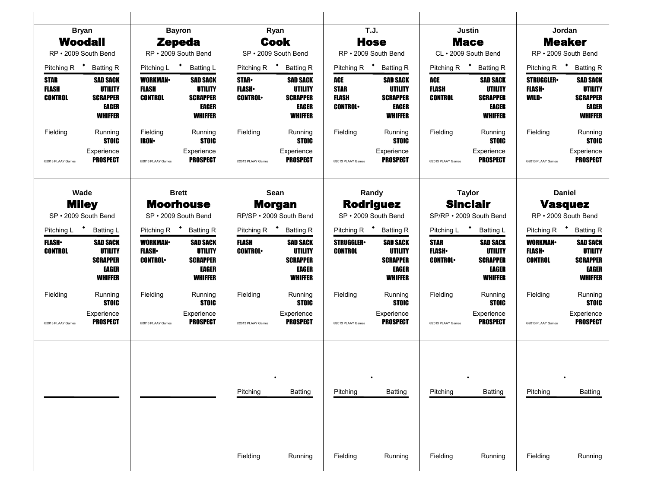|                                        | <b>Bryan</b>                                                                           |                                                   | <b>Bayron</b>                                                                                                                                 |                                | Ryan                                                                                   |                                                      | <b>T.J.</b>                                                                            |                                                 | Justin                                                                   |                                                     | Jordan                                                                                 |
|----------------------------------------|----------------------------------------------------------------------------------------|---------------------------------------------------|-----------------------------------------------------------------------------------------------------------------------------------------------|--------------------------------|----------------------------------------------------------------------------------------|------------------------------------------------------|----------------------------------------------------------------------------------------|-------------------------------------------------|--------------------------------------------------------------------------|-----------------------------------------------------|----------------------------------------------------------------------------------------|
|                                        | <b>Woodall</b>                                                                         |                                                   | <b>Zepeda</b>                                                                                                                                 |                                | <b>Cook</b>                                                                            |                                                      | <b>Hose</b>                                                                            |                                                 | <b>Mace</b>                                                              |                                                     | <b>Meaker</b>                                                                          |
|                                        | RP · 2009 South Bend                                                                   |                                                   | RP · 2009 South Bend                                                                                                                          |                                | SP · 2009 South Bend                                                                   |                                                      | RP · 2009 South Bend                                                                   |                                                 | CL · 2009 South Bend                                                     |                                                     | RP · 2009 South Bend                                                                   |
|                                        | Pitching R <sup>+</sup> Batting R                                                      | Pitching L <sup>+</sup>                           | <b>Batting L</b>                                                                                                                              | Pitching R <sup>+</sup>        | <b>Batting R</b>                                                                       |                                                      | Pitching R <sup>+</sup> Batting R                                                      | Pitching R <sup>+</sup>                         | <b>Batting R</b>                                                         | Pitching R <sup>+</sup>                             | <b>Batting R</b>                                                                       |
| STAR<br><b>FLASH</b><br><b>CONTROL</b> | <b>SAD SACK</b><br><b>UTILITY</b><br><b>SCRAPPER</b><br>EAGER<br><b>WHIFFER</b>        | <b>WORKMAN</b><br><b>FLASH</b><br><b>CONTROL</b>  | <b>SAD SACK</b><br><b>UTILITY</b><br><b>SCRAPPER</b><br><b>EAGER</b><br><b>WHIFFER</b><br>Fielding<br>Running<br><b>STOIC</b><br><b>IRON-</b> |                                | <b>SAD SACK</b><br><b>UTILITY</b><br><b>SCRAPPER</b><br><b>EAGER</b><br><b>WHIFFER</b> | ACE<br><b>STAR</b><br><b>FLASH</b><br><b>CONTROL</b> | <b>SAD SACK</b><br><b>UTILITY</b><br><b>SCRAPPER</b><br>EAGER<br><b>WHIFFER</b>        | ACE<br><b>FLASH</b><br><b>CONTROL</b>           | SAD SACK<br><b>UTILITY</b><br><b>SCRAPPER</b><br>EAGER<br><b>WHIFFER</b> | <b>STRUGGLER</b><br><b>FLASH</b><br><b>WILD</b>     | <b>SAD SACK</b><br><b>UTILITY</b><br><b>SCRAPPER</b><br><b>EAGER</b><br><b>WHIFFER</b> |
| Fielding                               | Running<br><b>STOIC</b>                                                                |                                                   |                                                                                                                                               | Fielding                       | Running<br><b>STOIC</b>                                                                | Fielding                                             | Running<br><b>STOIC</b>                                                                | Fielding                                        | Running<br><b>STOIC</b>                                                  | Fielding                                            | Running<br><b>STOIC</b>                                                                |
| @2013 PLAAY Games                      | Experience<br><b>PROSPECT</b>                                                          | @2013 PLAAY Games                                 | Experience<br><b>PROSPECT</b>                                                                                                                 | @2013 PLAAY Games              | Experience<br><b>PROSPECT</b>                                                          | @2013 PLAAY Games                                    | Experience<br><b>PROSPECT</b>                                                          | @2013 PLAAY Games                               | Experience<br><b>PROSPECT</b>                                            | @2013 PLAAY Games                                   | Experience<br><b>PROSPECT</b>                                                          |
|                                        | Wade                                                                                   |                                                   | <b>Brett</b>                                                                                                                                  |                                | Sean                                                                                   |                                                      | Randy                                                                                  |                                                 | <b>Taylor</b>                                                            |                                                     | <b>Daniel</b>                                                                          |
|                                        | <b>Miley</b><br>SP · 2009 South Bend                                                   |                                                   | <b>Moorhouse</b><br>SP · 2009 South Bend                                                                                                      |                                | <b>Morgan</b><br>RP/SP · 2009 South Bend                                               |                                                      | <b>Rodriguez</b><br>SP · 2009 South Bend                                               |                                                 | <b>Sinclair</b><br>SP/RP · 2009 South Bend                               |                                                     | <b>Vasquez</b><br>RP · 2009 South Bend                                                 |
|                                        | Pitching L <sup>+</sup> Batting L                                                      |                                                   | Pitching R $\bullet$<br><b>Batting R</b>                                                                                                      |                                | Pitching R <sup>+</sup> Batting R                                                      |                                                      | Pitching R <sup>+</sup> Batting R                                                      |                                                 | Pitching L <sup>+</sup><br><b>Batting L</b>                              |                                                     | Pitching R $\bullet$<br><b>Batting R</b>                                               |
| <b>FLASH</b><br><b>CONTROL</b>         | <b>SAD SACK</b><br><b>UTILITY</b><br><b>SCRAPPER</b><br><b>EAGER</b><br><b>WHIFFER</b> | <b>WORKMAN-</b><br><b>FLASH</b><br><b>CONTROL</b> | <b>SAD SACK</b><br><b>UTILITY</b><br><b>SCRAPPER</b><br><b>EAGER</b><br><b>WHIFFER</b>                                                        | <b>FLASH</b><br><b>CONTROL</b> | <b>SAD SACK</b><br><b>UTILITY</b><br><b>SCRAPPER</b><br><b>EAGER</b><br><b>WHIFFER</b> | <b>STRUGGLER</b><br><b>CONTROL</b>                   | <b>SAD SACK</b><br><b>UTILITY</b><br><b>SCRAPPER</b><br><b>EAGER</b><br><b>WHIFFER</b> | <b>STAR</b><br><b>FLASH</b> •<br><b>CONTROL</b> | <b>SAD SACK</b><br>UTILITY<br><b>SCRAPPER</b><br>EAGER<br><b>WHIFFER</b> | <b>WORKMAN-</b><br><b>FLASH</b> •<br><b>CONTROL</b> | <b>SAD SACK</b><br>UTILITY<br><b>SCRAPPER</b><br><b>EAGER</b><br><b>WHIFFER</b>        |
| Fielding                               | Running<br><b>STOIC</b>                                                                | Fielding                                          | Running<br><b>STOIC</b>                                                                                                                       | Fielding                       | Running<br><b>STOIC</b>                                                                | Fielding                                             | Running<br><b>STOIC</b>                                                                | Fielding                                        | Running<br><b>STOIC</b>                                                  | Fielding                                            | Running<br><b>STOIC</b>                                                                |
| @2013 PLAAY Games                      | Experience<br><b>PROSPECT</b>                                                          | @2013 PLAAY Games                                 | Experience<br><b>PROSPECT</b>                                                                                                                 | @2013 PLAAY Games              | Experience<br><b>PROSPECT</b>                                                          | @2013 PLAAY Games                                    | Experience<br><b>PROSPECT</b>                                                          | @2013 PLAAY Games                               | Experience<br><b>PROSPECT</b>                                            | @2013 PLAAY Games                                   | Experience<br><b>PROSPECT</b>                                                          |
|                                        |                                                                                        |                                                   |                                                                                                                                               | Pitching                       | <b>Batting</b>                                                                         | Pitching                                             | <b>Batting</b>                                                                         | Pitching                                        | <b>Batting</b>                                                           | Pitching                                            | <b>Batting</b>                                                                         |
|                                        |                                                                                        |                                                   |                                                                                                                                               | Fielding                       | Running                                                                                | Fielding                                             | Running                                                                                | Fielding                                        | Running                                                                  | Fielding                                            | Running                                                                                |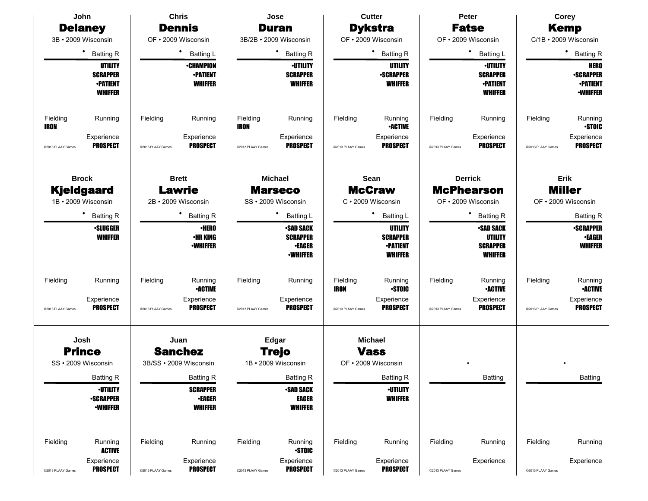|                         | John                                                                   |                   | <b>Chris</b>                                          |                         | Jose                                                                    |                         | <b>Cutter</b>                                                          |                   | Peter                                                                   |                   | Corey                                                                 |
|-------------------------|------------------------------------------------------------------------|-------------------|-------------------------------------------------------|-------------------------|-------------------------------------------------------------------------|-------------------------|------------------------------------------------------------------------|-------------------|-------------------------------------------------------------------------|-------------------|-----------------------------------------------------------------------|
|                         | <b>Delaney</b>                                                         |                   | <b>Dennis</b>                                         |                         | <b>Duran</b>                                                            |                         | <b>Dykstra</b>                                                         |                   | <b>Fatse</b>                                                            |                   | <b>Kemp</b>                                                           |
|                         | 3B · 2009 Wisconsin                                                    |                   | OF . 2009 Wisconsin                                   |                         | 3B/2B · 2009 Wisconsin                                                  |                         | OF · 2009 Wisconsin                                                    |                   | OF • 2009 Wisconsin                                                     |                   | C/1B · 2009 Wisconsin                                                 |
|                         | ٠<br><b>Batting R</b>                                                  |                   | $\bullet$<br><b>Batting L</b>                         |                         | ٠<br><b>Batting R</b>                                                   |                         | ٠<br><b>Batting R</b>                                                  |                   | $\bullet$<br><b>Batting L</b>                                           |                   | ٠<br><b>Batting R</b>                                                 |
|                         | <b>UTILITY</b><br><b>SCRAPPER</b><br><b>•PATIENT</b><br><b>WHIFFER</b> |                   | <b>•CHAMPION</b><br><b>•PATIENT</b><br><b>WHIFFER</b> |                         | <b>·UTILITY</b><br><b>SCRAPPER</b><br><b>WHIFFER</b>                    |                         | <b>UTILITY</b><br><b>•SCRAPPER</b><br><b>WHIFFER</b>                   |                   | <b>-UTILITY</b><br><b>SCRAPPER</b><br><b>•PATIENT</b><br><b>WHIFFER</b> |                   | <b>HERO</b><br><b>-SCRAPPER</b><br><b>-PATIENT</b><br><b>-WHIFFER</b> |
| Fielding<br><b>IRON</b> | Running                                                                | Fielding          | Running                                               | Fielding<br><b>IRON</b> | Running                                                                 | Fielding                | Running<br><b>•ACTIVE</b>                                              | Fielding          | Running                                                                 | Fielding          | Running<br><b>STOIC</b>                                               |
| @2013 PLAAY Games       | Experience<br><b>PROSPECT</b>                                          | @2013 PLAAY Games | Experience<br><b>PROSPECT</b>                         | @2013 PLAAY Games       | Experience<br><b>PROSPECT</b>                                           | @2013 PLAAY Games       | Experience<br><b>PROSPECT</b>                                          | @2013 PLAAY Games | Experience<br><b>PROSPECT</b>                                           | @2013 PLAAY Games | Experience<br><b>PROSPECT</b>                                         |
|                         | <b>Brock</b><br>Kjeldgaard<br>1B · 2009 Wisconsin                      |                   | <b>Brett</b><br>Lawrie<br>2B · 2009 Wisconsin         |                         | <b>Michael</b><br><b>Marseco</b><br>SS · 2009 Wisconsin                 |                         | Sean<br><b>McCraw</b><br>C · 2009 Wisconsin                            |                   | <b>Derrick</b><br><b>McPhearson</b><br>OF · 2009 Wisconsin              |                   | Erik<br><b>Miller</b><br>OF · 2009 Wisconsin                          |
|                         | <b>Batting R</b>                                                       |                   | <b>Batting R</b>                                      |                         | ٠<br><b>Batting L</b>                                                   |                         | <b>Batting L</b>                                                       |                   | ٠<br><b>Batting R</b>                                                   |                   | <b>Batting R</b>                                                      |
|                         | <b>-SLUGGER</b><br><b>WHIFFER</b>                                      |                   | <b>•HERO</b><br><b>•HR KING</b><br><b>-WHIFFER</b>    |                         | <b>-SAD SACK</b><br><b>SCRAPPER</b><br><b>•EAGER</b><br><b>•WHIFFER</b> |                         | <b>UTILITY</b><br><b>SCRAPPER</b><br><b>-PATIENT</b><br><b>WHIFFER</b> |                   | <b>•SAD SACK</b><br>UTILITY<br><b>SCRAPPER</b><br><b>WHIFFER</b>        |                   | <b>-SCRAPPER</b><br><b>•EAGER</b><br><b>WHIFFER</b>                   |
| Fielding                | Running                                                                | Fielding          | Running<br><b>•ACTIVE</b>                             | Fielding                | Running                                                                 | Fielding<br><b>IRON</b> | Running<br><b>STOIC</b>                                                | Fielding          | Running<br><b>-ACTIVE</b>                                               | Fielding          | Running<br><b>-ACTIVE</b>                                             |
| @2013 PLAAY Games       | Experience<br><b>PROSPECT</b>                                          | @2013 PLAAY Games | Experience<br><b>PROSPECT</b>                         | @2013 PLAAY Games       | Experience<br><b>PROSPECT</b>                                           | @2013 PLAAY Games       | Experience<br><b>PROSPECT</b>                                          | @2013 PLAAY Games | Experience<br><b>PROSPECT</b>                                           | @2013 PLAAY Games | Experience<br><b>PROSPECT</b>                                         |
|                         | Josh<br><b>Prince</b>                                                  |                   | Juan<br><b>Sanchez</b>                                |                         | Edgar<br><b>Trejo</b>                                                   |                         | <b>Michael</b><br><b>Vass</b>                                          |                   |                                                                         |                   |                                                                       |
|                         | SS · 2009 Wisconsin                                                    |                   | 3B/SS · 2009 Wisconsin                                |                         | 1B · 2009 Wisconsin                                                     |                         | OF • 2009 Wisconsin                                                    |                   |                                                                         |                   |                                                                       |
|                         | <b>Batting R</b>                                                       |                   | <b>Batting R</b>                                      |                         | <b>Batting R</b>                                                        |                         | <b>Batting R</b>                                                       |                   | Batting                                                                 |                   | Batting                                                               |
|                         | <b>-UTILITY</b><br><b>-SCRAPPER</b><br><b>•WHIFFER</b>                 |                   | <b>SCRAPPER</b><br><b>•EAGER</b><br><b>WHIFFER</b>    |                         | <b>-SAD SACK</b><br><b>EAGER</b><br><b>WHIFFER</b>                      |                         | <b>-UTILITY</b><br><b>WHIFFER</b>                                      |                   |                                                                         |                   |                                                                       |
| Fielding                | Running<br><b>ACTIVE</b>                                               | Fielding          | Running                                               | Fielding                | Running<br><b>STOIC</b>                                                 | Fielding                | Running                                                                | Fielding          | Running                                                                 | Fielding          | Running                                                               |
| @2013 PLAAY Games       | Experience<br><b>PROSPECT</b>                                          | @2013 PLAAY Games | Experience<br><b>PROSPECT</b>                         | @2013 PLAAY Games       | Experience<br><b>PROSPECT</b>                                           | @2013 PLAAY Games       | Experience<br><b>PROSPECT</b>                                          | @2013 PLAAY Games | Experience                                                              | @2013 PLAAY Games | Experience                                                            |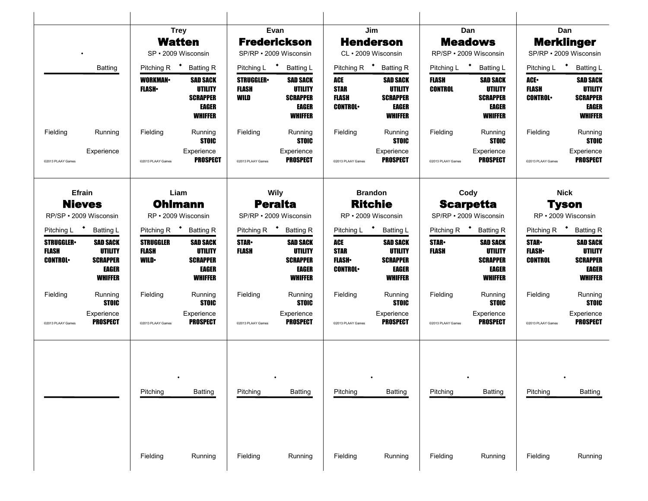|                                                    |                                                                                 |                                                 | <b>Trey</b>                                                                     | Evan                                     |                                                                                 |                                                      | Jim                                                                                    |                                | Dan                                                                             |                                                 | Dan                                                                             |
|----------------------------------------------------|---------------------------------------------------------------------------------|-------------------------------------------------|---------------------------------------------------------------------------------|------------------------------------------|---------------------------------------------------------------------------------|------------------------------------------------------|----------------------------------------------------------------------------------------|--------------------------------|---------------------------------------------------------------------------------|-------------------------------------------------|---------------------------------------------------------------------------------|
|                                                    |                                                                                 |                                                 | <b>Watten</b>                                                                   | <b>Frederickson</b>                      |                                                                                 |                                                      | <b>Henderson</b>                                                                       |                                | <b>Meadows</b>                                                                  |                                                 | <b>Merklinger</b>                                                               |
|                                                    |                                                                                 |                                                 | SP · 2009 Wisconsin                                                             | SP/RP · 2009 Wisconsin                   |                                                                                 |                                                      | CL · 2009 Wisconsin                                                                    |                                | RP/SP · 2009 Wisconsin                                                          |                                                 | SP/RP · 2009 Wisconsin                                                          |
|                                                    | <b>Batting</b>                                                                  | Pitching R                                      | <b>Batting R</b>                                                                | Pitching L <sup>+</sup>                  | <b>Batting L</b>                                                                | Pitching R <sup>+</sup>                              | <b>Batting R</b>                                                                       | Pitching L <sup>+</sup>        | <b>Batting L</b>                                                                | Pitching L <sup>+</sup>                         | <b>Batting L</b>                                                                |
|                                                    |                                                                                 | <b>WORKMAN</b><br><b>FLASH</b> •                | <b>SAD SACK</b><br><b>UTILITY</b><br><b>SCRAPPER</b><br>EAGER<br><b>WHIFFER</b> | <b>STRUGGLER</b><br><b>FLASH</b><br>WILD | <b>SAD SACK</b><br>UTILITY<br><b>SCRAPPER</b><br>EAGER<br><b>WHIFFER</b>        | ACE<br><b>STAR</b><br>FLASH<br><b>CONTROL</b>        | SAD SACK<br><b>UTILITY</b><br><b>SCRAPPER</b><br><b>EAGER</b><br><b>WHIFFER</b>        | <b>FLASH</b><br><b>CONTROL</b> | <b>SAD SACK</b><br><b>UTILITY</b><br><b>SCRAPPER</b><br>EAGER<br><b>WHIFFER</b> | ACE-<br><b>FLASH</b><br><b>CONTROL</b>          | <b>SAD SACK</b><br><b>UTILITY</b><br><b>SCRAPPER</b><br>EAGER<br><b>WHIFFER</b> |
| Fielding                                           | Running                                                                         | Fielding                                        | Running<br><b>STOIC</b>                                                         | Fielding                                 | Running<br><b>STOIC</b>                                                         | Fielding                                             | Running<br><b>STOIC</b>                                                                | Fielding                       | Running<br><b>STOIC</b>                                                         | Fielding                                        | Running<br><b>STOIC</b>                                                         |
| @2013 PLAAY Games                                  | Experience                                                                      | @2013 PLAAY Games                               | Experience<br><b>PROSPECT</b>                                                   | @2013 PLAAY Games                        | Experience<br><b>PROSPECT</b>                                                   | @2013 PLAAY Games                                    | Experience<br><b>PROSPECT</b>                                                          | @2013 PLAAY Games              | Experience<br><b>PROSPECT</b>                                                   | @2013 PLAAY Games                               | Experience<br><b>PROSPECT</b>                                                   |
| Efrain                                             |                                                                                 | Liam                                            |                                                                                 | <b>Wily</b>                              |                                                                                 |                                                      | <b>Brandon</b>                                                                         |                                | Cody                                                                            |                                                 | <b>Nick</b>                                                                     |
| <b>Nieves</b>                                      |                                                                                 |                                                 | <b>Ohlmann</b>                                                                  | <b>Peralta</b>                           |                                                                                 |                                                      | <b>Ritchie</b>                                                                         |                                | <b>Scarpetta</b>                                                                |                                                 | Tyson                                                                           |
| RP/SP · 2009 Wisconsin                             |                                                                                 | RP · 2009 Wisconsin                             |                                                                                 | SP/RP · 2009 Wisconsin                   |                                                                                 |                                                      | RP · 2009 Wisconsin                                                                    |                                | SP/RP · 2009 Wisconsin                                                          |                                                 | RP · 2009 Wisconsin                                                             |
| Pitching L <sup>+</sup>                            | <b>Batting L</b>                                                                | Pitching R <sup>+</sup>                         | <b>Batting R</b>                                                                | Pitching R $\bullet$                     | <b>Batting R</b>                                                                | Pitching L <sup>+</sup>                              | <b>Batting L</b>                                                                       |                                | Pitching R <sup>+</sup> Batting R                                               | Pitching R <b>*</b> Batting R                   |                                                                                 |
| <b>STRUGGLER</b><br><b>FLASH</b><br><b>CONTROL</b> | <b>SAD SACK</b><br><b>UTILITY</b><br><b>SCRAPPER</b><br><b>EAGER</b><br>WHIFFER | <b>STRUGGLER</b><br><b>FLASH</b><br><b>WILD</b> | <b>SAD SACK</b><br><b>UTILITY</b><br><b>SCRAPPER</b><br>EAGER<br><b>WHIFFER</b> | <b>STAR</b><br><b>FLASH</b>              | <b>SAD SACK</b><br><b>UTILITY</b><br><b>SCRAPPER</b><br>EAGER<br><b>WHIFFER</b> | ACE<br><b>STAR</b><br><b>FLASH</b><br><b>CONTROL</b> | <b>SAD SACK</b><br><b>UTILITY</b><br><b>SCRAPPER</b><br><b>EAGER</b><br><b>WHIFFER</b> | <b>STAR</b><br><b>FLASH</b>    | <b>SAD SACK</b><br><b>UTILITY</b><br><b>SCRAPPER</b><br>EAGER<br>WHIFFER        | <b>STAR</b><br><b>FLASH</b> •<br><b>CONTROL</b> | <b>SAD SACK</b><br><b>UTILITY</b><br><b>SCRAPPER</b><br>EAGER<br><b>WHIFFER</b> |
| Fielding                                           | Running<br><b>STOIC</b>                                                         | Fielding                                        | Running<br><b>STOIC</b>                                                         | Fielding                                 | Running<br><b>STOIC</b>                                                         | Fielding                                             | Running<br><b>STOIC</b>                                                                | Fielding                       | Running<br><b>STOIC</b>                                                         | Fielding                                        | Running<br><b>STOIC</b>                                                         |
| @2013 PLAAY Games                                  | Experience<br>PROSPECT                                                          | @2013 PLAAY Games                               | Experience<br><b>PROSPECT</b>                                                   | @2013 PLAAY Games                        | Experience<br><b>PROSPECT</b>                                                   | @2013 PLAAY Games                                    | Experience<br><b>PROSPECT</b>                                                          | @2013 PLAAY Games              | Experience<br><b>PROSPECT</b>                                                   | @2013 PLAAY Games                               | Experience<br><b>PROSPECT</b>                                                   |
|                                                    |                                                                                 | Pitching                                        | Batting                                                                         | Pitching                                 | <b>Batting</b>                                                                  | Pitching                                             | <b>Batting</b>                                                                         | Pitching                       | <b>Batting</b>                                                                  | Pitching                                        | <b>Batting</b>                                                                  |
|                                                    |                                                                                 | Fielding                                        | Running                                                                         | Fielding                                 |                                                                                 | Fielding                                             | Running                                                                                | Fielding                       | Running                                                                         | Fielding                                        | Running                                                                         |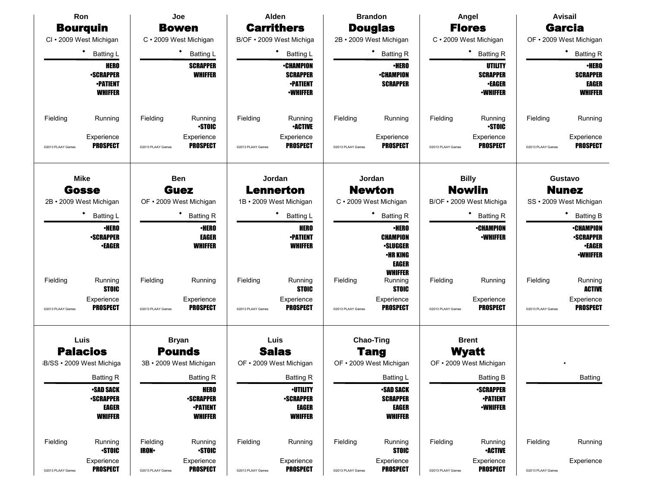| Ron                                  | Joe                                  | Alden                                | <b>Brandon</b>                       | Angel                                | <b>Avisail</b>                       |
|--------------------------------------|--------------------------------------|--------------------------------------|--------------------------------------|--------------------------------------|--------------------------------------|
| <b>Bourguin</b>                      | <b>Bowen</b>                         | <b>Carrithers</b>                    | <b>Douglas</b>                       | <b>Flores</b>                        | <b>Garcia</b>                        |
| CI · 2009 West Michigan              | C · 2009 West Michigan               | 'B/OF . 2009 West Michiga            | 2B · 2009 West Michigan              | C · 2009 West Michigan               | OF · 2009 West Michigan              |
| ٠<br><b>Batting L</b>                | Batting L                            | Batting L                            | <b>Batting R</b>                     | <b>Batting R</b>                     | <b>Batting R</b>                     |
| <b>HERO</b>                          | <b>SCRAPPER</b>                      | <b>•CHAMPION</b>                     | <b>•HERO</b>                         | <b>UTILITY</b>                       | <b>•HERO</b>                         |
| <b>•SCRAPPER</b>                     | <b>WHIFFER</b>                       | <b>SCRAPPER</b>                      | <b>•CHAMPION</b>                     | <b>SCRAPPER</b>                      | <b>SCRAPPER</b>                      |
| <b>•PATIENT</b><br><b>WHIFFER</b>    |                                      | <b>•PATIENT</b><br><b>-WHIFFER</b>   | <b>SCRAPPER</b>                      | <b>•EAGER</b><br><b>•WHIFFER</b>     | <b>EAGER</b><br><b>WHIFFER</b>       |
|                                      |                                      |                                      |                                      |                                      |                                      |
| Fielding<br>Running                  | Fielding<br>Running                  | Fielding<br>Running                  | Fielding<br>Running                  | Fielding<br>Running                  | Fielding<br>Running                  |
|                                      | <b>STOIC</b>                         | <b>•ACTIVE</b>                       |                                      | <b>-STOIC</b>                        |                                      |
| Experience<br><b>PROSPECT</b>        | Experience<br><b>PROSPECT</b>        | Experience<br><b>PROSPECT</b>        | Experience<br><b>PROSPECT</b>        | Experience<br><b>PROSPECT</b>        | Experience<br><b>PROSPECT</b>        |
| @2013 PLAAY Games                    | @2013 PLAAY Games                    | @2013 PLAAY Games                    | @2013 PLAAY Games                    | @2013 PLAAY Games                    | @2013 PLAAY Games                    |
|                                      |                                      |                                      |                                      |                                      |                                      |
| <b>Mike</b><br><b>Gosse</b>          | <b>Ben</b><br><b>Guez</b>            | Jordan<br><b>Lennerton</b>           | Jordan<br><b>Newton</b>              | <b>Billy</b><br><b>Nowlin</b>        | Gustavo<br><b>Nunez</b>              |
| 2B · 2009 West Michigan              | OF · 2009 West Michigan              | 1B · 2009 West Michigan              | C · 2009 West Michigan               | B/OF · 2009 West Michiga             | SS · 2009 West Michigan              |
| ٠<br><b>Batting L</b>                | <b>Batting R</b>                     | ٠<br><b>Batting L</b>                | <b>Batting R</b>                     | <b>Batting R</b>                     | <b>Batting B</b>                     |
| <b>•HERO</b>                         | $\cdot$ HERO                         | <b>HERO</b>                          | <b>•HERO</b>                         | <b>•CHAMPION</b>                     | <b>•CHAMPION</b>                     |
| <b>-SCRAPPER</b>                     | <b>EAGER</b>                         | <b>•PATIENT</b>                      | <b>CHAMPION</b>                      | <b>•WHIFFER</b>                      | <b>-SCRAPPER</b>                     |
| <b>•EAGER</b>                        | <b>WHIFFER</b>                       | <b>WHIFFER</b>                       | <b>•SLUGGER</b>                      |                                      | <b>•EAGER</b>                        |
|                                      |                                      |                                      | •HR KING<br>EAGER                    |                                      | <b>•WHIFFER</b>                      |
|                                      |                                      |                                      | <b>WHIFFER</b>                       |                                      |                                      |
| Fielding<br>Running<br><b>STOIC</b>  | Fielding<br>Running                  | Fielding<br>Running<br><b>STOIC</b>  | Fielding<br>Running<br><b>STOIC</b>  | Fielding<br>Running                  | Fielding<br>Running<br><b>ACTIVE</b> |
| Experience                           | Experience                           | Experience                           | Experience                           | Experience                           | Experience                           |
| <b>PROSPECT</b><br>@2013 PLAAY Games | <b>PROSPECT</b><br>@2013 PLAAY Games | <b>PROSPECT</b><br>@2013 PLAAY Games | <b>PROSPECT</b><br>@2013 PLAAY Games | <b>PROSPECT</b><br>@2013 PLAAY Games | <b>PROSPECT</b><br>@2013 PLAAY Games |
|                                      |                                      |                                      |                                      |                                      |                                      |
| Luis                                 | <b>Bryan</b>                         | Luis                                 | <b>Chao-Ting</b>                     | <b>Brent</b>                         |                                      |
| <b>Palacios</b>                      | <b>Pounds</b>                        | <b>Salas</b>                         | <b>Tang</b>                          | <b>Wyatt</b>                         |                                      |
| B/SS · 2009 West Michiga             | 3B · 2009 West Michigan              | OF · 2009 West Michigan              | OF • 2009 West Michigan              | OF · 2009 West Michigan              |                                      |
| <b>Batting R</b>                     | <b>Batting R</b>                     | <b>Batting R</b>                     | Batting L                            | <b>Batting B</b>                     | Batting                              |
| <b>•SAD SACK</b><br><b>-SCRAPPER</b> | <b>HERO</b><br><b>•SCRAPPER</b>      | <b>-UTILITY</b><br><b>-SCRAPPER</b>  | <b>•SAD SACK</b><br><b>SCRAPPER</b>  | <b>-SCRAPPER</b><br><b>•PATIENT</b>  |                                      |
| EAGER                                | <b>-PATIENT</b>                      | <b>EAGER</b>                         | <b>EAGER</b>                         | <b>-WHIFFER</b>                      |                                      |
| <b>WHIFFER</b>                       | <b>WHIFFER</b>                       | <b>WHIFFER</b>                       | <b>WHIFFER</b>                       |                                      |                                      |
| Fielding<br>Running                  | Fielding<br>Running                  | Fielding<br>Running                  | Fielding<br>Running                  | Fielding<br>Running                  | Fielding<br>Running                  |
| <b>STOIC</b>                         | <b>STOIC</b><br><b>IRON-</b>         |                                      | <b>STOIC</b>                         | <b>•ACTIVE</b>                       |                                      |
| Experience                           | Experience                           | Experience                           | Experience                           | Experience                           | Experience                           |
| <b>PROSPECT</b><br>@2013 PLAAY Games | <b>PROSPECT</b><br>@2013 PLAAY Games | <b>PROSPECT</b><br>@2013 PLAAY Games | <b>PROSPECT</b><br>@2013 PLAAY Games | <b>PROSPECT</b><br>@2013 PLAAY Games | @2013 PLAAY Games                    |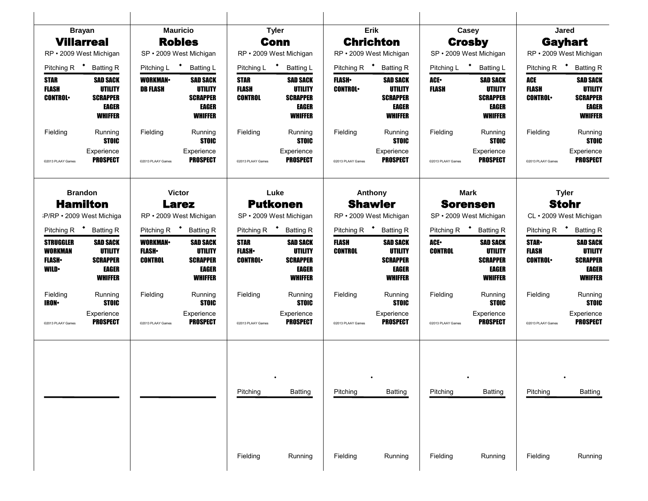| <b>Brayan</b>                  |                                     | <b>Mauricio</b>         |                                         | <b>Tyler</b>                   |                                   | Erik                    |                                   | Casey                |                                            | Jared                          |                                   |  |
|--------------------------------|-------------------------------------|-------------------------|-----------------------------------------|--------------------------------|-----------------------------------|-------------------------|-----------------------------------|----------------------|--------------------------------------------|--------------------------------|-----------------------------------|--|
| <b>Villarreal</b>              |                                     | <b>Robles</b>           |                                         | <b>Conn</b>                    |                                   | <b>Chrichton</b>        |                                   | <b>Crosby</b>        |                                            | <b>Gayhart</b>                 |                                   |  |
|                                | RP · 2009 West Michigan             |                         | SP · 2009 West Michigan                 |                                | RP · 2009 West Michigan           |                         | RP · 2009 West Michigan           |                      | SP · 2009 West Michigan                    |                                | RP · 2009 West Michigan           |  |
| Pitching R $\bullet$           | <b>Batting R</b>                    | Pitching L <sup>+</sup> | <b>Batting L</b>                        | Pitching L                     | $\bullet$<br>Batting L            | Pitching R $\bullet$    | <b>Batting R</b>                  | Pitching L           | $\bullet$<br><b>Batting L</b>              | Pitching R <sup>+</sup>        | <b>Batting R</b>                  |  |
| <b>STAR</b>                    | <b>SAD SACK</b>                     | <b>WORKMAN</b>          | <b>SAD SACK</b>                         | STAR                           | <b>SAD SACK</b>                   | <b>FLASH</b> •          | <b>SAD SACK</b>                   | ACE-                 | <b>SAD SACK</b>                            | ACE                            | <b>SAD SACK</b>                   |  |
| <b>FLASH</b><br><b>CONTROL</b> | <b>UTILITY</b><br><b>SCRAPPER</b>   | <b>DB FLASH</b>         | <b>UTILITY</b><br><b>SCRAPPER</b>       | <b>FLASH</b><br><b>CONTROL</b> | <b>UTILITY</b><br><b>SCRAPPER</b> | <b>CONTROL</b>          | <b>UTILITY</b><br><b>SCRAPPER</b> | FLASH                | <b>UTILITY</b><br><b>SCRAPPER</b>          | <b>FLASH</b><br><b>CONTROL</b> | <b>UTILITY</b><br><b>SCRAPPER</b> |  |
|                                | EAGER                               |                         | <b>EAGER</b>                            |                                | <b>EAGER</b>                      |                         | <b>EAGER</b>                      |                      | EAGER                                      |                                | <b>EAGER</b>                      |  |
|                                | <b>WHIFFER</b>                      |                         | <b>WHIFFER</b>                          |                                | <b>WHIFFER</b>                    |                         | <b>WHIFFER</b>                    |                      | <b>WHIFFER</b>                             |                                | <b>WHIFFER</b>                    |  |
| Fielding                       | Running<br><b>STOIC</b>             | Fielding                | Running<br><b>STOIC</b>                 | Fielding                       | Running<br><b>STOIC</b>           | Fielding                | Running<br><b>STOIC</b>           | Fielding             | Running<br><b>STOIC</b>                    | Fielding                       | Running<br><b>STOIC</b>           |  |
|                                | Experience<br><b>PROSPECT</b>       |                         | Experience<br><b>PROSPECT</b>           |                                | Experience<br><b>PROSPECT</b>     |                         | Experience<br><b>PROSPECT</b>     |                      | Experience<br><b>PROSPECT</b>              |                                | Experience<br><b>PROSPECT</b>     |  |
| @2013 PLAAY Games              |                                     | @2013 PLAAY Games       |                                         | @2013 PLAAY Games              |                                   | @2013 PLAAY Games       |                                   | @2013 PLAAY Games    |                                            | @2013 PLAAY Games              |                                   |  |
|                                |                                     |                         |                                         |                                |                                   |                         |                                   |                      |                                            |                                |                                   |  |
|                                | <b>Brandon</b><br><b>Hamilton</b>   |                         | <b>Victor</b>                           |                                | Luke<br><b>Putkonen</b>           |                         | Anthony<br><b>Shawler</b>         |                      | <b>Mark</b>                                |                                | <b>Tyler</b><br><b>Stohr</b>      |  |
|                                | P/RP · 2009 West Michiga            |                         | <b>Larez</b><br>RP · 2009 West Michigan |                                | SP · 2009 West Michigan           |                         | RP · 2009 West Michigan           |                      | <b>Sorensen</b><br>SP · 2009 West Michigan |                                | CL · 2009 West Michigan           |  |
| Pitching R <sup>+</sup>        |                                     | Pitching R              |                                         |                                | Pitching R <sup>+</sup> Batting R | Pitching R <sup>+</sup> | <b>Batting R</b>                  | Pitching R $\bullet$ |                                            |                                | Pitching R <b>*</b> Batting R     |  |
| <b>STRUGGLER</b>               | <b>Batting R</b><br><b>SAD SACK</b> | <b>WORKMAN</b>          | <b>Batting R</b><br><b>SAD SACK</b>     | <b>STAR</b>                    | <b>SAD SACK</b>                   | FLASH                   | <b>SAD SACK</b>                   | ACE-                 | <b>Batting R</b><br><b>SAD SACK</b>        | <b>STAR-</b>                   | <b>SAD SACK</b>                   |  |
| <b>WORKMAN</b>                 | UTILITY                             | <b>FLASH</b>            | UTILITY                                 | <b>FLASH</b> •                 | UTILITY                           | <b>CONTROL</b>          | UTILITY                           | <b>CONTROL</b>       | UTILITY                                    | <b>FLASH</b>                   | UTILITY                           |  |
| <b>FLASH</b> •                 | <b>SCRAPPER</b>                     | <b>CONTROL</b>          | <b>SCRAPPER</b>                         | <b>CONTROL</b>                 | <b>SCRAPPER</b>                   |                         | <b>SCRAPPER</b>                   |                      | <b>SCRAPPER</b>                            | <b>CONTROL</b>                 | <b>SCRAPPER</b>                   |  |
| <b>WILD•</b>                   | EAGER<br><b>WHIFFER</b>             |                         | <b>EAGER</b><br><b>WHIFFER</b>          |                                | <b>EAGER</b><br><b>WHIFFER</b>    |                         | <b>EAGER</b><br><b>WHIFFER</b>    |                      | <b>EAGER</b><br><b>WHIFFER</b>             |                                | EAGER<br><b>WHIFFER</b>           |  |
| Fielding                       | Running                             | Fielding                | Running                                 | Fielding                       | Running                           | Fielding                | Running                           | Fielding             | Running                                    | Fielding                       | Running                           |  |
| <b>IRON•</b>                   | <b>STOIC</b><br>Experience          |                         | <b>STOIC</b><br>Experience              |                                | <b>STOIC</b><br>Experience        |                         | <b>STOIC</b><br>Experience        |                      | <b>STOIC</b><br>Experience                 |                                | <b>STOIC</b><br>Experience        |  |
| @2013 PLAAY Games              | <b>PROSPECT</b>                     | @2013 PLAAY Games       | <b>PROSPECT</b>                         | @2013 PLAAY Games              | <b>PROSPECT</b>                   | @2013 PLAAY Games       | <b>PROSPECT</b>                   | @2013 PLAAY Games    | <b>PROSPECT</b>                            | @2013 PLAAY Games              | <b>PROSPECT</b>                   |  |
|                                |                                     |                         |                                         |                                |                                   |                         |                                   |                      |                                            |                                |                                   |  |
|                                |                                     |                         |                                         |                                |                                   |                         |                                   |                      |                                            |                                |                                   |  |
|                                |                                     |                         |                                         |                                |                                   |                         |                                   |                      |                                            |                                |                                   |  |
|                                |                                     |                         |                                         |                                |                                   |                         |                                   |                      |                                            |                                |                                   |  |
|                                |                                     |                         |                                         | Pitching                       | <b>Batting</b>                    | Pitching                | Batting                           | Pitching             | <b>Batting</b>                             | Pitching                       | <b>Batting</b>                    |  |
|                                |                                     |                         |                                         |                                |                                   |                         |                                   |                      |                                            |                                |                                   |  |
|                                |                                     |                         |                                         |                                |                                   |                         |                                   |                      |                                            |                                |                                   |  |
|                                |                                     |                         |                                         |                                |                                   |                         |                                   |                      |                                            |                                |                                   |  |
|                                |                                     |                         |                                         |                                |                                   |                         |                                   |                      |                                            |                                |                                   |  |
|                                |                                     |                         |                                         | Fielding                       | Running                           | Fielding                | Running                           | Fielding             | Running                                    | Fielding                       | Running                           |  |
|                                |                                     |                         |                                         |                                |                                   |                         |                                   |                      |                                            |                                |                                   |  |